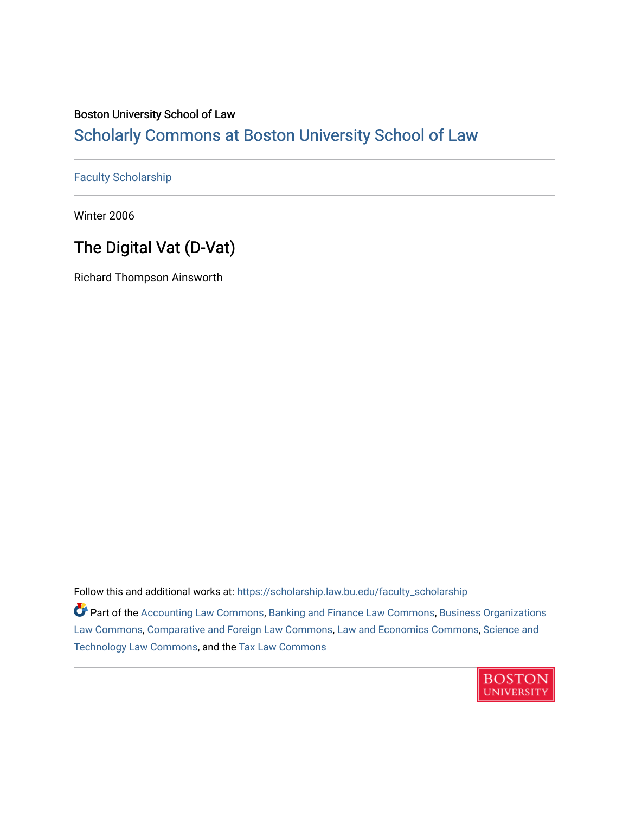# Boston University School of Law

# [Scholarly Commons at Boston University School of Law](https://scholarship.law.bu.edu/)

## [Faculty Scholarship](https://scholarship.law.bu.edu/faculty_scholarship)

Winter 2006

# The Digital Vat (D-Vat)

Richard Thompson Ainsworth

Follow this and additional works at: [https://scholarship.law.bu.edu/faculty\\_scholarship](https://scholarship.law.bu.edu/faculty_scholarship?utm_source=scholarship.law.bu.edu%2Ffaculty_scholarship%2F1502&utm_medium=PDF&utm_campaign=PDFCoverPages)

**P** Part of the [Accounting Law Commons](http://network.bepress.com/hgg/discipline/828?utm_source=scholarship.law.bu.edu%2Ffaculty_scholarship%2F1502&utm_medium=PDF&utm_campaign=PDFCoverPages), [Banking and Finance Law Commons](http://network.bepress.com/hgg/discipline/833?utm_source=scholarship.law.bu.edu%2Ffaculty_scholarship%2F1502&utm_medium=PDF&utm_campaign=PDFCoverPages), [Business Organizations](http://network.bepress.com/hgg/discipline/900?utm_source=scholarship.law.bu.edu%2Ffaculty_scholarship%2F1502&utm_medium=PDF&utm_campaign=PDFCoverPages) [Law Commons,](http://network.bepress.com/hgg/discipline/900?utm_source=scholarship.law.bu.edu%2Ffaculty_scholarship%2F1502&utm_medium=PDF&utm_campaign=PDFCoverPages) [Comparative and Foreign Law Commons](http://network.bepress.com/hgg/discipline/836?utm_source=scholarship.law.bu.edu%2Ffaculty_scholarship%2F1502&utm_medium=PDF&utm_campaign=PDFCoverPages), [Law and Economics Commons](http://network.bepress.com/hgg/discipline/612?utm_source=scholarship.law.bu.edu%2Ffaculty_scholarship%2F1502&utm_medium=PDF&utm_campaign=PDFCoverPages), [Science and](http://network.bepress.com/hgg/discipline/875?utm_source=scholarship.law.bu.edu%2Ffaculty_scholarship%2F1502&utm_medium=PDF&utm_campaign=PDFCoverPages)  [Technology Law Commons,](http://network.bepress.com/hgg/discipline/875?utm_source=scholarship.law.bu.edu%2Ffaculty_scholarship%2F1502&utm_medium=PDF&utm_campaign=PDFCoverPages) and the [Tax Law Commons](http://network.bepress.com/hgg/discipline/898?utm_source=scholarship.law.bu.edu%2Ffaculty_scholarship%2F1502&utm_medium=PDF&utm_campaign=PDFCoverPages) 

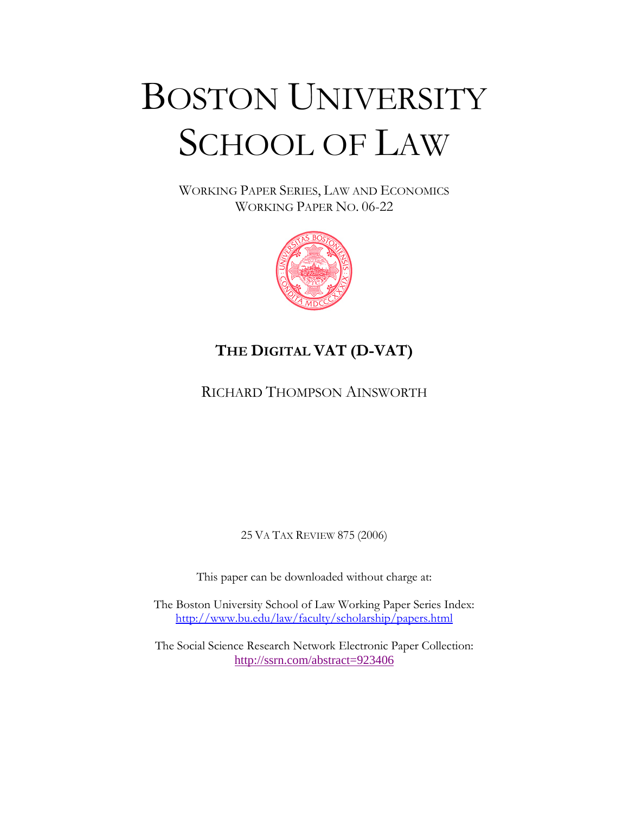# BOSTON UNIVERSITY SCHOOL OF LAW

WORKING PAPER SERIES, LAW AND ECONOMICS WORKING PAPER NO. 06-22



# **THE DIGITAL VAT (D-VAT)**

RICHARD THOMPSON AINSWORTH

25 VA TAX REVIEW 875 (2006)

This paper can be downloaded without charge at:

The Boston University School of Law Working Paper Series Index: http://www.bu.edu/law/faculty/scholarship/papers.html

The Social Science Research Network Electronic Paper Collection: http://ssrn.com/abstract=923406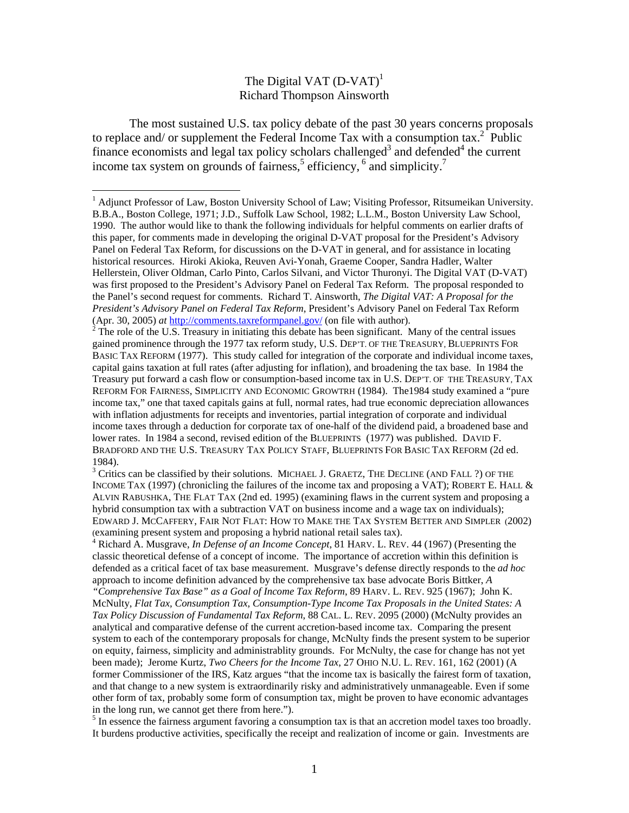# The Digital VAT  $(D-VAT)^1$ Richard Thompson Ainsworth

 The most sustained U.S. tax policy debate of the past 30 years concerns proposals to replace and/ or supplement the Federal Income Tax with a consumption  $\text{tax.}^2$  Public finance economists and legal tax policy scholars challenged<sup>3</sup> and defended<sup>4</sup> the current income tax system on grounds of fairness,<sup>5</sup> efficiency,  $6$  and simplicity.<sup>7</sup>

 $\overline{a}$ 

 $2$  The role of the U.S. Treasury in initiating this debate has been significant. Many of the central issues gained prominence through the 1977 tax reform study, U.S. DEP'T. OF THE TREASURY, BLUEPRINTS FOR BASIC TAX REFORM (1977). This study called for integration of the corporate and individual income taxes, capital gains taxation at full rates (after adjusting for inflation), and broadening the tax base. In 1984 the Treasury put forward a cash flow or consumption-based income tax in U.S. DEP'T. OF THE TREASURY, TAX REFORM FOR FAIRNESS, SIMPLICITY AND ECONOMIC GROWTRH (1984). The1984 study examined a "pure income tax," one that taxed capitals gains at full, normal rates, had true economic depreciation allowances with inflation adjustments for receipts and inventories, partial integration of corporate and individual income taxes through a deduction for corporate tax of one-half of the dividend paid, a broadened base and lower rates. In 1984 a second, revised edition of the BLUEPRINTS (1977) was published. DAVID F. BRADFORD AND THE U.S. TREASURY TAX POLICY STAFF, BLUEPRINTS FOR BASIC TAX REFORM (2d ed. 1984).

 $3$  Critics can be classified by their solutions. MICHAEL J. GRAETZ, THE DECLINE (AND FALL ?) OF THE INCOME TAX (1997) (chronicling the failures of the income tax and proposing a VAT); ROBERT E. HALL & ALVIN RABUSHKA, THE FLAT TAX (2nd ed. 1995) (examining flaws in the current system and proposing a hybrid consumption tax with a subtraction VAT on business income and a wage tax on individuals); EDWARD J. MCCAFFERY, FAIR NOT FLAT: HOW TO MAKE THE TAX SYSTEM BETTER AND SIMPLER (2002) (examining present system and proposing a hybrid national retail sales tax).

4 Richard A. Musgrave, *In Defense of an Income Concept*, 81 HARV. L. REV. 44 (1967) (Presenting the classic theoretical defense of a concept of income. The importance of accretion within this definition is defended as a critical facet of tax base measurement. Musgrave's defense directly responds to the *ad hoc*  approach to income definition advanced by the comprehensive tax base advocate Boris Bittker, *A* 

*"Comprehensive Tax Base" as a Goal of Income Tax Reform*, 89 HARV. L. REV. 925 (1967); John K. McNulty, *Flat Tax, Consumption Tax, Consumption-Type Income Tax Proposals in the United States: A Tax Policy Discussion of Fundamental Tax Reform*, 88 CAL. L. REV. 2095 (2000) (McNulty provides an analytical and comparative defense of the current accretion-based income tax. Comparing the present system to each of the contemporary proposals for change, McNulty finds the present system to be superior on equity, fairness, simplicity and administrablity grounds. For McNulty, the case for change has not yet been made); Jerome Kurtz, *Two Cheers for the Income Tax*, 27 OHIO N.U. L. REV. 161, 162 (2001) (A former Commissioner of the IRS, Katz argues "that the income tax is basically the fairest form of taxation, and that change to a new system is extraordinarily risky and administratively unmanageable. Even if some other form of tax, probably some form of consumption tax, might be proven to have economic advantages in the long run, we cannot get there from here.").

 $<sup>5</sup>$  In essence the fairness argument favoring a consumption tax is that an accretion model taxes too broadly.</sup> It burdens productive activities, specifically the receipt and realization of income or gain. Investments are

<sup>&</sup>lt;sup>1</sup> Adjunct Professor of Law, Boston University School of Law; Visiting Professor, Ritsumeikan University. B.B.A., Boston College, 1971; J.D., Suffolk Law School, 1982; L.L.M., Boston University Law School, 1990. The author would like to thank the following individuals for helpful comments on earlier drafts of this paper, for comments made in developing the original D-VAT proposal for the President's Advisory Panel on Federal Tax Reform, for discussions on the D-VAT in general, and for assistance in locating historical resources. Hiroki Akioka, Reuven Avi-Yonah, Graeme Cooper, Sandra Hadler, Walter Hellerstein, Oliver Oldman, Carlo Pinto, Carlos Silvani, and Victor Thuronyi. The Digital VAT (D-VAT) was first proposed to the President's Advisory Panel on Federal Tax Reform. The proposal responded to the Panel's second request for comments. Richard T. Ainsworth, *The Digital VAT: A Proposal for the President's Advisory Panel on Federal Tax Reform*, President's Advisory Panel on Federal Tax Reform (Apr. 30, 2005) *at* http://comments.taxreformpanel.gov/ (on file with author).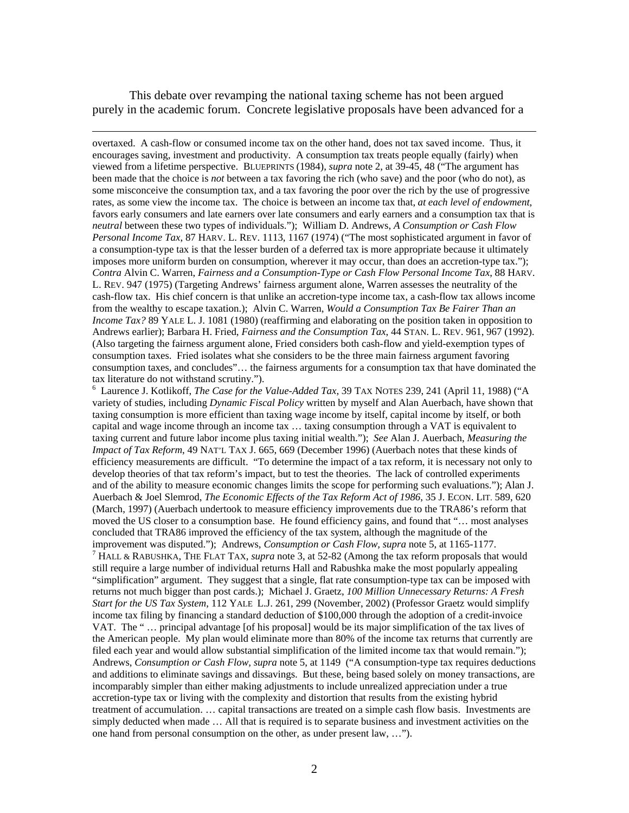This debate over revamping the national taxing scheme has not been argued purely in the academic forum. Concrete legislative proposals have been advanced for a

 overtaxed. A cash-flow or consumed income tax on the other hand, does not tax saved income. Thus, it encourages saving, investment and productivity. A consumption tax treats people equally (fairly) when viewed from a lifetime perspective. BLUEPRINTS (1984), *supra* note 2, at 39-45, 48 ("The argument has been made that the choice is *not* between a tax favoring the rich (who save) and the poor (who do not), as some misconceive the consumption tax, and a tax favoring the poor over the rich by the use of progressive rates, as some view the income tax. The choice is between an income tax that, *at each level of endowment*, favors early consumers and late earners over late consumers and early earners and a consumption tax that is *neutral* between these two types of individuals."); William D. Andrews, *A Consumption or Cash Flow Personal Income Tax*, 87 HARV. L. REV. 1113, 1167 (1974) ("The most sophisticated argument in favor of a consumption-type tax is that the lesser burden of a deferred tax is more appropriate because it ultimately imposes more uniform burden on consumption, wherever it may occur, than does an accretion-type tax."); *Contra* Alvin C. Warren, *Fairness and a Consumption-Type or Cash Flow Personal Income Tax*, 88 HARV. L. REV. 947 (1975) (Targeting Andrews' fairness argument alone, Warren assesses the neutrality of the cash-flow tax. His chief concern is that unlike an accretion-type income tax, a cash-flow tax allows income from the wealthy to escape taxation.); Alvin C. Warren, *Would a Consumption Tax Be Fairer Than an Income Tax?* 89 YALE L. J. 1081 (1980) (reaffirming and elaborating on the position taken in opposition to Andrews earlier); Barbara H. Fried, *Fairness and the Consumption Tax*, 44 STAN. L. REV. 961, 967 (1992). (Also targeting the fairness argument alone, Fried considers both cash-flow and yield-exemption types of consumption taxes. Fried isolates what she considers to be the three main fairness argument favoring consumption taxes, and concludes"… the fairness arguments for a consumption tax that have dominated the tax literature do not withstand scrutiny.").

6 Laurence J. Kotlikoff, *The Case for the Value-Added Tax*, 39 TAX NOTES 239, 241 (April 11, 1988) ("A variety of studies, including *Dynamic Fiscal Policy* written by myself and Alan Auerbach, have shown that taxing consumption is more efficient than taxing wage income by itself, capital income by itself, or both capital and wage income through an income tax … taxing consumption through a VAT is equivalent to taxing current and future labor income plus taxing initial wealth."); *See* Alan J. Auerbach, *Measuring the Impact of Tax Reform*, 49 NAT'L TAX J. 665, 669 (December 1996) (Auerbach notes that these kinds of efficiency measurements are difficult. "To determine the impact of a tax reform, it is necessary not only to develop theories of that tax reform's impact, but to test the theories. The lack of controlled experiments and of the ability to measure economic changes limits the scope for performing such evaluations."); Alan J. Auerbach & Joel Slemrod, *The Economic Effects of the Tax Reform Act of 1986*, 35 J. ECON. LIT. 589, 620 (March, 1997) (Auerbach undertook to measure efficiency improvements due to the TRA86's reform that moved the US closer to a consumption base. He found efficiency gains, and found that "… most analyses concluded that TRA86 improved the efficiency of the tax system, although the magnitude of the improvement was disputed."); Andrews, *Consumption or Cash Flow, supra* note 5, at 1165-1177. HALL & RABUSHKA, THE FLAT TAX, *supra* note 3, at 52-82 (Among the tax reform proposals that would still require a large number of individual returns Hall and Rabushka make the most popularly appealing "simplification" argument. They suggest that a single, flat rate consumption-type tax can be imposed with returns not much bigger than post cards.); Michael J. Graetz, *100 Million Unnecessary Returns: A Fresh Start for the US Tax System*, 112 YALE L.J. 261, 299 (November, 2002) (Professor Graetz would simplify income tax filing by financing a standard deduction of \$100,000 through the adoption of a credit-invoice VAT. The " … principal advantage [of his proposal] would be its major simplification of the tax lives of the American people. My plan would eliminate more than 80% of the income tax returns that currently are filed each year and would allow substantial simplification of the limited income tax that would remain."); Andrews, *Consumption or Cash Flow, supra* note 5, at 1149 ("A consumption-type tax requires deductions and additions to eliminate savings and dissavings. But these, being based solely on money transactions, are incomparably simpler than either making adjustments to include unrealized appreciation under a true accretion-type tax or living with the complexity and distortion that results from the existing hybrid treatment of accumulation. … capital transactions are treated on a simple cash flow basis. Investments are simply deducted when made … All that is required is to separate business and investment activities on the one hand from personal consumption on the other, as under present law, …").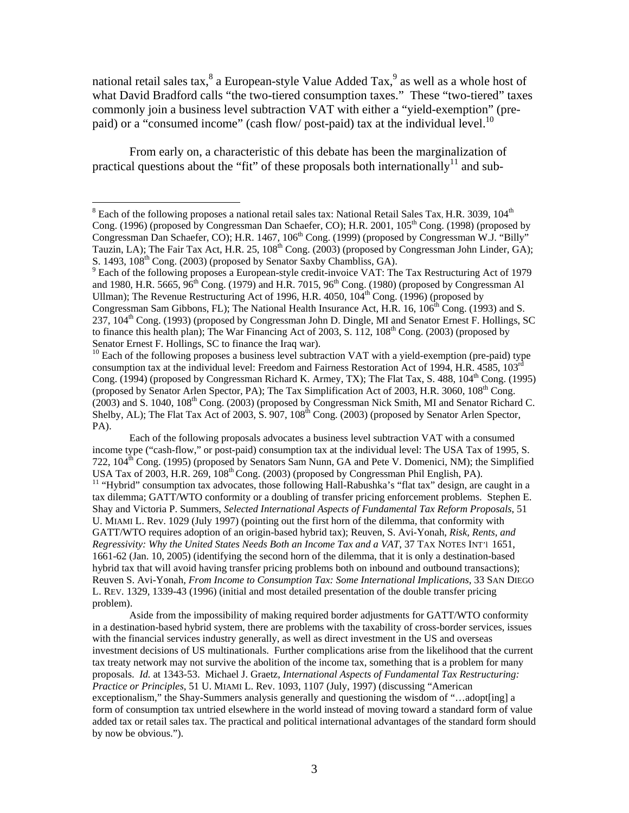national retail sales tax,  $8$  a European-style Value Added Tax,  $9$  as well as a whole host of what David Bradford calls "the two-tiered consumption taxes." These "two-tiered" taxes commonly join a business level subtraction VAT with either a "yield-exemption" (prepaid) or a "consumed income" (cash flow/ post-paid) tax at the individual level.<sup>10</sup>

From early on, a characteristic of this debate has been the marginalization of practical questions about the "fit" of these proposals both internationally<sup>11</sup> and sub-

 $\overline{a}$ 

 Each of the following proposals advocates a business level subtraction VAT with a consumed income type ("cash-flow," or post-paid) consumption tax at the individual level: The USA Tax of 1995, S. 722,  $104<sup>th</sup>$  Cong. (1995) (proposed by Senators Sam Nunn, GA and Pete V. Domenici, NM); the Simplified USA Tax of 2003, H.R. 269, 108<sup>th</sup> Cong. (2003) (proposed by Congressman Phil English, PA).<br><sup>11</sup> "Hybrid" consumption tax advocates, those following Hall-Rabushka's "flat tax" design, are caught in a tax dilemma; GATT/WTO conformity or a doubling of transfer pricing enforcement problems. Stephen E. Shay and Victoria P. Summers, *Selected International Aspects of Fundamental Tax Reform Proposals*, 51 U. MIAMI L. Rev. 1029 (July 1997) (pointing out the first horn of the dilemma, that conformity with GATT/WTO requires adoption of an origin-based hybrid tax); Reuven, S. Avi-Yonah, *Risk, Rents, and Regressivity: Why the United States Needs Both an Income Tax and a VAT*, 37 TAX NOTES INT'l 1651, 1661-62 (Jan. 10, 2005) (identifying the second horn of the dilemma, that it is only a destination-based hybrid tax that will avoid having transfer pricing problems both on inbound and outbound transactions); Reuven S. Avi-Yonah, *From Income to Consumption Tax: Some International Implications*, 33 SAN DIEGO L. REV*.* 1329, 1339-43 (1996) (initial and most detailed presentation of the double transfer pricing problem).

Aside from the impossibility of making required border adjustments for GATT/WTO conformity in a destination-based hybrid system, there are problems with the taxability of cross-border services, issues with the financial services industry generally, as well as direct investment in the US and overseas investment decisions of US multinationals. Further complications arise from the likelihood that the current tax treaty network may not survive the abolition of the income tax, something that is a problem for many proposals. *Id.* at 1343-53. Michael J. Graetz, *International Aspects of Fundamental Tax Restructuring: Practice or Principles*, 51 U. MIAMI L. Rev. 1093, 1107 (July, 1997) (discussing "American exceptionalism," the Shay-Summers analysis generally and questioning the wisdom of "...adopt [ing] a form of consumption tax untried elsewhere in the world instead of moving toward a standard form of value added tax or retail sales tax. The practical and political international advantages of the standard form should by now be obvious.").

 $8$  Each of the following proposes a national retail sales tax: National Retail Sales Tax, H.R. 3039, 104<sup>th</sup> Cong. (1996) (proposed by Congressman Dan Schaefer, CO); H.R. 2001, 105<sup>th</sup> Cong. (1998) (proposed by Congressman Dan Schaefer, CO); H.R. 1467, 106<sup>th</sup> Cong. (1999) (proposed by Congressman W.J. "Billy" Tauzin, LA); The Fair Tax Act, H.R. 25,  $108^{th}$  Cong. (2003) (proposed by Congressman John Linder, GA); S. 1493,  $108<sup>th</sup>$  Cong. (2003) (proposed by Senator Saxby Chambliss, GA).

<sup>&</sup>lt;sup>9</sup> Each of the following proposes a European-style credit-invoice VAT: The Tax Restructuring Act of 1979 and 1980, H.R. 5665,  $96^{th}$  Cong. (1979) and H.R. 7015, 96<sup>th</sup> Cong. (1980) (proposed by Congressman Al Ullman); The Revenue Restructuring Act of 1996, H.R. 4050,  $104<sup>th</sup>$  Cong. (1996) (proposed by Congressman Sam Gibbons, FL); The National Health Insurance Act, H.R. 16,  $106<sup>th</sup>$  Cong. (1993) and S. 237, 104<sup>th</sup> Cong. (1993) (proposed by Congressman John D. Dingle, MI and Senator Ernest F. Hollings, SC to finance this health plan); The War Financing Act of 2003, S.  $112$ ,  $108<sup>th</sup>$  Cong. (2003) (proposed by Senator Ernest F. Hollings, SC to finance the Iraq war).

 $10$  Each of the following proposes a business level subtraction VAT with a yield-exemption (pre-paid) type consumption tax at the individual level: Freedom and Fairness Restoration Act of 1994, H.R. 4585, 103<sup>rd</sup> Cong. (1994) (proposed by Congressman Richard K. Armey, TX); The Flat Tax, S. 488,  $104^{\text{th}}$  Cong. (1995) (proposed by Senator Arlen Spector, PA); The Tax Simplification Act of 2003, H.R. 3060, 108<sup>th</sup> Cong. (2003) and S. 1040, 108<sup>th</sup> Cong. (2003) (proposed by Congressman Nick Smith, MI and Senator Richard C. Shelby, AL); The Flat Tax Act of 2003, S. 907,  $108<sup>th</sup>$  Cong. (2003) (proposed by Senator Arlen Spector, PA).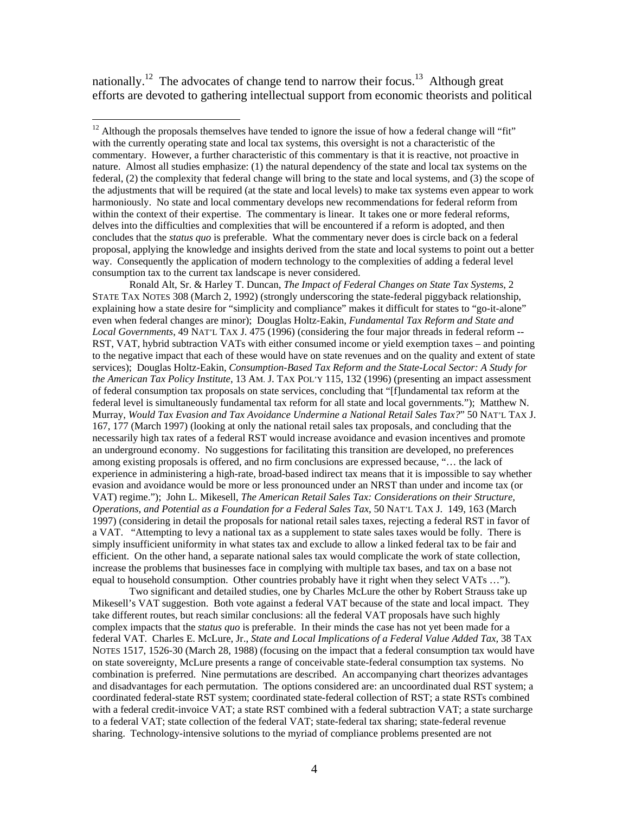nationally.<sup>12</sup> The advocates of change tend to narrow their focus.<sup>13</sup> Although great efforts are devoted to gathering intellectual support from economic theorists and political

 $\overline{a}$ 

Ronald Alt, Sr. & Harley T. Duncan, *The Impact of Federal Changes on State Tax Systems*, 2 STATE TAX NOTES 308 (March 2, 1992) (strongly underscoring the state-federal piggyback relationship, explaining how a state desire for "simplicity and compliance" makes it difficult for states to "go-it-alone" even when federal changes are minor); Douglas Holtz-Eakin, *Fundamental Tax Reform and State and Local Governments*, 49 NAT'L TAX J. 475 (1996) (considering the four major threads in federal reform -- RST, VAT, hybrid subtraction VATs with either consumed income or yield exemption taxes – and pointing to the negative impact that each of these would have on state revenues and on the quality and extent of state services); Douglas Holtz-Eakin, *Consumption-Based Tax Reform and the State-Local Sector: A Study for the American Tax Policy Institute*, 13 AM. J. TAX POL'Y 115, 132 (1996) (presenting an impact assessment of federal consumption tax proposals on state services, concluding that "[f]undamental tax reform at the federal level is simultaneously fundamental tax reform for all state and local governments."); Matthew N. Murray, *Would Tax Evasion and Tax Avoidance Undermine a National Retail Sales Tax?*" 50 NAT'L TAX J. 167, 177 (March 1997) (looking at only the national retail sales tax proposals, and concluding that the necessarily high tax rates of a federal RST would increase avoidance and evasion incentives and promote an underground economy. No suggestions for facilitating this transition are developed, no preferences among existing proposals is offered, and no firm conclusions are expressed because, "… the lack of experience in administering a high-rate, broad-based indirect tax means that it is impossible to say whether evasion and avoidance would be more or less pronounced under an NRST than under and income tax (or VAT) regime."); John L. Mikesell, *The American Retail Sales Tax: Considerations on their Structure, Operations, and Potential as a Foundation for a Federal Sales Tax*, 50 NAT'L TAX J. 149, 163 (March 1997) (considering in detail the proposals for national retail sales taxes, rejecting a federal RST in favor of a VAT. "Attempting to levy a national tax as a supplement to state sales taxes would be folly. There is simply insufficient uniformity in what states tax and exclude to allow a linked federal tax to be fair and efficient. On the other hand, a separate national sales tax would complicate the work of state collection, increase the problems that businesses face in complying with multiple tax bases, and tax on a base not equal to household consumption. Other countries probably have it right when they select VATs …").

Two significant and detailed studies, one by Charles McLure the other by Robert Strauss take up Mikesell's VAT suggestion. Both vote against a federal VAT because of the state and local impact. They take different routes, but reach similar conclusions: all the federal VAT proposals have such highly complex impacts that the *status quo* is preferable. In their minds the case has not yet been made for a federal VAT. Charles E. McLure, Jr., *State and Local Implications of a Federal Value Added Tax,* 38 TAX NOTES 1517, 1526-30 (March 28, 1988) (focusing on the impact that a federal consumption tax would have on state sovereignty, McLure presents a range of conceivable state-federal consumption tax systems. No combination is preferred. Nine permutations are described. An accompanying chart theorizes advantages and disadvantages for each permutation. The options considered are: an uncoordinated dual RST system; a coordinated federal-state RST system; coordinated state-federal collection of RST; a state RSTs combined with a federal credit-invoice VAT; a state RST combined with a federal subtraction VAT; a state surcharge to a federal VAT; state collection of the federal VAT; state-federal tax sharing; state-federal revenue sharing. Technology-intensive solutions to the myriad of compliance problems presented are not

 $12$  Although the proposals themselves have tended to ignore the issue of how a federal change will "fit" with the currently operating state and local tax systems, this oversight is not a characteristic of the commentary. However, a further characteristic of this commentary is that it is reactive, not proactive in nature. Almost all studies emphasize: (1) the natural dependency of the state and local tax systems on the federal, (2) the complexity that federal change will bring to the state and local systems, and (3) the scope of the adjustments that will be required (at the state and local levels) to make tax systems even appear to work harmoniously. No state and local commentary develops new recommendations for federal reform from within the context of their expertise. The commentary is linear. It takes one or more federal reforms, delves into the difficulties and complexities that will be encountered if a reform is adopted, and then concludes that the *status quo* is preferable. What the commentary never does is circle back on a federal proposal, applying the knowledge and insights derived from the state and local systems to point out a better way. Consequently the application of modern technology to the complexities of adding a federal level consumption tax to the current tax landscape is never considered.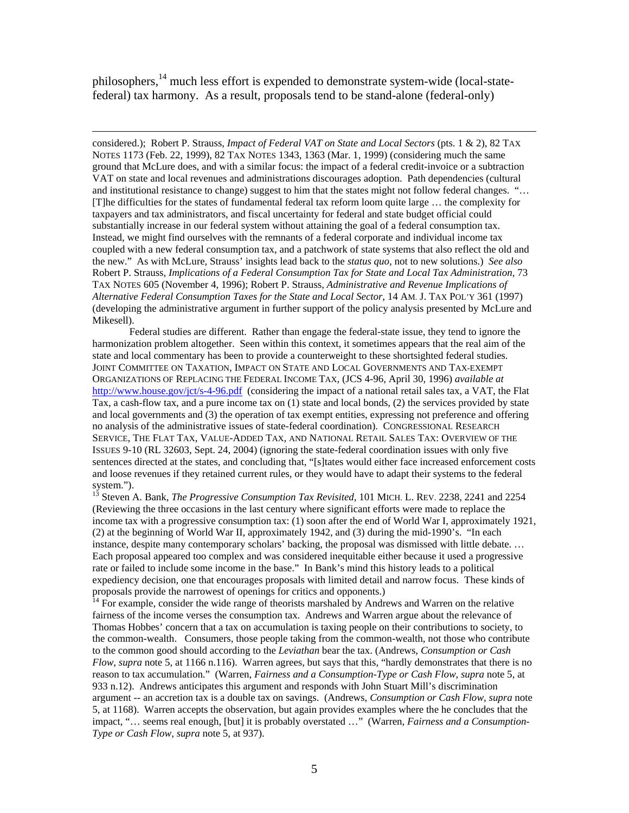philosophers,<sup>14</sup> much less effort is expended to demonstrate system-wide (local-statefederal) tax harmony. As a result, proposals tend to be stand-alone (federal-only)

 considered.); Robert P. Strauss, *Impact of Federal VAT on State and Local Sectors* (pts. 1 & 2), 82 TAX NOTES 1173 (Feb. 22, 1999), 82 TAX NOTES 1343, 1363 (Mar. 1, 1999) (considering much the same ground that McLure does, and with a similar focus: the impact of a federal credit-invoice or a subtraction VAT on state and local revenues and administrations discourages adoption. Path dependencies (cultural and institutional resistance to change) suggest to him that the states might not follow federal changes. "… [T]he difficulties for the states of fundamental federal tax reform loom quite large … the complexity for taxpayers and tax administrators, and fiscal uncertainty for federal and state budget official could substantially increase in our federal system without attaining the goal of a federal consumption tax. Instead, we might find ourselves with the remnants of a federal corporate and individual income tax coupled with a new federal consumption tax, and a patchwork of state systems that also reflect the old and the new." As with McLure, Strauss' insights lead back to the *status quo,* not to new solutions.) *See also*  Robert P. Strauss, *Implications of a Federal Consumption Tax for State and Local Tax Administration*, 73 TAX NOTES 605 (November 4, 1996); Robert P. Strauss, *Administrative and Revenue Implications of Alternative Federal Consumption Taxes for the State and Local Sector*, 14 AM. J. TAX POL'Y 361 (1997) (developing the administrative argument in further support of the policy analysis presented by McLure and Mikesell).

Federal studies are different. Rather than engage the federal-state issue, they tend to ignore the harmonization problem altogether. Seen within this context, it sometimes appears that the real aim of the state and local commentary has been to provide a counterweight to these shortsighted federal studies. JOINT COMMITTEE ON TAXATION, IMPACT ON STATE AND LOCAL GOVERNMENTS AND TAX-EXEMPT ORGANIZATIONS OF REPLACING THE FEDERAL INCOME TAX, (JCS 4-96, April 30, 1996) *available at*  http://www.house.gov/jct/s-4-96.pdf (considering the impact of a national retail sales tax, a VAT, the Flat Tax, a cash-flow tax, and a pure income tax on (1) state and local bonds, (2) the services provided by state and local governments and (3) the operation of tax exempt entities, expressing not preference and offering no analysis of the administrative issues of state-federal coordination). CONGRESSIONAL RESEARCH SERVICE, THE FLAT TAX, VALUE-ADDED TAX, AND NATIONAL RETAIL SALES TAX: OVERVIEW OF THE ISSUES 9-10 (RL 32603, Sept. 24, 2004) (ignoring the state-federal coordination issues with only five sentences directed at the states, and concluding that, "[s]tates would either face increased enforcement costs and loose revenues if they retained current rules, or they would have to adapt their systems to the federal system.").

13 Steven A. Bank, *The Progressive Consumption Tax Revisited*, 101 MICH. L. REV. 2238, 2241 and 2254 (Reviewing the three occasions in the last century where significant efforts were made to replace the income tax with a progressive consumption tax: (1) soon after the end of World War I, approximately 1921, (2) at the beginning of World War II, approximately 1942, and (3) during the mid-1990's. "In each instance, despite many contemporary scholars' backing, the proposal was dismissed with little debate. … Each proposal appeared too complex and was considered inequitable either because it used a progressive rate or failed to include some income in the base." In Bank's mind this history leads to a political expediency decision, one that encourages proposals with limited detail and narrow focus. These kinds of proposals provide the narrowest of openings for critics and opponents.)

<sup>14</sup> For example, consider the wide range of theorists marshaled by Andrews and Warren on the relative fairness of the income verses the consumption tax. Andrews and Warren argue about the relevance of Thomas Hobbes' concern that a tax on accumulation is taxing people on their contributions to society, to the common-wealth. Consumers, those people taking from the common-wealth, not those who contribute to the common good should according to the *Leviathan* bear the tax. (Andrews, *Consumption or Cash Flow, supra* note 5, at 1166 n.116). Warren agrees, but says that this, "hardly demonstrates that there is no reason to tax accumulation." (Warren, *Fairness and a Consumption-Type or Cash Flow*, *supra* note 5, at 933 n.12). Andrews anticipates this argument and responds with John Stuart Mill's discrimination argument -- an accretion tax is a double tax on savings. (Andrews, *Consumption or Cash Flow*, *supra* note 5, at 1168). Warren accepts the observation, but again provides examples where the he concludes that the impact, "… seems real enough, [but] it is probably overstated …" (Warren, *Fairness and a Consumption-Type or Cash Flow*, *supra* note 5, at 937).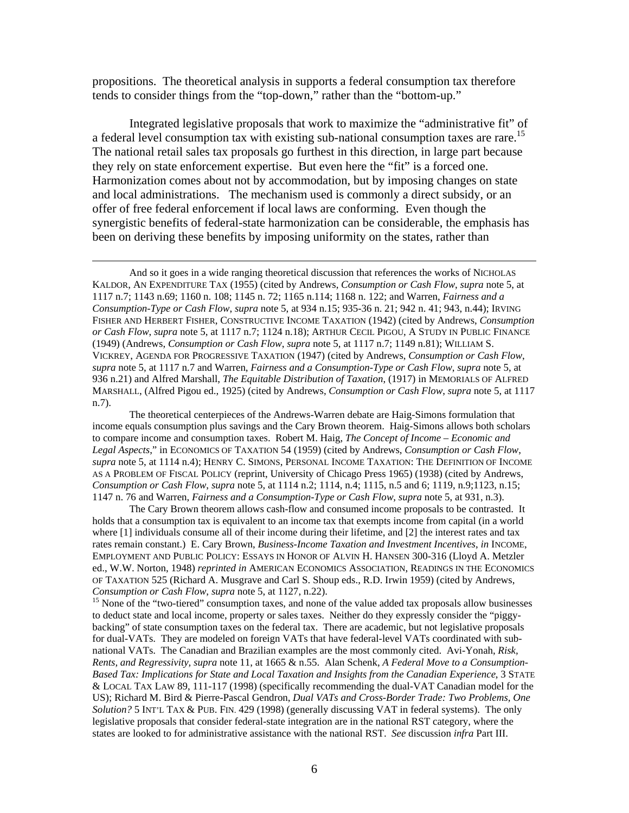propositions. The theoretical analysis in supports a federal consumption tax therefore tends to consider things from the "top-down," rather than the "bottom-up."

Integrated legislative proposals that work to maximize the "administrative fit" of a federal level consumption tax with existing sub-national consumption taxes are rare.<sup>15</sup> The national retail sales tax proposals go furthest in this direction, in large part because they rely on state enforcement expertise. But even here the "fit" is a forced one. Harmonization comes about not by accommodation, but by imposing changes on state and local administrations. The mechanism used is commonly a direct subsidy, or an offer of free federal enforcement if local laws are conforming. Even though the synergistic benefits of federal-state harmonization can be considerable, the emphasis has been on deriving these benefits by imposing uniformity on the states, rather than

 And so it goes in a wide ranging theoretical discussion that references the works of NICHOLAS KALDOR, AN EXPENDITURE TAX (1955) (cited by Andrews, *Consumption or Cash Flow*, *supra* note 5, at 1117 n.7; 1143 n.69; 1160 n. 108; 1145 n. 72; 1165 n.114; 1168 n. 122; and Warren, *Fairness and a Consumption-Type or Cash Flow*, *supra* note 5, at 934 n.15; 935-36 n. 21; 942 n. 41; 943, n.44); IRVING FISHER AND HERBERT FISHER, CONSTRUCTIVE INCOME TAXATION (1942) (cited by Andrews, *Consumption or Cash Flow*, *supra* note 5, at 1117 n.7; 1124 n.18); ARTHUR CECIL PIGOU, A STUDY IN PUBLIC FINANCE (1949) (Andrews, *Consumption or Cash Flow*, *supra* note 5, at 1117 n.7; 1149 n.81); WILLIAM S. VICKREY, AGENDA FOR PROGRESSIVE TAXATION (1947) (cited by Andrews, *Consumption or Cash Flow*, *supra* note 5, at 1117 n.7 and Warren, *Fairness and a Consumption-Type or Cash Flow*, *supra* note 5, at 936 n.21) and Alfred Marshall, *The Equitable Distribution of Taxation*, (1917) in MEMORIALS OF ALFRED MARSHALL, (Alfred Pigou ed., 1925) (cited by Andrews, *Consumption or Cash Flow*, *supra* note 5, at 1117 n.7).

The theoretical centerpieces of the Andrews-Warren debate are Haig-Simons formulation that income equals consumption plus savings and the Cary Brown theorem. Haig-Simons allows both scholars to compare income and consumption taxes. Robert M. Haig, *The Concept of Income – Economic and Legal Aspects*," in ECONOMICS OF TAXATION 54 (1959) (cited by Andrews, *Consumption or Cash Flow*, *supra* note 5, at 1114 n.4); HENRY C. SIMONS, PERSONAL INCOME TAXATION: THE DEFINITION OF INCOME AS A PROBLEM OF FISCAL POLICY (reprint, University of Chicago Press 1965) (1938) (cited by Andrews, *Consumption or Cash Flow*, *supra* note 5, at 1114 n.2; 1114, n.4; 1115, n.5 and 6; 1119, n.9;1123, n.15; 1147 n. 76 and Warren, *Fairness and a Consumption-Type or Cash Flow*, *supra* note 5, at 931, n.3).

The Cary Brown theorem allows cash-flow and consumed income proposals to be contrasted. It holds that a consumption tax is equivalent to an income tax that exempts income from capital (in a world where [1] individuals consume all of their income during their lifetime, and [2] the interest rates and tax rates remain constant.) E. Cary Brown, *Business-Income Taxation and Investment Incentives*, *in* INCOME, EMPLOYMENT AND PUBLIC POLICY: ESSAYS IN HONOR OF ALVIN H. HANSEN 300-316 (Lloyd A. Metzler ed., W.W. Norton, 1948) *reprinted in* AMERICAN ECONOMICS ASSOCIATION, READINGS IN THE ECONOMICS OF TAXATION 525 (Richard A. Musgrave and Carl S. Shoup eds., R.D. Irwin 1959) (cited by Andrews, *Consumption or Cash Flow, supra* note 5, at 1127, n.22).<br><sup>15</sup> None of the "two-tiered" consumption taxes, and none of the value added tax proposals allow businesses

to deduct state and local income, property or sales taxes. Neither do they expressly consider the "piggybacking" of state consumption taxes on the federal tax. There are academic, but not legislative proposals for dual-VATs. They are modeled on foreign VATs that have federal-level VATs coordinated with subnational VATs. The Canadian and Brazilian examples are the most commonly cited. Avi-Yonah, *Risk, Rents, and Regressivity, supra* note 11, at 1665 & n.55. Alan Schenk, *A Federal Move to a Consumption-Based Tax: Implications for State and Local Taxation and Insights from the Canadian Experience*, 3 STATE & LOCAL TAX LAW 89, 111-117 (1998) (specifically recommending the dual-VAT Canadian model for the US); Richard M. Bird & Pierre-Pascal Gendron, *Dual VATs and Cross-Border Trade: Two Problems, One Solution?* 5 INT'L TAX & PUB. FIN. 429 (1998) (generally discussing VAT in federal systems). The only legislative proposals that consider federal-state integration are in the national RST category, where the states are looked to for administrative assistance with the national RST. *See* discussion *infra* Part III.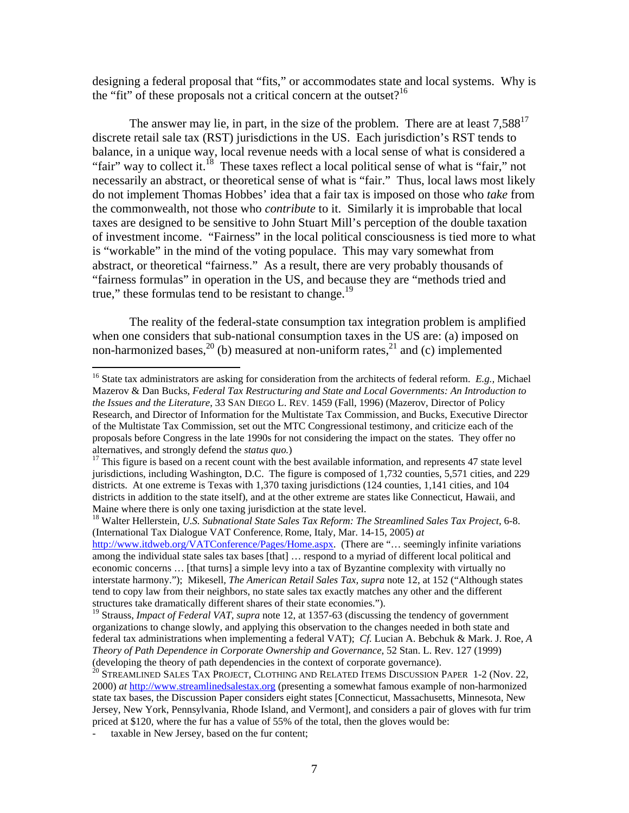designing a federal proposal that "fits," or accommodates state and local systems. Why is the "fit" of these proposals not a critical concern at the outset?<sup>16</sup>

The answer may lie, in part, in the size of the problem. There are at least  $7,588^{17}$ discrete retail sale tax (RST) jurisdictions in the US. Each jurisdiction's RST tends to balance, in a unique way, local revenue needs with a local sense of what is considered a "fair" way to collect it.<sup>18</sup> These taxes reflect a local political sense of what is "fair," not necessarily an abstract, or theoretical sense of what is "fair." Thus, local laws most likely do not implement Thomas Hobbes' idea that a fair tax is imposed on those who *take* from the commonwealth, not those who *contribute* to it. Similarly it is improbable that local taxes are designed to be sensitive to John Stuart Mill's perception of the double taxation of investment income. "Fairness" in the local political consciousness is tied more to what is "workable" in the mind of the voting populace. This may vary somewhat from abstract, or theoretical "fairness." As a result, there are very probably thousands of "fairness formulas" in operation in the US, and because they are "methods tried and true," these formulas tend to be resistant to change. $^{19}$ 

The reality of the federal-state consumption tax integration problem is amplified when one considers that sub-national consumption taxes in the US are: (a) imposed on non-harmonized bases,  $^{20}$  (b) measured at non-uniform rates,  $^{21}$  and (c) implemented

18 Walter Hellerstein, *U.S. Subnational State Sales Tax Reform: The Streamlined Sales Tax Project*, 6-8. (International Tax Dialogue VAT Conference, Rome, Italy, Mar. 14-15, 2005) *at* 

http://www.itdweb.org/VATConference/Pages/Home.aspx. (There are "... seemingly infinite variations among the individual state sales tax bases [that] … respond to a myriad of different local political and economic concerns … [that turns] a simple levy into a tax of Byzantine complexity with virtually no interstate harmony."); Mikesell, *The American Retail Sales Tax, supra* note 12, at 152 ("Although states tend to copy law from their neighbors, no state sales tax exactly matches any other and the different structures take dramatically different shares of their state economies.").

<sup>19</sup> Strauss, *Impact of Federal VAT*, *supra* note 12, at 1357-63 (discussing the tendency of government organizations to change slowly, and applying this observation to the changes needed in both state and federal tax administrations when implementing a federal VAT); *Cf.* Lucian A. Bebchuk & Mark. J. Roe, *A Theory of Path Dependence in Corporate Ownership and Governance*, 52 Stan. L. Rev. 127 (1999) (developing the theory of path dependencies in the context of corporate governance).

 $\frac{20}{20}$  STREAMLINED SALES TAX PROJECT, CLOTHING AND RELATED ITEMS DISCUSSION PAPER 1-2 (Nov. 22, 2000) *at* http://www.streamlinedsalestax.org (presenting a somewhat famous example of non-harmonized state tax bases, the Discussion Paper considers eight states [Connecticut, Massachusetts, Minnesota, New Jersey, New York, Pennsylvania, Rhode Island, and Vermont], and considers a pair of gloves with fur trim priced at \$120, where the fur has a value of 55% of the total, then the gloves would be:

taxable in New Jersey, based on the fur content;

<sup>16</sup> State tax administrators are asking for consideration from the architects of federal reform. *E.g.,* Michael Mazerov & Dan Bucks, *Federal Tax Restructuring and State and Local Governments: An Introduction to the Issues and the Literature*, 33 SAN DIEGO L. REV. 1459 (Fall, 1996) (Mazerov, Director of Policy Research, and Director of Information for the Multistate Tax Commission, and Bucks, Executive Director of the Multistate Tax Commission, set out the MTC Congressional testimony, and criticize each of the proposals before Congress in the late 1990s for not considering the impact on the states. They offer no alternatives, and strongly defend the *status quo.*)<br><sup>17</sup> This figure is based on a recent count with the best available information, and represents 47 state level

jurisdictions, including Washington, D.C. The figure is composed of 1,732 counties, 5,571 cities, and 229 districts. At one extreme is Texas with 1,370 taxing jurisdictions (124 counties, 1,141 cities, and 104 districts in addition to the state itself), and at the other extreme are states like Connecticut, Hawaii, and Maine where there is only one taxing jurisdiction at the state level.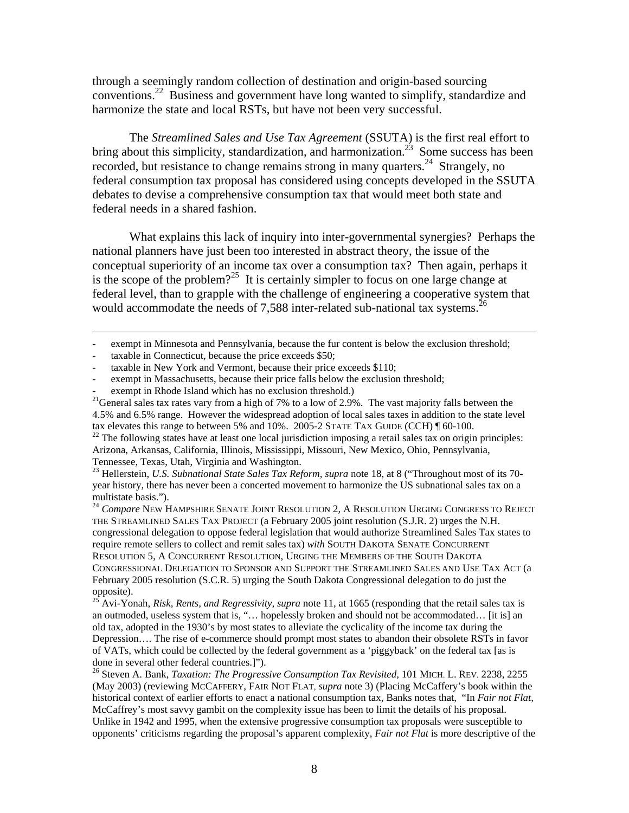through a seemingly random collection of destination and origin-based sourcing conventions.22 Business and government have long wanted to simplify, standardize and harmonize the state and local RSTs, but have not been very successful.

The *Streamlined Sales and Use Tax Agreement* (SSUTA) is the first real effort to bring about this simplicity, standardization, and harmonization.<sup>23</sup> Some success has been recorded, but resistance to change remains strong in many quarters.<sup>24</sup> Strangely, no federal consumption tax proposal has considered using concepts developed in the SSUTA debates to devise a comprehensive consumption tax that would meet both state and federal needs in a shared fashion.

What explains this lack of inquiry into inter-governmental synergies? Perhaps the national planners have just been too interested in abstract theory, the issue of the conceptual superiority of an income tax over a consumption tax? Then again, perhaps it is the scope of the problem?<sup>25</sup> It is certainly simpler to focus on one large change at federal level, than to grapple with the challenge of engineering a cooperative system that would accommodate the needs of 7,588 inter-related sub-national tax systems.<sup>26</sup>

taxable in Connecticut, because the price exceeds \$50;

- exempt in Massachusetts, because their price falls below the exclusion threshold;
- 

- exempt in Rhode Island which has no exclusion threshold.)<br><sup>21</sup>General sales tax rates vary from a high of 7% to a low of 2.9%. The vast majority falls between the 4.5% and 6.5% range. However the widespread adoption of local sales taxes in addition to the state level tax elevates this range to between 5% and 10%. 2005-2 STATE TAX GUIDE (CCH) ¶ 60-100.

 $22$  The following states have at least one local jurisdiction imposing a retail sales tax on origin principles: Arizona, Arkansas, California, Illinois, Mississippi, Missouri, New Mexico, Ohio, Pennsylvania, Tennessee, Texas, Utah, Virginia and Washington.

<sup>23</sup> Hellerstein, *U.S. Subnational State Sales Tax Reform, supra* note 18, at 8 ("Throughout most of its 70year history, there has never been a concerted movement to harmonize the US subnational sales tax on a multistate basis.").

<sup>24</sup> Compare NEW HAMPSHIRE SENATE JOINT RESOLUTION 2, A RESOLUTION URGING CONGRESS TO REJECT THE STREAMLINED SALES TAX PROJECT (a February 2005 joint resolution (S.J.R. 2) urges the N.H. congressional delegation to oppose federal legislation that would authorize Streamlined Sales Tax states to require remote sellers to collect and remit sales tax) *with* SOUTH DAKOTA SENATE CONCURRENT RESOLUTION 5, A CONCURRENT RESOLUTION, URGING THE MEMBERS OF THE SOUTH DAKOTA CONGRESSIONAL DELEGATION TO SPONSOR AND SUPPORT THE STREAMLINED SALES AND USE TAX ACT (a February 2005 resolution (S.C.R. 5) urging the South Dakota Congressional delegation to do just the opposite).

25 Avi-Yonah, *Risk, Rents, and Regressivity, supra* note 11, at 1665 (responding that the retail sales tax is an outmoded, useless system that is, "… hopelessly broken and should not be accommodated… [it is] an old tax, adopted in the 1930's by most states to alleviate the cyclicality of the income tax during the Depression…. The rise of e-commerce should prompt most states to abandon their obsolete RSTs in favor of VATs, which could be collected by the federal government as a 'piggyback' on the federal tax [as is done in several other federal countries.]").

26 Steven A. Bank, *Taxation: The Progressive Consumption Tax Revisited*, 101 MICH. L. REV. 2238, 2255 (May 2003) (reviewing MCCAFFERY, FAIR NOT FLAT, *supra* note 3) (Placing McCaffery's book within the historical context of earlier efforts to enact a national consumption tax, Banks notes that, "In *Fair not Flat,* McCaffrey's most savvy gambit on the complexity issue has been to limit the details of his proposal. Unlike in 1942 and 1995, when the extensive progressive consumption tax proposals were susceptible to opponents' criticisms regarding the proposal's apparent complexity, *Fair not Flat* is more descriptive of the

exempt in Minnesota and Pennsylvania, because the fur content is below the exclusion threshold;

taxable in New York and Vermont, because their price exceeds \$110;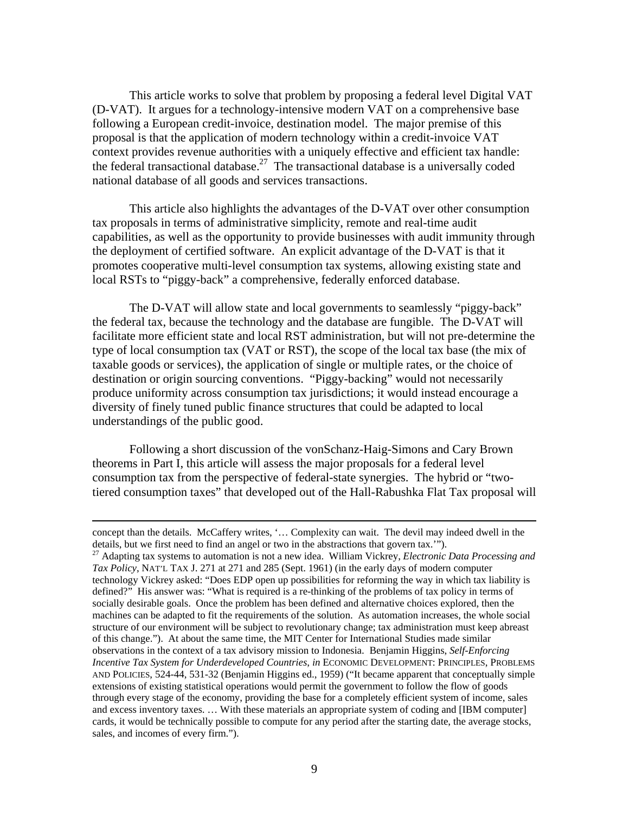This article works to solve that problem by proposing a federal level Digital VAT (D-VAT). It argues for a technology-intensive modern VAT on a comprehensive base following a European credit-invoice, destination model. The major premise of this proposal is that the application of modern technology within a credit-invoice VAT context provides revenue authorities with a uniquely effective and efficient tax handle: the federal transactional database.<sup>27</sup> The transactional database is a universally coded national database of all goods and services transactions.

This article also highlights the advantages of the D-VAT over other consumption tax proposals in terms of administrative simplicity, remote and real-time audit capabilities, as well as the opportunity to provide businesses with audit immunity through the deployment of certified software. An explicit advantage of the D-VAT is that it promotes cooperative multi-level consumption tax systems, allowing existing state and local RSTs to "piggy-back" a comprehensive, federally enforced database.

The D-VAT will allow state and local governments to seamlessly "piggy-back" the federal tax, because the technology and the database are fungible. The D-VAT will facilitate more efficient state and local RST administration, but will not pre-determine the type of local consumption tax (VAT or RST), the scope of the local tax base (the mix of taxable goods or services), the application of single or multiple rates, or the choice of destination or origin sourcing conventions. "Piggy-backing" would not necessarily produce uniformity across consumption tax jurisdictions; it would instead encourage a diversity of finely tuned public finance structures that could be adapted to local understandings of the public good.

Following a short discussion of the vonSchanz-Haig-Simons and Cary Brown theorems in Part I, this article will assess the major proposals for a federal level consumption tax from the perspective of federal-state synergies. The hybrid or "twotiered consumption taxes" that developed out of the Hall-Rabushka Flat Tax proposal will

concept than the details. McCaffery writes, '… Complexity can wait. The devil may indeed dwell in the details, but we first need to find an angel or two in the abstractions that govern tax.'"). 27 Adapting tax systems to automation is not a new idea. William Vickrey, *Electronic Data Processing and* 

*Tax Policy*, NAT'L TAX J. 271 at 271 and 285 (Sept. 1961) (in the early days of modern computer technology Vickrey asked: "Does EDP open up possibilities for reforming the way in which tax liability is defined?" His answer was: "What is required is a re-thinking of the problems of tax policy in terms of socially desirable goals. Once the problem has been defined and alternative choices explored, then the machines can be adapted to fit the requirements of the solution. As automation increases, the whole social structure of our environment will be subject to revolutionary change; tax administration must keep abreast of this change."). At about the same time, the MIT Center for International Studies made similar observations in the context of a tax advisory mission to Indonesia. Benjamin Higgins, *Self-Enforcing Incentive Tax System for Underdeveloped Countries*, *in* ECONOMIC DEVELOPMENT: PRINCIPLES, PROBLEMS AND POLICIES, 524-44, 531-32 (Benjamin Higgins ed., 1959) ("It became apparent that conceptually simple extensions of existing statistical operations would permit the government to follow the flow of goods through every stage of the economy, providing the base for a completely efficient system of income, sales and excess inventory taxes. … With these materials an appropriate system of coding and [IBM computer] cards, it would be technically possible to compute for any period after the starting date, the average stocks, sales, and incomes of every firm.").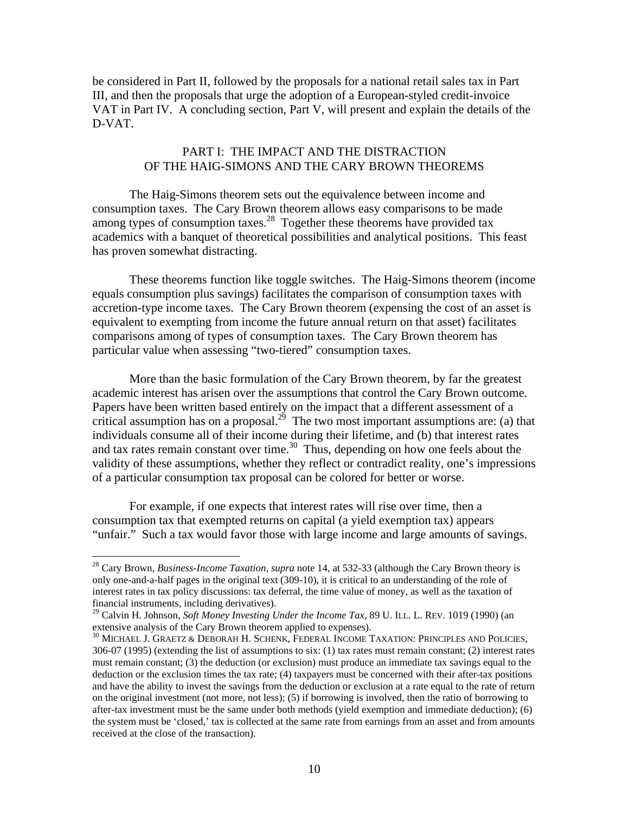be considered in Part II, followed by the proposals for a national retail sales tax in Part III, and then the proposals that urge the adoption of a European-styled credit-invoice VAT in Part IV. A concluding section, Part V, will present and explain the details of the D-VAT.

## PART I: THE IMPACT AND THE DISTRACTION OF THE HAIG-SIMONS AND THE CARY BROWN THEOREMS

The Haig-Simons theorem sets out the equivalence between income and consumption taxes. The Cary Brown theorem allows easy comparisons to be made among types of consumption taxes.<sup>28</sup> Together these theorems have provided tax academics with a banquet of theoretical possibilities and analytical positions. This feast has proven somewhat distracting.

These theorems function like toggle switches. The Haig-Simons theorem (income equals consumption plus savings) facilitates the comparison of consumption taxes with accretion-type income taxes. The Cary Brown theorem (expensing the cost of an asset is equivalent to exempting from income the future annual return on that asset) facilitates comparisons among of types of consumption taxes. The Cary Brown theorem has particular value when assessing "two-tiered" consumption taxes.

More than the basic formulation of the Cary Brown theorem, by far the greatest academic interest has arisen over the assumptions that control the Cary Brown outcome. Papers have been written based entirely on the impact that a different assessment of a critical assumption has on a proposal.<sup>29</sup> The two most important assumptions are: (a) that individuals consume all of their income during their lifetime, and (b) that interest rates and tax rates remain constant over time.<sup>30</sup> Thus, depending on how one feels about the validity of these assumptions, whether they reflect or contradict reality, one's impressions of a particular consumption tax proposal can be colored for better or worse.

For example, if one expects that interest rates will rise over time, then a consumption tax that exempted returns on capital (a yield exemption tax) appears "unfair." Such a tax would favor those with large income and large amounts of savings.

<sup>28</sup> Cary Brown, *Business-Income Taxation, supra* note 14, at 532-33 (although the Cary Brown theory is only one-and-a-half pages in the original text (309-10), it is critical to an understanding of the role of interest rates in tax policy discussions: tax deferral, the time value of money, as well as the taxation of financial instruments, including derivatives).

<sup>&</sup>lt;sup>29</sup> Calvin H. Johnson, *Soft Money Investing Under the Income Tax*, 89 U. ILL. L. REV. 1019 (1990) (an extensive analysis of the Cary Brown theorem applied to expenses).

 $^{30}$  MICHAEL J. GRAETZ & DEBORAH H. SCHENK, FEDERAL INCOME TAXATION: PRINCIPLES AND POLICIES, 306-07 (1995) (extending the list of assumptions to six: (1) tax rates must remain constant; (2) interest rates must remain constant; (3) the deduction (or exclusion) must produce an immediate tax savings equal to the deduction or the exclusion times the tax rate; (4) taxpayers must be concerned with their after-tax positions and have the ability to invest the savings from the deduction or exclusion at a rate equal to the rate of return on the original investment (not more, not less); (5) if borrowing is involved, then the ratio of borrowing to after-tax investment must be the same under both methods (yield exemption and immediate deduction); (6) the system must be 'closed,' tax is collected at the same rate from earnings from an asset and from amounts received at the close of the transaction).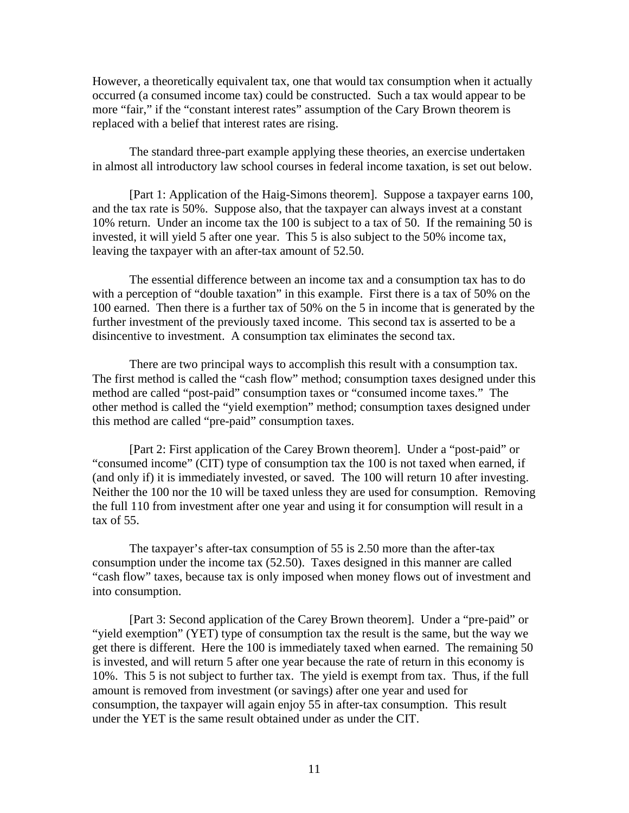However, a theoretically equivalent tax, one that would tax consumption when it actually occurred (a consumed income tax) could be constructed. Such a tax would appear to be more "fair," if the "constant interest rates" assumption of the Cary Brown theorem is replaced with a belief that interest rates are rising.

The standard three-part example applying these theories, an exercise undertaken in almost all introductory law school courses in federal income taxation, is set out below.

[Part 1: Application of the Haig-Simons theorem]. Suppose a taxpayer earns 100, and the tax rate is 50%. Suppose also, that the taxpayer can always invest at a constant 10% return. Under an income tax the 100 is subject to a tax of 50. If the remaining 50 is invested, it will yield 5 after one year. This 5 is also subject to the 50% income tax, leaving the taxpayer with an after-tax amount of 52.50.

The essential difference between an income tax and a consumption tax has to do with a perception of "double taxation" in this example. First there is a tax of 50% on the 100 earned. Then there is a further tax of 50% on the 5 in income that is generated by the further investment of the previously taxed income. This second tax is asserted to be a disincentive to investment. A consumption tax eliminates the second tax.

There are two principal ways to accomplish this result with a consumption tax. The first method is called the "cash flow" method; consumption taxes designed under this method are called "post-paid" consumption taxes or "consumed income taxes." The other method is called the "yield exemption" method; consumption taxes designed under this method are called "pre-paid" consumption taxes.

[Part 2: First application of the Carey Brown theorem]. Under a "post-paid" or "consumed income" (CIT) type of consumption tax the 100 is not taxed when earned, if (and only if) it is immediately invested, or saved. The 100 will return 10 after investing. Neither the 100 nor the 10 will be taxed unless they are used for consumption. Removing the full 110 from investment after one year and using it for consumption will result in a tax of 55.

The taxpayer's after-tax consumption of 55 is 2.50 more than the after-tax consumption under the income tax (52.50). Taxes designed in this manner are called "cash flow" taxes, because tax is only imposed when money flows out of investment and into consumption.

[Part 3: Second application of the Carey Brown theorem]. Under a "pre-paid" or "yield exemption" (YET) type of consumption tax the result is the same, but the way we get there is different. Here the 100 is immediately taxed when earned. The remaining 50 is invested, and will return 5 after one year because the rate of return in this economy is 10%. This 5 is not subject to further tax. The yield is exempt from tax. Thus, if the full amount is removed from investment (or savings) after one year and used for consumption, the taxpayer will again enjoy 55 in after-tax consumption. This result under the YET is the same result obtained under as under the CIT.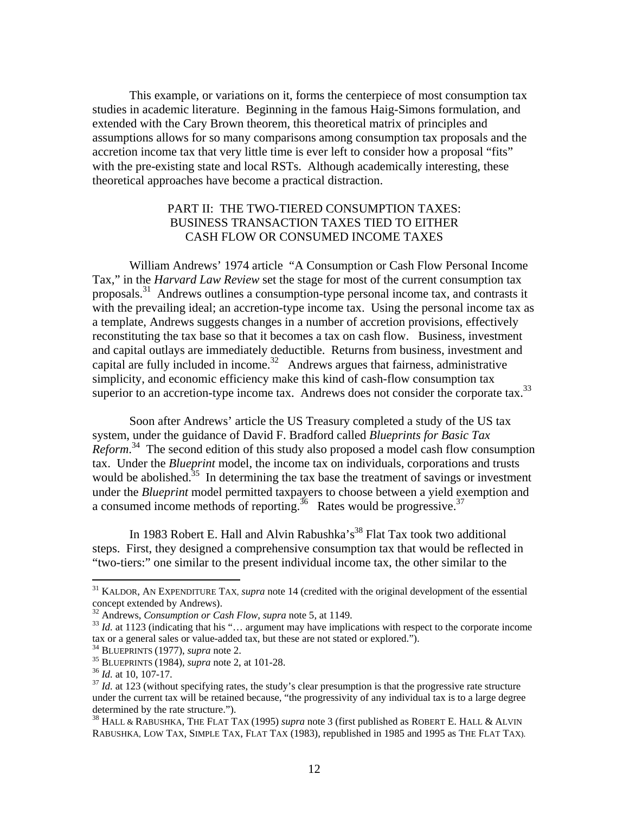This example, or variations on it, forms the centerpiece of most consumption tax studies in academic literature. Beginning in the famous Haig-Simons formulation, and extended with the Cary Brown theorem, this theoretical matrix of principles and assumptions allows for so many comparisons among consumption tax proposals and the accretion income tax that very little time is ever left to consider how a proposal "fits" with the pre-existing state and local RSTs. Although academically interesting, these theoretical approaches have become a practical distraction.

## PART II: THE TWO-TIERED CONSUMPTION TAXES: BUSINESS TRANSACTION TAXES TIED TO EITHER CASH FLOW OR CONSUMED INCOME TAXES

 William Andrews' 1974 article "A Consumption or Cash Flow Personal Income Tax," in the *Harvard Law Review* set the stage for most of the current consumption tax proposals.31 Andrews outlines a consumption-type personal income tax, and contrasts it with the prevailing ideal; an accretion-type income tax. Using the personal income tax as a template, Andrews suggests changes in a number of accretion provisions, effectively reconstituting the tax base so that it becomes a tax on cash flow. Business, investment and capital outlays are immediately deductible. Returns from business, investment and capital are fully included in income.<sup>32</sup> Andrews argues that fairness, administrative simplicity, and economic efficiency make this kind of cash-flow consumption tax superior to an accretion-type income tax. Andrews does not consider the corporate tax.<sup>33</sup>

 Soon after Andrews' article the US Treasury completed a study of the US tax system, under the guidance of David F. Bradford called *Blueprints for Basic Tax Reform*<sup>34</sup> The second edition of this study also proposed a model cash flow consumption tax. Under the *Blueprint* model, the income tax on individuals, corporations and trusts would be abolished.<sup>35</sup> In determining the tax base the treatment of savings or investment under the *Blueprint* model permitted taxpayers to choose between a yield exemption and a consumed income methods of reporting.<sup>36</sup> Rates would be progressive.<sup>37</sup>

In 1983 Robert E. Hall and Alvin Rabushka's<sup>38</sup> Flat Tax took two additional steps. First, they designed a comprehensive consumption tax that would be reflected in "two-tiers:" one similar to the present individual income tax, the other similar to the

<sup>31</sup> KALDOR, AN EXPENDITURE TAX, *supra* note 14 (credited with the original development of the essential concept extended by Andrews).<br><sup>32</sup> Andrews, *Consumption or Cash Flow, supra* note 5, at 1149.

<sup>&</sup>lt;sup>33</sup> Id. at 1123 (indicating that his "… argument may have implications with respect to the corporate income tax or a general sales or value-added tax, but these are not stated or explored.").  $34$  BLUEPRINTS (1977), *supra* note 2.

<sup>&</sup>lt;sup>35</sup> BLUEPRINTS (1984), *supra* note 2, at 101-28.<br><sup>36</sup> *Id.* at 10, 107-17.<br><sup>37</sup> *Id.* at 123 (without specifying rates, the study's clear presumption is that the progressive rate structure under the current tax will be retained because, "the progressivity of any individual tax is to a large degree determined by the rate structure.").

<sup>38</sup> HALL & RABUSHKA, THE FLAT TAX (1995) *supra* note 3 (first published as ROBERT E. HALL & ALVIN RABUSHKA, LOW TAX, SIMPLE TAX, FLAT TAX (1983), republished in 1985 and 1995 as THE FLAT TAX).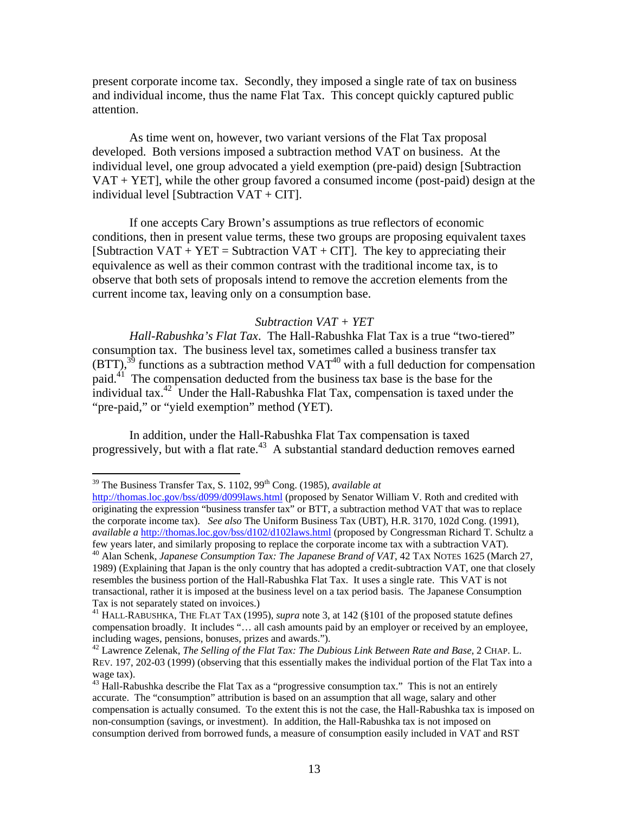present corporate income tax. Secondly, they imposed a single rate of tax on business and individual income, thus the name Flat Tax. This concept quickly captured public attention.

As time went on, however, two variant versions of the Flat Tax proposal developed. Both versions imposed a subtraction method VAT on business. At the individual level, one group advocated a yield exemption (pre-paid) design [Subtraction VAT + YET], while the other group favored a consumed income (post-paid) design at the individual level [Subtraction VAT + CIT].

If one accepts Cary Brown's assumptions as true reflectors of economic conditions, then in present value terms, these two groups are proposing equivalent taxes [Subtraction  $VAT + YET = Subtraction VAT + CIT$ ]. The key to appreciating their equivalence as well as their common contrast with the traditional income tax, is to observe that both sets of proposals intend to remove the accretion elements from the current income tax, leaving only on a consumption base.

#### *Subtraction VAT + YET*

*Hall-Rabushka's Flat Tax*. The Hall-Rabushka Flat Tax is a true "two-tiered" consumption tax. The business level tax, sometimes called a business transfer tax  $(BTT)$ <sup>39</sup> functions as a subtraction method  $VAT<sup>40</sup>$  with a full deduction for compensation paid.41 The compensation deducted from the business tax base is the base for the individual tax.42 Under the Hall-Rabushka Flat Tax, compensation is taxed under the "pre-paid," or "yield exemption" method (YET).

In addition, under the Hall-Rabushka Flat Tax compensation is taxed progressively, but with a flat rate.<sup>43</sup> A substantial standard deduction removes earned

<sup>&</sup>lt;sup>39</sup> The Business Transfer Tax, S. 1102, 99<sup>th</sup> Cong. (1985), *available at* 

http://thomas.loc.gov/bss/d099/d099laws.html (proposed by Senator William V. Roth and credited with originating the expression "business transfer tax" or BTT, a subtraction method VAT that was to replace the corporate income tax). *See also* The Uniform Business Tax (UBT), H.R. 3170, 102d Cong. (1991), *available a* http://thomas.loc.gov/bss/d102/d102laws.html (proposed by Congressman Richard T. Schultz a

few years later, and similarly proposing to replace the corporate income tax with a subtraction VAT). 40 Alan Schenk, *Japanese Consumption Tax: The Japanese Brand of VAT*, 42 TAX NOTES 1625 (March 27, 1989) (Explaining that Japan is the only country that has adopted a credit-subtraction VAT, one that closely resembles the business portion of the Hall-Rabushka Flat Tax. It uses a single rate. This VAT is not transactional, rather it is imposed at the business level on a tax period basis. The Japanese Consumption Tax is not separately stated on invoices.)

<sup>41</sup> HALL-RABUSHKA, THE FLAT TAX (1995), *supra* note 3, at 142 (§101 of the proposed statute defines compensation broadly. It includes "… all cash amounts paid by an employer or received by an employee, including wages, pensions, bonuses, prizes and awards.").

<sup>42</sup> Lawrence Zelenak, *The Selling of the Flat Tax: The Dubious Link Between Rate and Base*, 2 CHAP. L. REV. 197, 202-03 (1999) (observing that this essentially makes the individual portion of the Flat Tax into a wage tax).

<sup>&</sup>lt;sup>43</sup> Hall-Rabushka describe the Flat Tax as a "progressive consumption tax." This is not an entirely accurate. The "consumption" attribution is based on an assumption that all wage, salary and other compensation is actually consumed. To the extent this is not the case, the Hall-Rabushka tax is imposed on non-consumption (savings, or investment). In addition, the Hall-Rabushka tax is not imposed on consumption derived from borrowed funds, a measure of consumption easily included in VAT and RST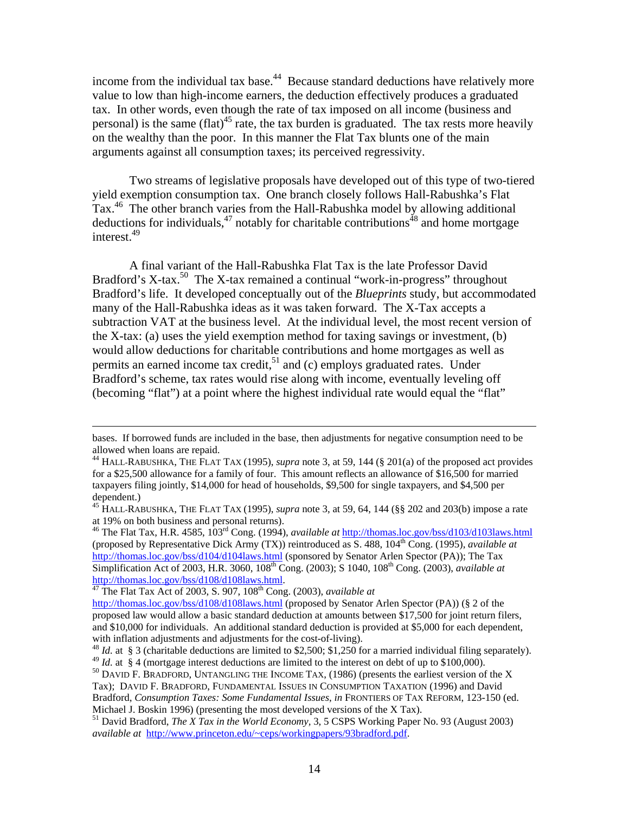income from the individual tax base.<sup>44</sup> Because standard deductions have relatively more value to low than high-income earners, the deduction effectively produces a graduated tax. In other words, even though the rate of tax imposed on all income (business and personal) is the same (flat)<sup>45</sup> rate, the tax burden is graduated. The tax rests more heavily on the wealthy than the poor. In this manner the Flat Tax blunts one of the main arguments against all consumption taxes; its perceived regressivity.

Two streams of legislative proposals have developed out of this type of two-tiered yield exemption consumption tax. One branch closely follows Hall-Rabushka's Flat Tax.46 The other branch varies from the Hall-Rabushka model by allowing additional deductions for individuals,<sup>47</sup> notably for charitable contributions<sup>48</sup> and home mortgage interest.49

A final variant of the Hall-Rabushka Flat Tax is the late Professor David Bradford's X-tax.<sup>50</sup> The X-tax remained a continual "work-in-progress" throughout Bradford's life. It developed conceptually out of the *Blueprints* study, but accommodated many of the Hall-Rabushka ideas as it was taken forward. The X-Tax accepts a subtraction VAT at the business level. At the individual level, the most recent version of the X-tax: (a) uses the yield exemption method for taxing savings or investment, (b) would allow deductions for charitable contributions and home mortgages as well as permits an earned income tax credit,<sup>51</sup> and (c) employs graduated rates. Under Bradford's scheme, tax rates would rise along with income, eventually leveling off (becoming "flat") at a point where the highest individual rate would equal the "flat"

http://thomas.loc.gov/bss/d108/d108laws.html (proposed by Senator Arlen Spector (PA)) (§ 2 of the proposed law would allow a basic standard deduction at amounts between \$17,500 for joint return filers, and \$10,000 for individuals. An additional standard deduction is provided at \$5,000 for each dependent, with inflation adjustments and adjustments for the cost-of-living).

bases. If borrowed funds are included in the base, then adjustments for negative consumption need to be allowed when loans are repaid.

<sup>44</sup> HALL-RABUSHKA, THE FLAT TAX (1995), *supra* note 3, at 59, 144 (§ 201(a) of the proposed act provides for a \$25,500 allowance for a family of four. This amount reflects an allowance of \$16,500 for married taxpayers filing jointly, \$14,000 for head of households, \$9,500 for single taxpayers, and \$4,500 per dependent.)

<sup>45</sup> HALL-RABUSHKA, THE FLAT TAX (1995), *supra* note 3, at 59, 64, 144 (§§ 202 and 203(b) impose a rate at 19% on both business and personal returns).

<sup>46</sup> The Flat Tax, H.R. 4585, 103rd Cong. (1994), *available at* http://thomas.loc.gov/bss/d103/d103laws.html (proposed by Representative Dick Army (TX)) reintroduced as S. 488, 104th Cong. (1995), *available at* http://thomas.loc.gov/bss/d104/d104laws.html (sponsored by Senator Arlen Spector (PA)); The Tax Simplification Act of 2003, H.R. 3060, 108<sup>th</sup> Cong. (2003); S 1040, 108<sup>th</sup> Cong. (2003), *available at* http://thomas.loc.gov/bss/d108/d108laws.html. 47 The Flat Tax Act of 2003, S. 907, 108th Cong. (2003), *available at* 

<sup>&</sup>lt;sup>48</sup> *Id.* at § 3 (charitable deductions are limited to \$2,500; \$1,250 for a married individual filing separately).

*A9 Id.* at § 4 (mortgage interest deductions are limited to the interest on debt of up to \$100,000).<br><sup>50</sup> DAVID F. BRADFORD, UNTANGLING THE INCOME TAX, (1986) (presents the earliest version of the X

Tax); DAVID F. BRADFORD, FUNDAMENTAL ISSUES IN CONSUMPTION TAXATION (1996) and David Bradford, *Consumption Taxes: Some Fundamental Issues*, *in* FRONTIERS OF TAX REFORM, 123-150 (ed. Michael J. Boskin 1996) (presenting the most developed versions of the X Tax).

<sup>51</sup> David Bradford, *The X Tax in the World Economy,* 3, 5 CSPS Working Paper No. 93 (August 2003) *available at* http://www.princeton.edu/~ceps/workingpapers/93bradford.pdf.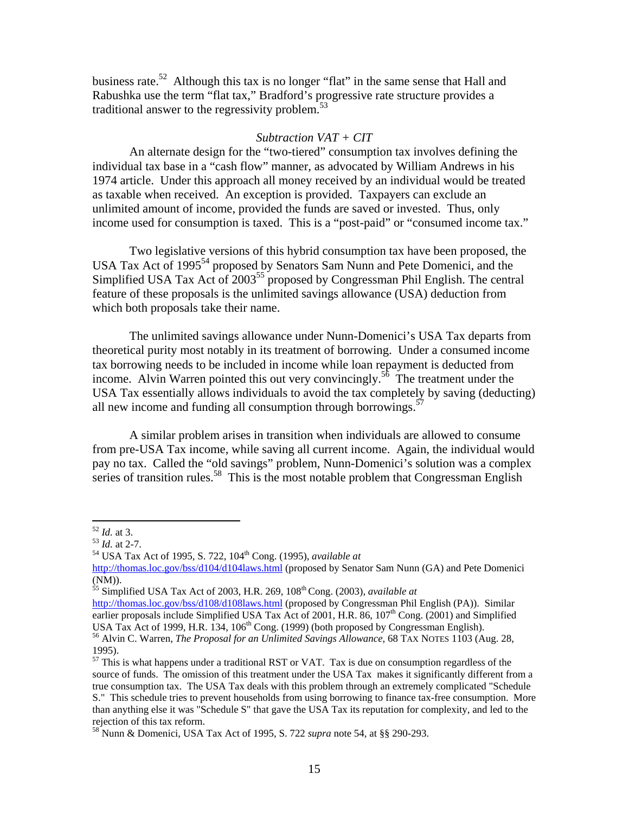business rate.<sup>52</sup> Although this tax is no longer "flat" in the same sense that Hall and Rabushka use the term "flat tax," Bradford's progressive rate structure provides a traditional answer to the regressivity problem.<sup>53</sup>

#### *Subtraction VAT + CIT*

 An alternate design for the "two-tiered" consumption tax involves defining the individual tax base in a "cash flow" manner, as advocated by William Andrews in his 1974 article. Under this approach all money received by an individual would be treated as taxable when received. An exception is provided. Taxpayers can exclude an unlimited amount of income, provided the funds are saved or invested. Thus, only income used for consumption is taxed. This is a "post-paid" or "consumed income tax."

 Two legislative versions of this hybrid consumption tax have been proposed, the USA Tax Act of 1995<sup>54</sup> proposed by Senators Sam Nunn and Pete Domenici, and the Simplified USA Tax Act of  $2003^{55}$  proposed by Congressman Phil English. The central feature of these proposals is the unlimited savings allowance (USA) deduction from which both proposals take their name.

 The unlimited savings allowance under Nunn-Domenici's USA Tax departs from theoretical purity most notably in its treatment of borrowing. Under a consumed income tax borrowing needs to be included in income while loan repayment is deducted from income. Alvin Warren pointed this out very convincingly.<sup>56</sup> The treatment under the USA Tax essentially allows individuals to avoid the tax completely by saving (deducting) all new income and funding all consumption through borrowings. $57$ 

A similar problem arises in transition when individuals are allowed to consume from pre-USA Tax income, while saving all current income. Again, the individual would pay no tax. Called the "old savings" problem, Nunn-Domenici's solution was a complex series of transition rules.<sup>58</sup> This is the most notable problem that Congressman English

 $52$  *Id.* at 3.

<sup>52</sup> *Id.* at 3. 53 *Id.* at 2-7. 54 USA Tax Act of 1995, S. 722, 104th Cong. (1995), *available at*

http://thomas.loc.gov/bss/d104/d104laws.html (proposed by Senator Sam Nunn (GA) and Pete Domenici (NM)).

<sup>55</sup> Simplified USA Tax Act of 2003, H.R. 269, 108th Cong. (2003), *available at* 

http://thomas.loc.gov/bss/d108/d108laws.html (proposed by Congressman Phil English (PA)). Similar earlier proposals include Simplified USA Tax Act of 2001, H.R. 86, 107<sup>th</sup> Cong. (2001) and Simplified USA Tax Act of 1999, H.R. 134, 106<sup>th</sup> Cong. (1999) (both proposed by Congressman English).

<sup>&</sup>lt;sup>56</sup> Alvin C. Warren, *The Proposal for an Unlimited Savings Allowance*, 68 TAX NOTES 1103 (Aug. 28, 1995).

<sup>&</sup>lt;sup>57</sup> This is what happens under a traditional RST or VAT. Tax is due on consumption regardless of the source of funds. The omission of this treatment under the USA Tax makes it significantly different from a true consumption tax. The USA Tax deals with this problem through an extremely complicated "Schedule S." This schedule tries to prevent households from using borrowing to finance tax-free consumption. More than anything else it was "Schedule S" that gave the USA Tax its reputation for complexity, and led to the rejection of this tax reform.

<sup>58</sup> Nunn & Domenici, USA Tax Act of 1995, S. 722 *supra* note 54*,* at §§ 290-293.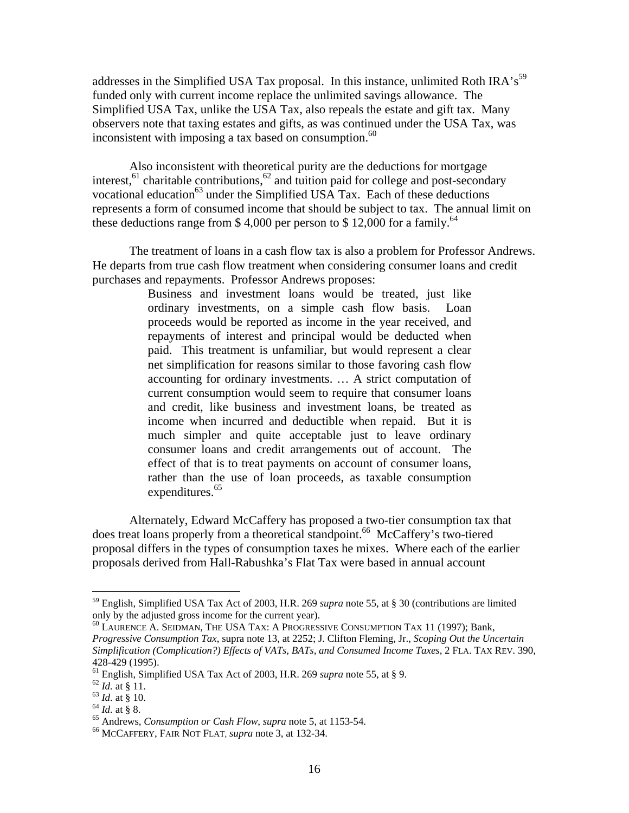addresses in the Simplified USA Tax proposal. In this instance, unlimited Roth IRA's<sup>59</sup> funded only with current income replace the unlimited savings allowance. The Simplified USA Tax, unlike the USA Tax, also repeals the estate and gift tax. Many observers note that taxing estates and gifts, as was continued under the USA Tax, was inconsistent with imposing a tax based on consumption.  $60$ 

Also inconsistent with theoretical purity are the deductions for mortgage interest,  $61$  charitable contributions,  $62$  and tuition paid for college and post-secondary vocational education<sup>63</sup> under the Simplified USA Tax. Each of these deductions represents a form of consumed income that should be subject to tax. The annual limit on these deductions range from \$4,000 per person to \$12,000 for a family.<sup>64</sup>

The treatment of loans in a cash flow tax is also a problem for Professor Andrews. He departs from true cash flow treatment when considering consumer loans and credit purchases and repayments. Professor Andrews proposes:

> Business and investment loans would be treated, just like ordinary investments, on a simple cash flow basis. Loan proceeds would be reported as income in the year received, and repayments of interest and principal would be deducted when paid. This treatment is unfamiliar, but would represent a clear net simplification for reasons similar to those favoring cash flow accounting for ordinary investments. … A strict computation of current consumption would seem to require that consumer loans and credit, like business and investment loans, be treated as income when incurred and deductible when repaid. But it is much simpler and quite acceptable just to leave ordinary consumer loans and credit arrangements out of account. The effect of that is to treat payments on account of consumer loans, rather than the use of loan proceeds, as taxable consumption expenditures.<sup>65</sup>

 Alternately, Edward McCaffery has proposed a two-tier consumption tax that does treat loans properly from a theoretical standpoint.<sup>66</sup> McCaffery's two-tiered proposal differs in the types of consumption taxes he mixes. Where each of the earlier proposals derived from Hall-Rabushka's Flat Tax were based in annual account

<sup>&</sup>lt;sup>59</sup> English, Simplified USA Tax Act of 2003, H.R. 269 *supra* note 55, at § 30 (contributions are limited only by the adjusted gross income for the current year).

 $^{60}$  LAURENCE A. SEIDMAN, THE USA TAX: A PROGRESSIVE CONSUMPTION TAX 11 (1997); Bank, *Progressive Consumption Tax*, supra note 13, at 2252; J. Clifton Fleming, Jr., *Scoping Out the Uncertain Simplification (Complication?) Effects of VATs, BATs, and Consumed Income Taxes*, 2 FLA. TAX REV. 390, 428-429 (1995).<br> $^{61}$  English, Simplified USA Tax Act of 2003, H.R. 269 *supra* note 55, at § 9.

<sup>&</sup>lt;sup>62</sup> *Id.* at § 11.<br>
<sup>63</sup> *Id.* at § 10.<br>
<sup>64</sup> *Id.* at § 8.<br>
<sup>64</sup> *Id.* at § 8.<br>
<sup>65</sup> Andrews, *Consumption or Cash Flow, supra* note 5, at 1153-54.<br>
<sup>66</sup> MCCAFFERY, FAIR NOT FLAT, *supra* note 3, at 132-34.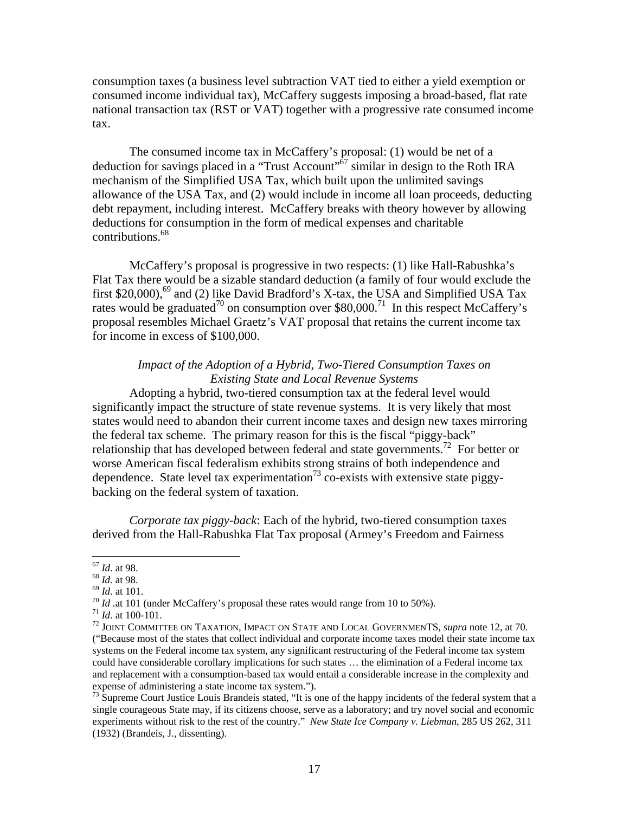consumption taxes (a business level subtraction VAT tied to either a yield exemption or consumed income individual tax), McCaffery suggests imposing a broad-based, flat rate national transaction tax (RST or VAT) together with a progressive rate consumed income tax.

The consumed income tax in McCaffery's proposal: (1) would be net of a deduction for savings placed in a "Trust Account" $\frac{1}{67}$  similar in design to the Roth IRA mechanism of the Simplified USA Tax, which built upon the unlimited savings allowance of the USA Tax, and (2) would include in income all loan proceeds, deducting debt repayment, including interest. McCaffery breaks with theory however by allowing deductions for consumption in the form of medical expenses and charitable contributions.68

McCaffery's proposal is progressive in two respects: (1) like Hall-Rabushka's Flat Tax there would be a sizable standard deduction (a family of four would exclude the first \$20,000),<sup>69</sup> and (2) like David Bradford's X-tax, the USA and Simplified USA Tax rates would be graduated<sup>70</sup> on consumption over \$80,000.<sup>71</sup> In this respect McCaffery's proposal resembles Michael Graetz's VAT proposal that retains the current income tax for income in excess of \$100,000.

#### *Impact of the Adoption of a Hybrid, Two-Tiered Consumption Taxes on Existing State and Local Revenue Systems*

 Adopting a hybrid, two-tiered consumption tax at the federal level would significantly impact the structure of state revenue systems. It is very likely that most states would need to abandon their current income taxes and design new taxes mirroring the federal tax scheme. The primary reason for this is the fiscal "piggy-back" relationship that has developed between federal and state governments.72 For better or worse American fiscal federalism exhibits strong strains of both independence and dependence. State level tax experimentation<sup>73</sup> co-exists with extensive state piggybacking on the federal system of taxation.

*Corporate tax piggy-back*: Each of the hybrid, two-tiered consumption taxes derived from the Hall-Rabushka Flat Tax proposal (Armey's Freedom and Fairness

 $67$  *Id.* at 98.

<sup>&</sup>lt;sup>68</sup> *Id.* at 98.<br><sup>69</sup> *Id.* at 101.<br><sup>70</sup> *Id.* at 101 (under McCaffery's proposal these rates would range from 10 to 50%).<br><sup>71</sup> *Id.* at 100-101.<br><sup>72</sup> JOINT COMMITTEE ON TAXATION, IMPACT ON STATE AND LOCAL GOVERNMENTS, ("Because most of the states that collect individual and corporate income taxes model their state income tax systems on the Federal income tax system, any significant restructuring of the Federal income tax system could have considerable corollary implications for such states … the elimination of a Federal income tax and replacement with a consumption-based tax would entail a considerable increase in the complexity and expense of administering a state income tax system.").

 $73$  Supreme Court Justice Louis Brandeis stated, "It is one of the happy incidents of the federal system that a single courageous State may, if its citizens choose, serve as a laboratory; and try novel social and economic experiments without risk to the rest of the country." *New State Ice Company v. Liebman*, 285 US 262, 311 (1932) (Brandeis, J., dissenting).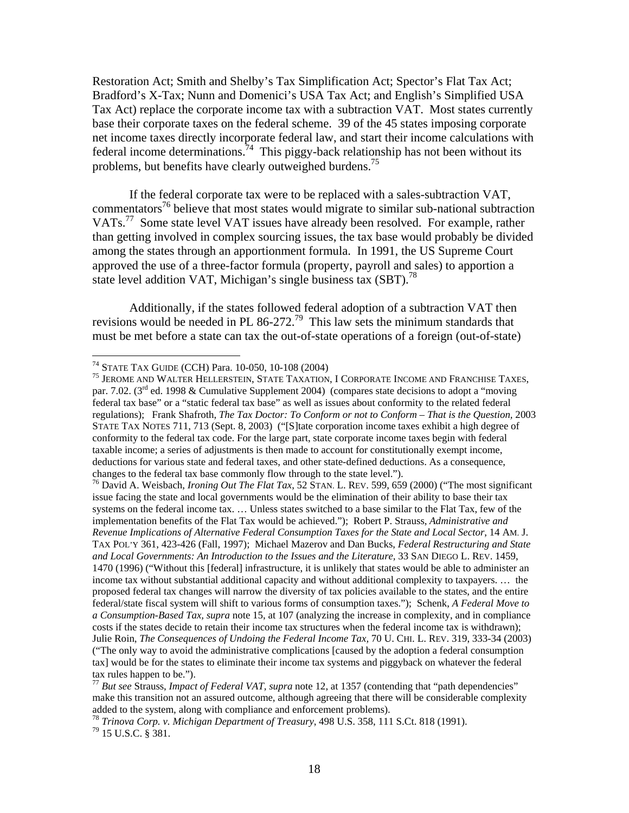Restoration Act; Smith and Shelby's Tax Simplification Act; Spector's Flat Tax Act; Bradford's X-Tax; Nunn and Domenici's USA Tax Act; and English's Simplified USA Tax Act) replace the corporate income tax with a subtraction VAT. Most states currently base their corporate taxes on the federal scheme. 39 of the 45 states imposing corporate net income taxes directly incorporate federal law, and start their income calculations with federal income determinations.<sup>74</sup> This piggy-back relationship has not been without its problems, but benefits have clearly outweighed burdens.<sup>75</sup>

If the federal corporate tax were to be replaced with a sales-subtraction VAT, commentators<sup>76</sup> believe that most states would migrate to similar sub-national subtraction VATs.77 Some state level VAT issues have already been resolved. For example, rather than getting involved in complex sourcing issues, the tax base would probably be divided among the states through an apportionment formula. In 1991, the US Supreme Court approved the use of a three-factor formula (property, payroll and sales) to apportion a state level addition VAT, Michigan's single business tax  $(SBT)$ <sup>78</sup>

Additionally, if the states followed federal adoption of a subtraction VAT then revisions would be needed in PL 86-272.<sup>79</sup> This law sets the minimum standards that must be met before a state can tax the out-of-state operations of a foreign (out-of-state)

1

<sup>&</sup>lt;sup>74</sup> State Tax Guide (CCH) Para. 10-050, 10-108 (2004)<br><sup>75</sup> Jerome and Walter Hellerstein, State Taxation, I Corporate Income and Franchise Taxes, par. 7.02. ( $3<sup>rd</sup>$  ed. 1998 & Cumulative Supplement 2004) (compares state decisions to adopt a "moving federal tax base" or a "static federal tax base" as well as issues about conformity to the related federal regulations); Frank Shafroth, *The Tax Doctor: To Conform or not to Conform – That is the Question,* 2003 STATE TAX NOTES 711, 713 (Sept. 8, 2003) ("[S]tate corporation income taxes exhibit a high degree of conformity to the federal tax code. For the large part, state corporate income taxes begin with federal taxable income; a series of adjustments is then made to account for constitutionally exempt income, deductions for various state and federal taxes, and other state-defined deductions. As a consequence, changes to the federal tax base commonly flow through to the state level."). 76 David A. Weisbach, *Ironing Out The Flat Tax*, 52 STAN. L. REV. 599, 659 (2000) ("The most significant

issue facing the state and local governments would be the elimination of their ability to base their tax systems on the federal income tax. … Unless states switched to a base similar to the Flat Tax, few of the implementation benefits of the Flat Tax would be achieved."); Robert P. Strauss, *Administrative and Revenue Implications of Alternative Federal Consumption Taxes for the State and Local Sector*, 14 AM. J. TAX POL'Y 361, 423-426 (Fall, 1997); Michael Mazerov and Dan Bucks, *Federal Restructuring and State and Local Governments: An Introduction to the Issues and the Literature,* 33 SAN DIEGO L. REV. 1459, 1470 (1996) ("Without this [federal] infrastructure, it is unlikely that states would be able to administer an income tax without substantial additional capacity and without additional complexity to taxpayers. … the proposed federal tax changes will narrow the diversity of tax policies available to the states, and the entire federal/state fiscal system will shift to various forms of consumption taxes."); Schenk, *A Federal Move to a Consumption-Based Tax, supra* note 15, at 107 (analyzing the increase in complexity, and in compliance costs if the states decide to retain their income tax structures when the federal income tax is withdrawn); Julie Roin, *The Consequences of Undoing the Federal Income Tax,* 70 U. CHI. L. REV. 319, 333-34 (2003) ("The only way to avoid the administrative complications [caused by the adoption a federal consumption tax] would be for the states to eliminate their income tax systems and piggyback on whatever the federal tax rules happen to be.").

<sup>77</sup> *But see* Strauss, *Impact of Federal VAT, supra* note 12, at 1357 (contending that "path dependencies" make this transition not an assured outcome, although agreeing that there will be considerable complexity

added to the system, along with compliance and enforcement problems).<br><sup>78</sup> *Trinova Corp. v. Michigan Department of Treasury*, 498 U.S. 358, 111 S.Ct. 818 (1991).<br><sup>79</sup> 15 U.S.C. § 381.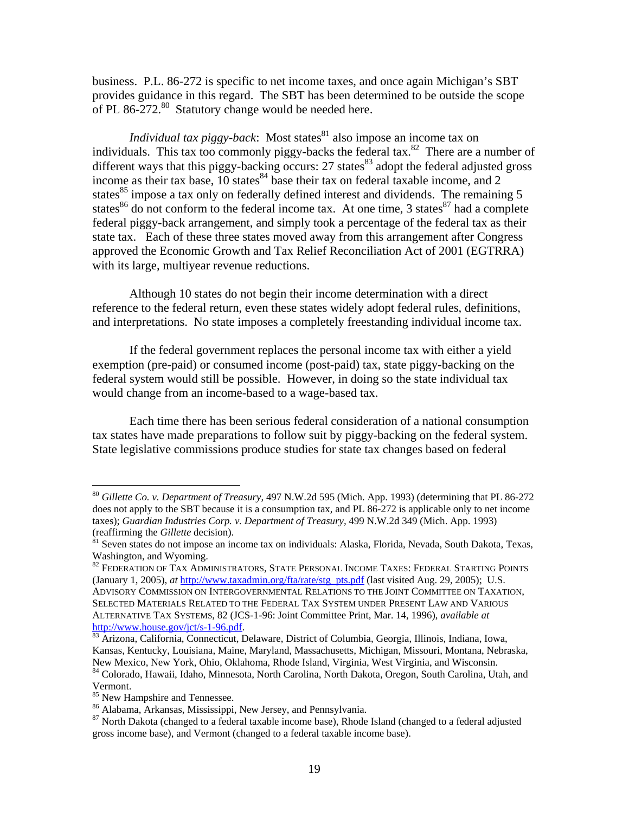business. P.L. 86-272 is specific to net income taxes, and once again Michigan's SBT provides guidance in this regard. The SBT has been determined to be outside the scope of PL 86-272.<sup>80</sup> Statutory change would be needed here.

*Individual tax piggy-back*: Most states<sup>81</sup> also impose an income tax on individuals. This tax too commonly piggy-backs the federal tax.<sup>82</sup> There are a number of different ways that this piggy-backing occurs: 27 states  $\frac{83}{9}$  adopt the federal adjusted gross income as their tax base,  $\frac{1}{2}$  of states<sup>84</sup> base their tax on federal taxable income, and 2 states<sup>85</sup> impose a tax only on federally defined interest and dividends. The remaining 5 states  $86$  do not conform to the federal income tax. At one time, 3 states  $87$  had a complete federal piggy-back arrangement, and simply took a percentage of the federal tax as their state tax. Each of these three states moved away from this arrangement after Congress approved the Economic Growth and Tax Relief Reconciliation Act of 2001 (EGTRRA) with its large, multiyear revenue reductions.

Although 10 states do not begin their income determination with a direct reference to the federal return, even these states widely adopt federal rules, definitions, and interpretations. No state imposes a completely freestanding individual income tax.

If the federal government replaces the personal income tax with either a yield exemption (pre-paid) or consumed income (post-paid) tax, state piggy-backing on the federal system would still be possible. However, in doing so the state individual tax would change from an income-based to a wage-based tax.

Each time there has been serious federal consideration of a national consumption tax states have made preparations to follow suit by piggy-backing on the federal system. State legislative commissions produce studies for state tax changes based on federal

<sup>80</sup> *Gillette Co. v. Department of Treasury*, 497 N.W.2d 595 (Mich. App. 1993) (determining that PL 86-272 does not apply to the SBT because it is a consumption tax, and PL 86-272 is applicable only to net income taxes); *Guardian Industries Corp. v. Department of Treasury,* 499 N.W.2d 349 (Mich. App. 1993) (reaffirming the *Gillette* decision).<br><sup>81</sup> Seven states do not impose an income tax on individuals: Alaska, Florida, Nevada, South Dakota, Texas,

Washington, and Wyoming.

<sup>82</sup> FEDERATION OF TAX ADMINISTRATORS, STATE PERSONAL INCOME TAXES: FEDERAL STARTING POINTS (January 1, 2005), *at* http://www.taxadmin.org/fta/rate/stg\_pts.pdf (last visited Aug. 29, 2005); U.S. ADVISORY COMMISSION ON INTERGOVERNMENTAL RELATIONS TO THE JOINT COMMITTEE ON TAXATION, SELECTED MATERIALS RELATED TO THE FEDERAL TAX SYSTEM UNDER PRESENT LAW AND VARIOUS ALTERNATIVE TAX SYSTEMS, 82 (JCS-1-96: Joint Committee Print, Mar. 14, 1996), *available at*

<sup>83</sup> Arizona, California, Connecticut, Delaware, District of Columbia, Georgia, Illinois, Indiana, Iowa, Kansas, Kentucky, Louisiana, Maine, Maryland, Massachusetts, Michigan, Missouri, Montana, Nebraska, New Mexico, New York, Ohio, Oklahoma, Rhode Island, Virginia, West Virginia, and Wisconsin.

<sup>84</sup> Colorado, Hawaii, Idaho, Minnesota, North Carolina, North Dakota, Oregon, South Carolina, Utah, and Vermont.

<sup>&</sup>lt;sup>85</sup> New Hampshire and Tennessee.

<sup>86</sup> Alabama, Arkansas, Mississippi, New Jersey, and Pennsylvania.

<sup>&</sup>lt;sup>87</sup> North Dakota (changed to a federal taxable income base), Rhode Island (changed to a federal adjusted gross income base), and Vermont (changed to a federal taxable income base).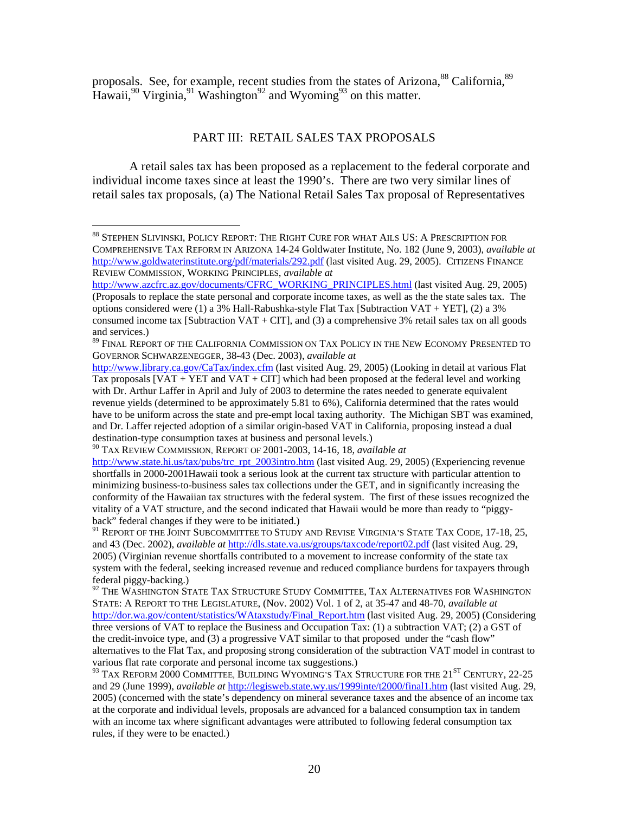proposals. See, for example, recent studies from the states of Arizona,<sup>88</sup> California,<sup>89</sup> Hawaii,<sup>90</sup> Virginia,<sup>91</sup> Washington<sup>92</sup> and Wyoming<sup>93</sup> on this matter.

## PART III: RETAIL SALES TAX PROPOSALS

 A retail sales tax has been proposed as a replacement to the federal corporate and individual income taxes since at least the 1990's. There are two very similar lines of retail sales tax proposals, (a) The National Retail Sales Tax proposal of Representatives

<sup>88</sup> STEPHEN SLIVINSKI, POLICY REPORT: THE RIGHT CURE FOR WHAT AILS US: A PRESCRIPTION FOR COMPREHENSIVE TAX REFORM IN ARIZONA 14-24 Goldwater Institute, No. 182 (June 9, 2003), *available at* http://www.goldwaterinstitute.org/pdf/materials/292.pdf (last visited Aug. 29, 2005). CITIZENS FINANCE REVIEW COMMISSION, WORKING PRINCIPLES, *available at*

http://www.azcfrc.az.gov/documents/CFRC\_WORKING\_PRINCIPLES.html (last visited Aug. 29, 2005) (Proposals to replace the state personal and corporate income taxes, as well as the the state sales tax. The options considered were (1) a 3% Hall-Rabushka-style Flat Tax [Subtraction VAT + YET], (2) a 3% consumed income tax [Subtraction  $VAT + CIT$ ], and (3) a comprehensive 3% retail sales tax on all goods and services.)

<sup>89</sup> FINAL REPORT OF THE CALIFORNIA COMMISSION ON TAX POLICY IN THE NEW ECONOMY PRESENTED TO GOVERNOR SCHWARZENEGGER, 38-43 (Dec. 2003), *available at*

http://www.library.ca.gov/CaTax/index.cfm (last visited Aug. 29, 2005) (Looking in detail at various Flat Tax proposals [VAT + YET and VAT + CIT] which had been proposed at the federal level and working with Dr. Arthur Laffer in April and July of 2003 to determine the rates needed to generate equivalent revenue yields (determined to be approximately 5.81 to 6%), California determined that the rates would have to be uniform across the state and pre-empt local taxing authority. The Michigan SBT was examined, and Dr. Laffer rejected adoption of a similar origin-based VAT in California, proposing instead a dual destination-type consumption taxes at business and personal levels.)

<sup>90</sup> TAX REVIEW COMMISSION, REPORT OF 2001-2003, 14-16, 18, *available at*

http://www.state.hi.us/tax/pubs/trc\_rpt\_2003intro.htm (last visited Aug. 29, 2005) (Experiencing revenue shortfalls in 2000-2001Hawaii took a serious look at the current tax structure with particular attention to minimizing business-to-business sales tax collections under the GET, and in significantly increasing the conformity of the Hawaiian tax structures with the federal system. The first of these issues recognized the vitality of a VAT structure, and the second indicated that Hawaii would be more than ready to "piggyback" federal changes if they were to be initiated.)

<sup>91</sup> REPORT OF THE JOINT SUBCOMMITTEE TO STUDY AND REVISE VIRGINIA'S STATE TAX CODE*,* 17-18, 25, and 43 (Dec. 2002), *available at* http://dls.state.va.us/groups/taxcode/report02.pdf (last visited Aug. 29, 2005) (Virginian revenue shortfalls contributed to a movement to increase conformity of the state tax system with the federal, seeking increased revenue and reduced compliance burdens for taxpayers through federal piggy-backing.)

<sup>&</sup>lt;sup>92</sup> THE WASHINGTON STATE TAX STRUCTURE STUDY COMMITTEE, TAX ALTERNATIVES FOR WASHINGTON STATE: A REPORT TO THE LEGISLATURE, (Nov. 2002) Vol. 1 of 2, at 35-47 and 48-70, *available at* http://dor.wa.gov/content/statistics/WAtaxstudy/Final\_Report.htm (last visited Aug. 29, 2005) (Considering three versions of VAT to replace the Business and Occupation Tax: (1) a subtraction VAT; (2) a GST of the credit-invoice type, and (3) a progressive VAT similar to that proposed under the "cash flow" alternatives to the Flat Tax, and proposing strong consideration of the subtraction VAT model in contrast to various flat rate corporate and personal income tax suggestions.)

<sup>93</sup> TAX REFORM 2000 COMMITTEE, BUILDING WYOMING'S TAX STRUCTURE FOR THE 21ST CENTURY*,* 22-25 and 29 (June 1999), *available at* http://legisweb.state.wy.us/1999inte/t2000/final1.htm (last visited Aug. 29, 2005) (concerned with the state's dependency on mineral severance taxes and the absence of an income tax at the corporate and individual levels, proposals are advanced for a balanced consumption tax in tandem with an income tax where significant advantages were attributed to following federal consumption tax rules, if they were to be enacted.)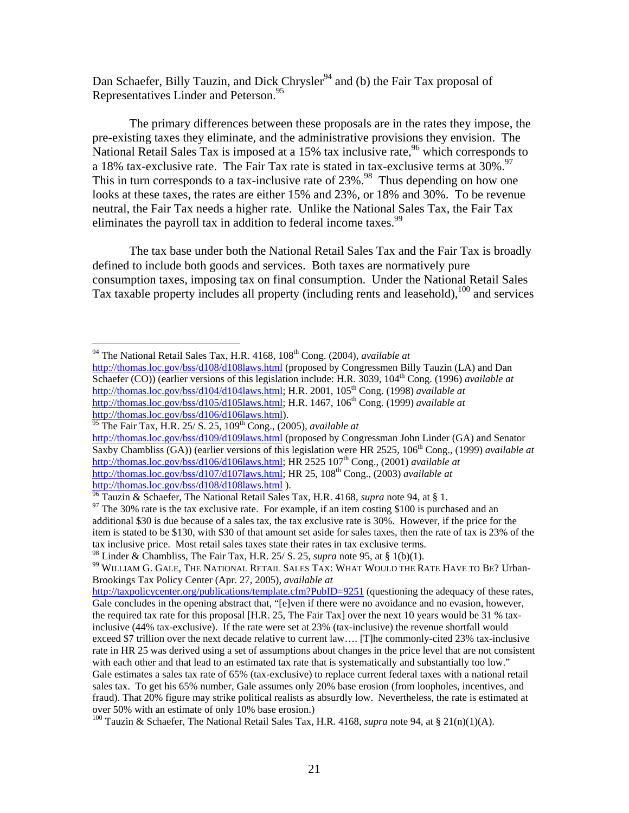Dan Schaefer, Billy Tauzin, and Dick Chrysler<sup>94</sup> and (b) the Fair Tax proposal of Representatives Linder and Peterson.<sup>95</sup>

The primary differences between these proposals are in the rates they impose, the pre-existing taxes they eliminate, and the administrative provisions they envision. The National Retail Sales Tax is imposed at a 15% tax inclusive rate,<sup>96</sup> which corresponds to a 18% tax-exclusive rate. The Fair Tax rate is stated in tax-exclusive terms at  $30\%$ .<sup>97</sup> This in turn corresponds to a tax-inclusive rate of  $23\%$ .<sup>98</sup> Thus depending on how one looks at these taxes, the rates are either 15% and 23%, or 18% and 30%. To be revenue neutral, the Fair Tax needs a higher rate. Unlike the National Sales Tax, the Fair Tax eliminates the payroll tax in addition to federal income taxes.<sup>99</sup>

The tax base under both the National Retail Sales Tax and the Fair Tax is broadly defined to include both goods and services. Both taxes are normatively pure consumption taxes, imposing tax on final consumption. Under the National Retail Sales Tax taxable property includes all property (including rents and leasehold),<sup>100</sup> and services

 $\overline{a}$ 

http://thomas.loc.gov/bss/d109/d109laws.html (proposed by Congressman John Linder (GA) and Senator Saxby Chambliss (GA)) (earlier versions of this legislation were HR 2525, 106<sup>th</sup> Cong., (1999) *available at* http://thomas.loc.gov/bss/d106/d106laws.html; HR 2525 107<sup>th</sup> Cong., (2001) *available at* http://thomas.loc.gov/bss/d107/d107laws.html; HR 25, 108<sup>th</sup> Cong., (2003) *available at* 

<sup>&</sup>lt;sup>94</sup> The National Retail Sales Tax, H.R. 4168, 108<sup>th</sup> Cong. (2004), *available at* 

http://thomas.loc.gov/bss/d108/d108laws.html (proposed by Congressmen Billy Tauzin (LA) and Dan Schaefer (CO)) (earlier versions of this legislation include: H.R. 3039, 104<sup>th</sup> Cong. (1996) *available at* http://thomas.loc.gov/bss/d104/d104laws.html; H.R. 2001, 105th Cong. (1998) *available at*  http://thomas.loc.gov/bss/d105/d105laws.html; H.R. 1467, 106th Cong. (1999) *available at*  http://thomas.loc.gov/bss/d106/d106laws.html).

<sup>95</sup> The Fair Tax, H.R. 25/ S. 25, 109th Cong., (2005), *available at*

http://thomas.loc.gov/bss/d108/d108laws.html ).<br><sup>96</sup> Tauzin & Schaefer, The National Retail Sales Tax, H.R. 4168, *supra* note 94, at § 1.<br><sup>97</sup> The 30% rate is the tax exclusive rate. For example, if an item costing \$100 additional \$30 is due because of a sales tax, the tax exclusive rate is 30%. However, if the price for the item is stated to be \$130, with \$30 of that amount set aside for sales taxes, then the rate of tax is 23% of the tax inclusive price. Most retail sales taxes state their rates in tax exclusive terms.<br><sup>98</sup> Linder & Chambliss, The Fair Tax, H.R. 25/ S. 25, *supra* note 95, at § 1(b)(1).

<sup>&</sup>lt;sup>99</sup> WILLIAM G. GALE, THE NATIONAL RETAIL SALES TAX: WHAT WOULD THE RATE HAVE TO BE? Urban-Brookings Tax Policy Center (Apr. 27, 2005), *available at*

http://taxpolicycenter.org/publications/template.cfm?PubID=9251 (questioning the adequacy of these rates, Gale concludes in the opening abstract that, "[e]ven if there were no avoidance and no evasion, however, the required tax rate for this proposal [H.R. 25, The Fair Tax] over the next 10 years would be 31 % taxinclusive (44% tax-exclusive). If the rate were set at 23% (tax-inclusive) the revenue shortfall would exceed \$7 trillion over the next decade relative to current law…. [T]he commonly-cited 23% tax-inclusive rate in HR 25 was derived using a set of assumptions about changes in the price level that are not consistent with each other and that lead to an estimated tax rate that is systematically and substantially too low." Gale estimates a sales tax rate of 65% (tax-exclusive) to replace current federal taxes with a national retail sales tax. To get his 65% number, Gale assumes only 20% base erosion (from loopholes, incentives, and fraud). That 20% figure may strike political realists as absurdly low. Nevertheless, the rate is estimated at over 50% with an estimate of only 10% base erosion.)

<sup>&</sup>lt;sup>100</sup> Tauzin & Schaefer, The National Retail Sales Tax, H.R. 4168, *supra* note 94, at § 21(n)(1)(A).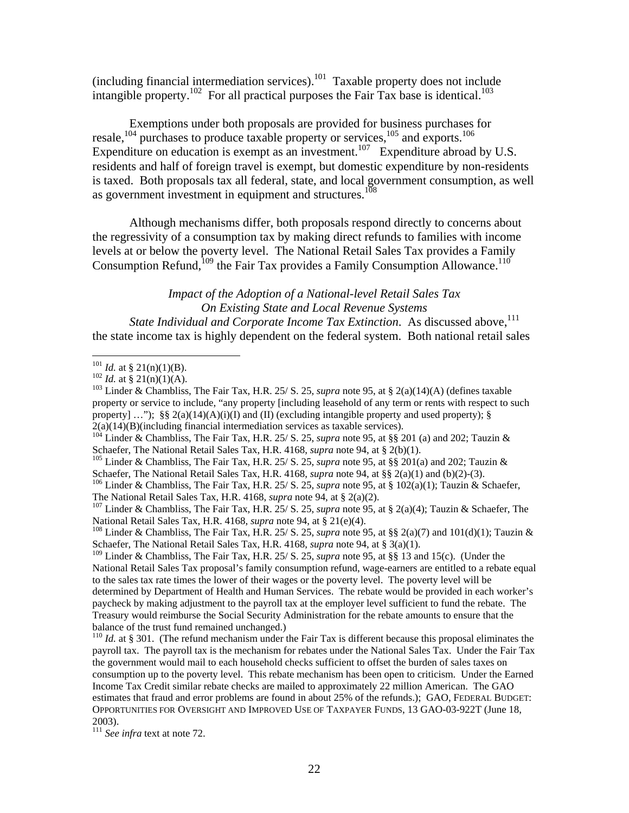$(including financial intermediation services).<sup>101</sup> Taxable property does not include$ intangible property.<sup>102</sup> For all practical purposes the Fair Tax base is identical.<sup>103</sup>

Exemptions under both proposals are provided for business purchases for resale,<sup>104</sup> purchases to produce taxable property or services,<sup>105</sup> and exports.<sup>106</sup> Expenditure on education is exempt as an investment.<sup>107</sup> Expenditure abroad by U.S. residents and half of foreign travel is exempt, but domestic expenditure by non-residents is taxed. Both proposals tax all federal, state, and local government consumption, as well as government investment in equipment and structures.<sup>108</sup>

Although mechanisms differ, both proposals respond directly to concerns about the regressivity of a consumption tax by making direct refunds to families with income levels at or below the poverty level. The National Retail Sales Tax provides a Family Consumption Refund, $109$  the Fair Tax provides a Family Consumption Allowance.<sup>110</sup>

# *Impact of the Adoption of a National-level Retail Sales Tax On Existing State and Local Revenue Systems*

*State Individual and Corporate Income Tax Extinction.* As discussed above,<sup>111</sup> the state income tax is highly dependent on the federal system. Both national retail sales

<sup>104</sup> Linder & Chambliss, The Fair Tax, H.R. 25/ S. 25, *supra* note 95, at §§ 201 (a) and 202; Tauzin & Schaefer, The National Retail Sales Tax, H.R. 4168, *supra* note 94, at § 2(b)(1). <sup>105</sup> Linder & Chambliss, The Fair Tax, H.R. 25/ S. 25, *supra* note 95, at §§ 201(a) and 202; Tauzin &

Schaefer, The National Retail Sales Tax, H.R. 4168, *supra* note 94, at §§ 2(a)(1) and (b)(2)-(3).<br><sup>106</sup> Linder & Chambliss, The Fair Tax, H.R. 25/ S. 25, *supra* note 95, at § 102(a)(1); Tauzin & Schaefer,<br>The National Re

<sup>107</sup> Linder & Chambliss, The Fair Tax, H.R. 25/ S. 25, *supra* note 95, at § 2(a)(4); Tauzin & Schaefer, The National Retail Sales Tax, H.R. 4168, *supra* note 94, at § 21(e)(4).

109 Linder & Chambliss, The Fair Tax, H.R. 25/ S. 25, *supra* note 95, at §§ 13 and 15(c). (Under the National Retail Sales Tax proposal's family consumption refund, wage-earners are entitled to a rebate equal to the sales tax rate times the lower of their wages or the poverty level. The poverty level will be determined by Department of Health and Human Services. The rebate would be provided in each worker's paycheck by making adjustment to the payroll tax at the employer level sufficient to fund the rebate. The Treasury would reimburse the Social Security Administration for the rebate amounts to ensure that the balance of the trust fund remained unchanged.)

<sup>110</sup> *Id.* at § 301. (The refund mechanism under the Fair Tax is different because this proposal eliminates the payroll tax. The payroll tax is the mechanism for rebates under the National Sales Tax. Under the Fair Tax the government would mail to each household checks sufficient to offset the burden of sales taxes on consumption up to the poverty level. This rebate mechanism has been open to criticism. Under the Earned Income Tax Credit similar rebate checks are mailed to approximately 22 million American. The GAO estimates that fraud and error problems are found in about 25% of the refunds.); GAO, FEDERAL BUDGET: OPPORTUNITIES FOR OVERSIGHT AND IMPROVED USE OF TAXPAYER FUNDS, 13 GAO-03-922T (June 18, 2003).

<sup>111</sup> *See infra* text at note 72.

 $101$  *Id.* at § 21(n)(1)(B).

<sup>102</sup> *Id.* at § 21(n)(1)(A).<br><sup>102</sup> *Id.* at § 21(n)(1)(A).<br><sup>103</sup> Linder & Chambliss, The Fair Tax, H.R. 25/ S. 25, *supra* note 95, at § 2(a)(14)(A) (defines taxable property or service to include, "any property [including leasehold of any term or rents with respect to such property] ..."); §§ 2(a)(14)(A)(i)(I) and (II) (excluding intangible property and used property); § 2(a)(14)(B)(including financial intermediation services as taxable services).

<sup>&</sup>lt;sup>108</sup> Linder & Chambliss, The Fair Tax, H.R. 25/ S. 25, *supra* note 95, at §§ 2(a)(7) and 101(d)(1); Tauzin & Schaefer, The National Retail Sales Tax, H.R. 4168, *supra* note 94, at § 3(a)(1).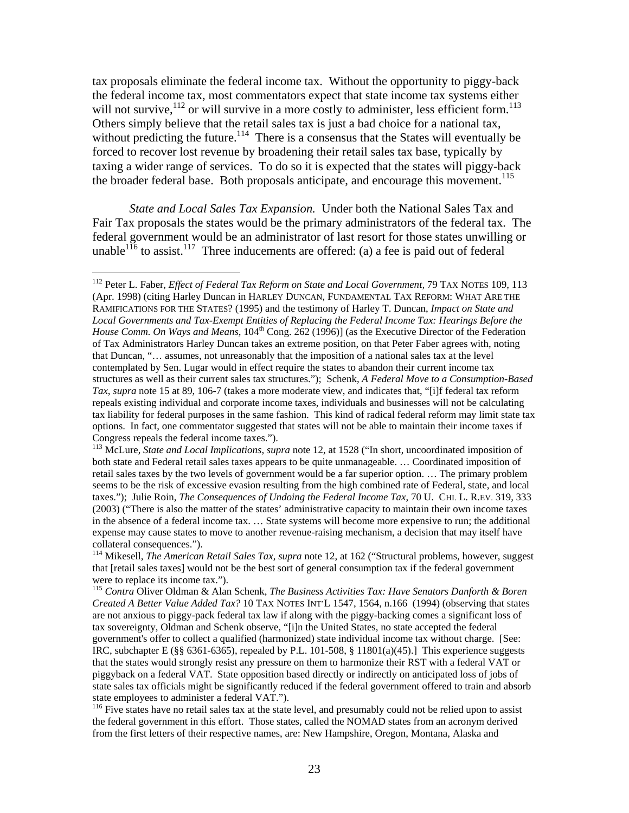tax proposals eliminate the federal income tax. Without the opportunity to piggy-back the federal income tax, most commentators expect that state income tax systems either will not survive,  $^{112}$  or will survive in a more costly to administer, less efficient form.<sup>113</sup> Others simply believe that the retail sales tax is just a bad choice for a national tax, without predicting the future.<sup>114</sup> There is a consensus that the States will eventually be forced to recover lost revenue by broadening their retail sales tax base, typically by taxing a wider range of services. To do so it is expected that the states will piggy-back the broader federal base. Both proposals anticipate, and encourage this movement.<sup>115</sup>

*State and Local Sales Tax Expansion.* Under both the National Sales Tax and Fair Tax proposals the states would be the primary administrators of the federal tax. The federal government would be an administrator of last resort for those states unwilling or unable<sup>116</sup> to assist.<sup>117</sup> Three inducements are offered: (a) a fee is paid out of federal

<u>.</u>

<sup>112</sup> Peter L. Faber, *Effect of Federal Tax Reform on State and Local Government,* 79 TAX NOTES 109, 113 (Apr. 1998) (citing Harley Duncan in HARLEY DUNCAN, FUNDAMENTAL TAX REFORM: WHAT ARE THE RAMIFICATIONS FOR THE STATES? (1995) and the testimony of Harley T. Duncan, *Impact on State and Local Governments and Tax-Exempt Entities of Replacing the Federal Income Tax: Hearings Before the House Comm. On Ways and Means,*  $104^{\text{th}}$  Cong. 262 (1996)] (as the Executive Director of the Federation of Tax Administrators Harley Duncan takes an extreme position, on that Peter Faber agrees with, noting that Duncan, "… assumes, not unreasonably that the imposition of a national sales tax at the level contemplated by Sen. Lugar would in effect require the states to abandon their current income tax structures as well as their current sales tax structures."); Schenk, *A Federal Move to a Consumption-Based Tax, supra* note 15 at 89, 106-7 (takes a more moderate view, and indicates that, "[i]f federal tax reform repeals existing individual and corporate income taxes, individuals and businesses will not be calculating tax liability for federal purposes in the same fashion. This kind of radical federal reform may limit state tax options. In fact, one commentator suggested that states will not be able to maintain their income taxes if Congress repeals the federal income taxes.").

<sup>113</sup> McLure, *State and Local Implications, supra* note 12, at 1528 ("In short, uncoordinated imposition of both state and Federal retail sales taxes appears to be quite unmanageable. … Coordinated imposition of retail sales taxes by the two levels of government would be a far superior option. … The primary problem seems to be the risk of excessive evasion resulting from the high combined rate of Federal, state, and local taxes."); Julie Roin, *The Consequences of Undoing the Federal Income Tax*, 70 U. CHI. L. R.EV. 319, 333 (2003) ("There is also the matter of the states' administrative capacity to maintain their own income taxes in the absence of a federal income tax. … State systems will become more expensive to run; the additional expense may cause states to move to another revenue-raising mechanism, a decision that may itself have collateral consequences.").

<sup>114</sup> Mikesell, *The American Retail Sales Tax, supra* note 12, at 162 ("Structural problems, however, suggest that [retail sales taxes] would not be the best sort of general consumption tax if the federal government were to replace its income tax.").

<sup>115</sup> *Contra* Oliver Oldman & Alan Schenk, *The Business Activities Tax: Have Senators Danforth & Boren Created A Better Value Added Tax?* 10 TAX NOTES INT'L 1547, 1564, n.166 (1994) (observing that states are not anxious to piggy-pack federal tax law if along with the piggy-backing comes a significant loss of tax sovereignty, Oldman and Schenk observe, "[i]n the United States, no state accepted the federal government's offer to collect a qualified (harmonized) state individual income tax without charge. [See: IRC, subchapter E (§§ 6361-6365), repealed by P.L. 101-508, § 11801(a)(45).] This experience suggests that the states would strongly resist any pressure on them to harmonize their RST with a federal VAT or piggyback on a federal VAT. State opposition based directly or indirectly on anticipated loss of jobs of state sales tax officials might be significantly reduced if the federal government offered to train and absorb state employees to administer a federal VAT.").<br><sup>116</sup> Five states have no retail sales tax at the state level, and presumably could not be relied upon to assist

the federal government in this effort. Those states, called the NOMAD states from an acronym derived from the first letters of their respective names, are: New Hampshire, Oregon, Montana, Alaska and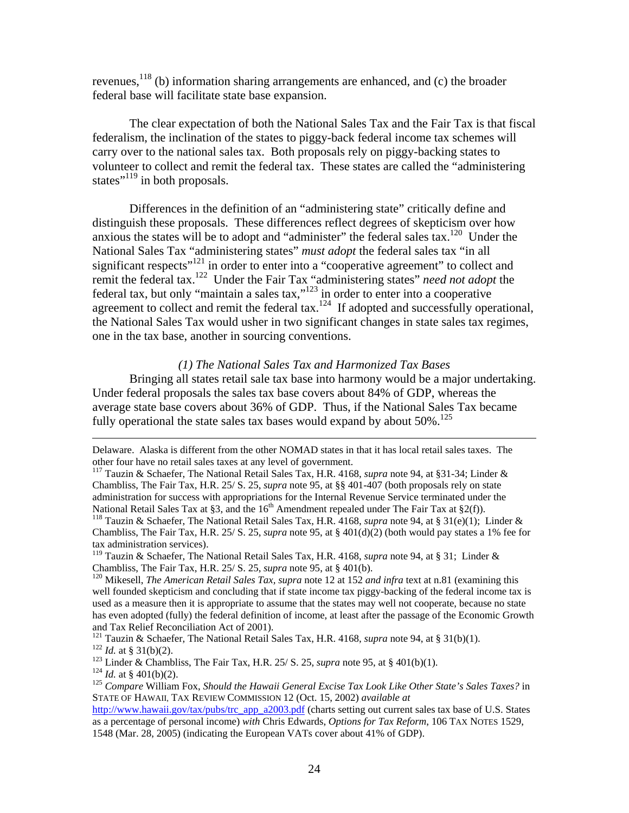revenues,<sup>118</sup> (b) information sharing arrangements are enhanced, and (c) the broader federal base will facilitate state base expansion.

The clear expectation of both the National Sales Tax and the Fair Tax is that fiscal federalism, the inclination of the states to piggy-back federal income tax schemes will carry over to the national sales tax. Both proposals rely on piggy-backing states to volunteer to collect and remit the federal tax. These states are called the "administering states"<sup>119</sup> in both proposals.

Differences in the definition of an "administering state" critically define and distinguish these proposals. These differences reflect degrees of skepticism over how anxious the states will be to adopt and "administer" the federal sales tax.120 Under the National Sales Tax "administering states" *must adopt* the federal sales tax "in all significant respects"<sup>121</sup> in order to enter into a "cooperative agreement" to collect and remit the federal tax.122 Under the Fair Tax "administering states" *need not adopt* the federal tax, but only "maintain a sales tax,"<sup>123</sup> in order to enter into a cooperative agreement to collect and remit the federal tax.<sup>124</sup> If adopted and successfully operational, the National Sales Tax would usher in two significant changes in state sales tax regimes, one in the tax base, another in sourcing conventions.

#### *(1) The National Sales Tax and Harmonized Tax Bases*

Bringing all states retail sale tax base into harmony would be a major undertaking. Under federal proposals the sales tax base covers about 84% of GDP, whereas the average state base covers about 36% of GDP. Thus, if the National Sales Tax became fully operational the state sales tax bases would expand by about  $50\%$ .<sup>125</sup>

Delaware. Alaska is different from the other NOMAD states in that it has local retail sales taxes. The other four have no retail sales taxes at any level of government.

<sup>117</sup> Tauzin & Schaefer, The National Retail Sales Tax, H.R. 4168, *supra* note 94, at §31-34; Linder & Chambliss, The Fair Tax, H.R. 25/ S. 25, *supra* note 95, at §§ 401-407 (both proposals rely on state administration for success with appropriations for the Internal Revenue Service terminated under the National Retail Sales Tax at §3, and the  $16<sup>th</sup>$  Amendment repealed under The Fair Tax at §2(f)).

<sup>&</sup>lt;sup>118</sup> Tauzin & Schaefer, The National Retail Sales Tax, H.R. 4168, *supra* note 94, at § 31(e)(1); Linder & Chambliss, The Fair Tax, H.R. 25/ S. 25, *supra* note 95, at § 401(d)(2) (both would pay states a 1% fee for tax administration services).

<sup>119</sup> Tauzin & Schaefer, The National Retail Sales Tax, H.R. 4168, *supra* note 94, at § 31; Linder & Chambliss, The Fair Tax, H.R. 25/ S. 25, *supra* note 95, at § 401(b).<br><sup>120</sup> Mikesell, *The American Retail Sales Tax, supra* note 12 at 152 *and infra* text at n.81 (examining this

well founded skepticism and concluding that if state income tax piggy-backing of the federal income tax is used as a measure then it is appropriate to assume that the states may well not cooperate, because no state has even adopted (fully) the federal definition of income, at least after the passage of the Economic Growth and Tax Relief Reconciliation Act of 2001).<br><sup>121</sup> Tauzin & Schaefer, The National Retail Sales Tax, H.R. 4168, *supra* note 94, at § 31(b)(1).

<sup>&</sup>lt;sup>122</sup> *Id.* at § 31(b)(2).<br><sup>123</sup> Linder & Chambliss, The Fair Tax, H.R. 25/ S. 25, *supra* note 95, at § 401(b)(1).<br><sup>124</sup> *Id.* at § 401(b)(2).<br><sup>125</sup> Compare William Fox, *Should the Hawaii General Excise Tax Look Like Ot* 

STATE OF HAWAII, TAX REVIEW COMMISSION 12 (Oct. 15, 2002) *available at*

http://www.hawaii.gov/tax/pubs/trc\_app\_a2003.pdf (charts setting out current sales tax base of U.S. States as a percentage of personal income) *with* Chris Edwards, *Options for Tax Reform*, 106 TAX NOTES 1529, 1548 (Mar. 28, 2005) (indicating the European VATs cover about 41% of GDP).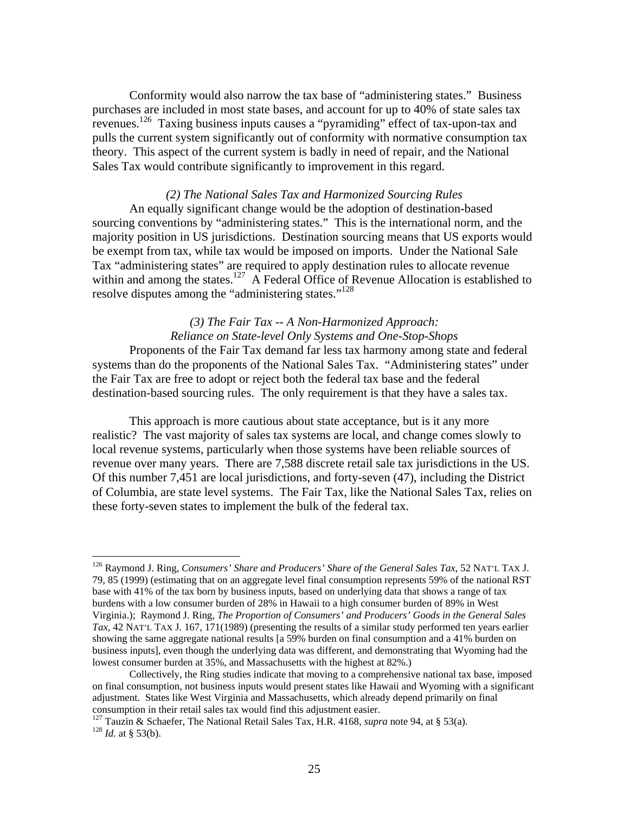Conformity would also narrow the tax base of "administering states." Business purchases are included in most state bases, and account for up to 40% of state sales tax revenues.126 Taxing business inputs causes a "pyramiding" effect of tax-upon-tax and pulls the current system significantly out of conformity with normative consumption tax theory. This aspect of the current system is badly in need of repair, and the National Sales Tax would contribute significantly to improvement in this regard.

#### *(2) The National Sales Tax and Harmonized Sourcing Rules*

An equally significant change would be the adoption of destination-based sourcing conventions by "administering states." This is the international norm, and the majority position in US jurisdictions. Destination sourcing means that US exports would be exempt from tax, while tax would be imposed on imports. Under the National Sale Tax "administering states" are required to apply destination rules to allocate revenue within and among the states.<sup>127</sup> A Federal Office of Revenue Allocation is established to resolve disputes among the "administering states."<sup>128</sup>

# *(3) The Fair Tax -- A Non-Harmonized Approach: Reliance on State-level Only Systems and One-Stop-Shops*

Proponents of the Fair Tax demand far less tax harmony among state and federal systems than do the proponents of the National Sales Tax. "Administering states" under the Fair Tax are free to adopt or reject both the federal tax base and the federal destination-based sourcing rules. The only requirement is that they have a sales tax.

This approach is more cautious about state acceptance, but is it any more realistic? The vast majority of sales tax systems are local, and change comes slowly to local revenue systems, particularly when those systems have been reliable sources of revenue over many years. There are 7,588 discrete retail sale tax jurisdictions in the US. Of this number 7,451 are local jurisdictions, and forty-seven (47), including the District of Columbia, are state level systems. The Fair Tax, like the National Sales Tax, relies on these forty-seven states to implement the bulk of the federal tax.

<sup>126</sup> Raymond J. Ring, *Consumers' Share and Producers' Share of the General Sales Tax*, 52 NAT'L TAX J. 79, 85 (1999) (estimating that on an aggregate level final consumption represents 59% of the national RST base with 41% of the tax born by business inputs, based on underlying data that shows a range of tax burdens with a low consumer burden of 28% in Hawaii to a high consumer burden of 89% in West Virginia.); Raymond J. Ring, *The Proportion of Consumers' and Producers' Goods in the General Sales Tax*, 42 NAT'L TAX J. 167, 171(1989) (presenting the results of a similar study performed ten years earlier showing the same aggregate national results [a 59% burden on final consumption and a 41% burden on business inputs], even though the underlying data was different, and demonstrating that Wyoming had the lowest consumer burden at 35%, and Massachusetts with the highest at 82%.)

Collectively, the Ring studies indicate that moving to a comprehensive national tax base, imposed on final consumption, not business inputs would present states like Hawaii and Wyoming with a significant adjustment. States like West Virginia and Massachusetts, which already depend primarily on final consumption in their retail sales tax would find this adjustment easier.

<sup>&</sup>lt;sup>127</sup> Tauzin & Schaefer, The National Retail Sales Tax, H.R. 4168, *supra* note 94, at § 53(a). <sup>128</sup> *Id.* at § 53(b).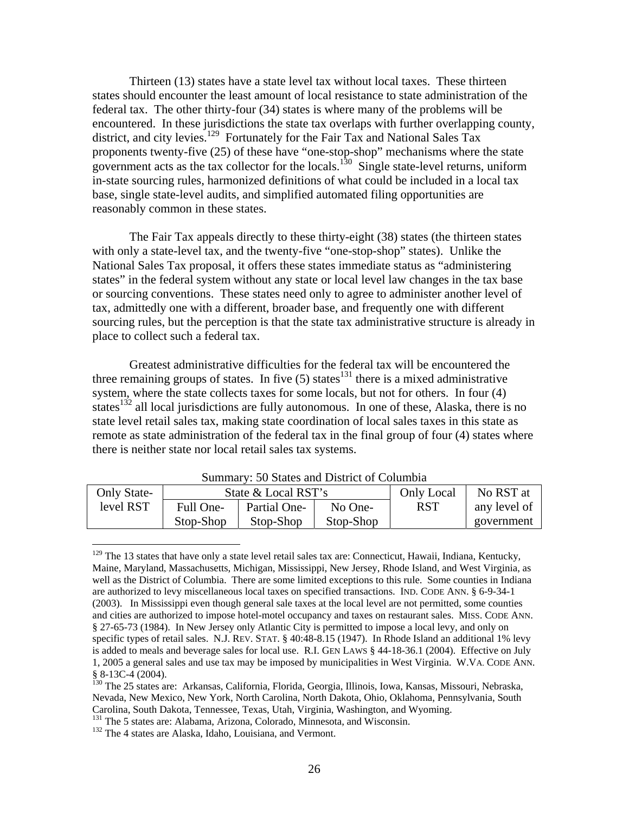Thirteen (13) states have a state level tax without local taxes. These thirteen states should encounter the least amount of local resistance to state administration of the federal tax. The other thirty-four (34) states is where many of the problems will be encountered. In these jurisdictions the state tax overlaps with further overlapping county, district, and city levies.<sup>129</sup> Fortunately for the Fair Tax and National Sales Tax proponents twenty-five (25) of these have "one-stop-shop" mechanisms where the state government acts as the tax collector for the locals.<sup>130</sup> Single state-level returns, uniform in-state sourcing rules, harmonized definitions of what could be included in a local tax base, single state-level audits, and simplified automated filing opportunities are reasonably common in these states.

The Fair Tax appeals directly to these thirty-eight (38) states (the thirteen states with only a state-level tax, and the twenty-five "one-stop-shop" states). Unlike the National Sales Tax proposal, it offers these states immediate status as "administering states" in the federal system without any state or local level law changes in the tax base or sourcing conventions. These states need only to agree to administer another level of tax, admittedly one with a different, broader base, and frequently one with different sourcing rules, but the perception is that the state tax administrative structure is already in place to collect such a federal tax.

Greatest administrative difficulties for the federal tax will be encountered the three remaining groups of states. In five  $(5)$  states<sup>131</sup> there is a mixed administrative system, where the state collects taxes for some locals, but not for others. In four (4) states<sup>132</sup> all local jurisdictions are fully autonomous. In one of these, Alaska, there is no state level retail sales tax, making state coordination of local sales taxes in this state as remote as state administration of the federal tax in the final group of four (4) states where there is neither state nor local retail sales tax systems.

| <u>Danima noo baado and bibaico of Common</u> |                     |              |            |           |              |
|-----------------------------------------------|---------------------|--------------|------------|-----------|--------------|
| <b>Only State-</b>                            | State & Local RST's |              | Only Local | No RST at |              |
| level RST                                     | Full One-           | Partial One- | No One-    | RST       | any level of |
|                                               | Stop-Shop           | Stop-Shop    | Stop-Shop  |           | government   |

Summary: 50 States and District of Columbia

 $129$  The 13 states that have only a state level retail sales tax are: Connecticut, Hawaii, Indiana, Kentucky, Maine, Maryland, Massachusetts, Michigan, Mississippi, New Jersey, Rhode Island, and West Virginia, as well as the District of Columbia. There are some limited exceptions to this rule. Some counties in Indiana are authorized to levy miscellaneous local taxes on specified transactions. IND. CODE ANN. § 6-9-34-1 (2003). In Mississippi even though general sale taxes at the local level are not permitted, some counties and cities are authorized to impose hotel-motel occupancy and taxes on restaurant sales. MISS. CODE ANN. § 27-65-73 (1984). In New Jersey only Atlantic City is permitted to impose a local levy, and only on specific types of retail sales. N.J. REV. STAT. § 40:48-8.15 (1947). In Rhode Island an additional 1% levy is added to meals and beverage sales for local use. R.I. GEN LAWS § 44-18-36.1 (2004). Effective on July 1, 2005 a general sales and use tax may be imposed by municipalities in West Virginia. W.VA. CODE ANN. § 8-13C-4 (2004).

<sup>&</sup>lt;sup>130</sup> The 25 states are: Arkansas, California, Florida, Georgia, Illinois, Iowa, Kansas, Missouri, Nebraska, Nevada, New Mexico, New York, North Carolina, North Dakota, Ohio, Oklahoma, Pennsylvania, South Carolina, South Dakota, Tennessee, Texas, Utah, Virginia, Washington, and Wyoming.

<sup>&</sup>lt;sup>131</sup> The 5 states are: Alabama, Arizona, Colorado, Minnesota, and Wisconsin. <sup>132</sup> The 4 states are Alaska, Idaho, Louisiana, and Vermont.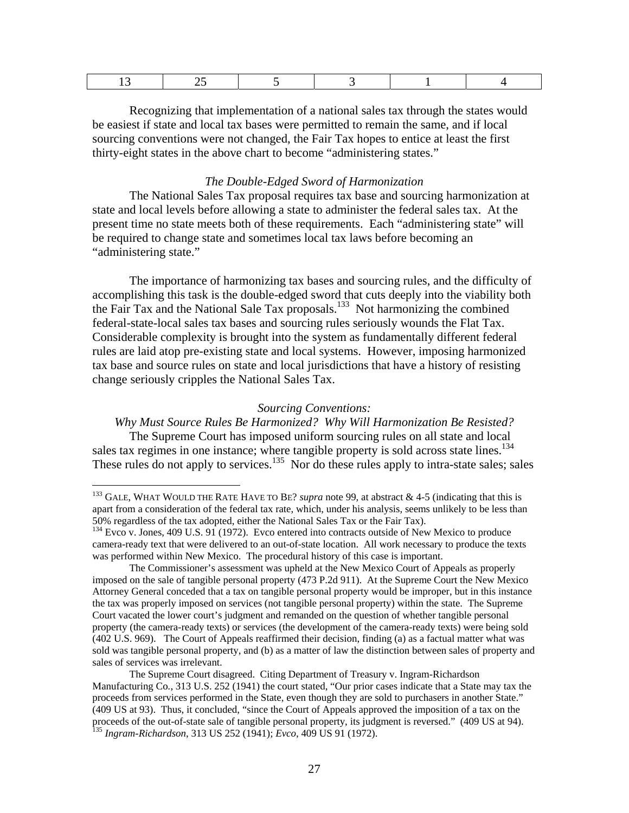|--|

 Recognizing that implementation of a national sales tax through the states would be easiest if state and local tax bases were permitted to remain the same, and if local sourcing conventions were not changed, the Fair Tax hopes to entice at least the first thirty-eight states in the above chart to become "administering states."

#### *The Double-Edged Sword of Harmonization*

The National Sales Tax proposal requires tax base and sourcing harmonization at state and local levels before allowing a state to administer the federal sales tax. At the present time no state meets both of these requirements. Each "administering state" will be required to change state and sometimes local tax laws before becoming an "administering state."

The importance of harmonizing tax bases and sourcing rules, and the difficulty of accomplishing this task is the double-edged sword that cuts deeply into the viability both the Fair Tax and the National Sale Tax proposals.<sup>133</sup> Not harmonizing the combined federal-state-local sales tax bases and sourcing rules seriously wounds the Flat Tax. Considerable complexity is brought into the system as fundamentally different federal rules are laid atop pre-existing state and local systems. However, imposing harmonized tax base and source rules on state and local jurisdictions that have a history of resisting change seriously cripples the National Sales Tax.

#### *Sourcing Conventions:*

*Why Must Source Rules Be Harmonized? Why Will Harmonization Be Resisted?*  The Supreme Court has imposed uniform sourcing rules on all state and local sales tax regimes in one instance; where tangible property is sold across state lines.<sup>134</sup> These rules do not apply to services.<sup>135</sup> Nor do these rules apply to intra-state sales; sales

1

<sup>133</sup> GALE, WHAT WOULD THE RATE HAVE TO BE? *supra* note 99, at abstract & 4-5 (indicating that this is apart from a consideration of the federal tax rate, which, under his analysis, seems unlikely to be less than 50% regardless of the tax adopted, either the National Sales Tax or the Fair Tax).

<sup>50%</sup> regardless of the tax adopted, either the National Sales Tax or the Fair Tax). 134 Evco v. Jones, 409 U.S. 91 (1972). Evco entered into contracts outside of New Mexico to produce camera-ready text that were delivered to an out-of-state location. All work necessary to produce the texts was performed within New Mexico. The procedural history of this case is important.

The Commissioner's assessment was upheld at the New Mexico Court of Appeals as properly imposed on the sale of tangible personal property (473 P.2d 911). At the Supreme Court the New Mexico Attorney General conceded that a tax on tangible personal property would be improper, but in this instance the tax was properly imposed on services (not tangible personal property) within the state. The Supreme Court vacated the lower court's judgment and remanded on the question of whether tangible personal property (the camera-ready texts) or services (the development of the camera-ready texts) were being sold (402 U.S. 969). The Court of Appeals reaffirmed their decision, finding (a) as a factual matter what was sold was tangible personal property, and (b) as a matter of law the distinction between sales of property and sales of services was irrelevant.

The Supreme Court disagreed. Citing Department of Treasury v. Ingram-Richardson Manufacturing Co*.*, 313 U.S. 252 (1941) the court stated, "Our prior cases indicate that a State may tax the proceeds from services performed in the State, even though they are sold to purchasers in another State." (409 US at 93). Thus, it concluded, "since the Court of Appeals approved the imposition of a tax on the proceeds of the out-of-state sale of tangible personal property, its judgment is reversed." (409 US at 94). 135 *Ingram-Richardson*, 313 US 252 (1941); *Evco*, 409 US 91 (1972).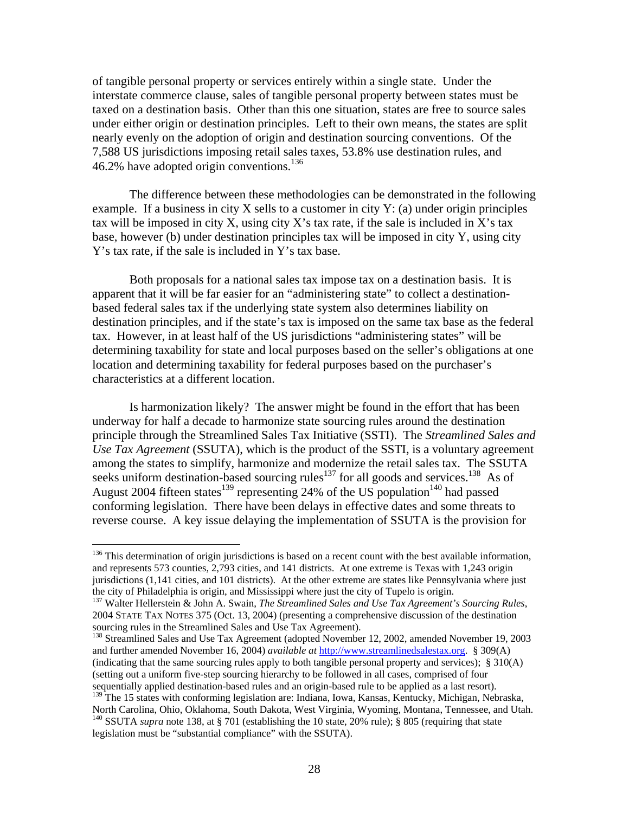of tangible personal property or services entirely within a single state. Under the interstate commerce clause, sales of tangible personal property between states must be taxed on a destination basis. Other than this one situation, states are free to source sales under either origin or destination principles. Left to their own means, the states are split nearly evenly on the adoption of origin and destination sourcing conventions. Of the 7,588 US jurisdictions imposing retail sales taxes, 53.8% use destination rules, and 46.2% have adopted origin conventions.<sup>136</sup>

The difference between these methodologies can be demonstrated in the following example. If a business in city  $X$  sells to a customer in city  $Y: (a)$  under origin principles tax will be imposed in city X, using city X's tax rate, if the sale is included in X's tax base, however (b) under destination principles tax will be imposed in city Y, using city Y's tax rate, if the sale is included in Y's tax base.

Both proposals for a national sales tax impose tax on a destination basis. It is apparent that it will be far easier for an "administering state" to collect a destinationbased federal sales tax if the underlying state system also determines liability on destination principles, and if the state's tax is imposed on the same tax base as the federal tax. However, in at least half of the US jurisdictions "administering states" will be determining taxability for state and local purposes based on the seller's obligations at one location and determining taxability for federal purposes based on the purchaser's characteristics at a different location.

Is harmonization likely? The answer might be found in the effort that has been underway for half a decade to harmonize state sourcing rules around the destination principle through the Streamlined Sales Tax Initiative (SSTI). The *Streamlined Sales and Use Tax Agreement* (SSUTA), which is the product of the SSTI, is a voluntary agreement among the states to simplify, harmonize and modernize the retail sales tax. The SSUTA seeks uniform destination-based sourcing rules<sup>137</sup> for all goods and services.<sup>138</sup> As of August 2004 fifteen states<sup>139</sup> representing 24% of the US population<sup>140</sup> had passed conforming legislation. There have been delays in effective dates and some threats to reverse course. A key issue delaying the implementation of SSUTA is the provision for

<sup>&</sup>lt;sup>136</sup> This determination of origin jurisdictions is based on a recent count with the best available information, and represents 573 counties, 2,793 cities, and 141 districts. At one extreme is Texas with 1,243 origin jurisdictions (1,141 cities, and 101 districts). At the other extreme are states like Pennsylvania where just the city of Philadelphia is origin, and Mississippi where just the city of Tupelo is origin.

<sup>137</sup> Walter Hellerstein & John A. Swain, *The Streamlined Sales and Use Tax Agreement's Sourcing Rules*, 2004 STATE TAX NOTES 375 (Oct. 13, 2004) (presenting a comprehensive discussion of the destination sourcing rules in the Streamlined Sales and Use Tax Agreement).

<sup>&</sup>lt;sup>138</sup> Streamlined Sales and Use Tax Agreement (adopted November 12, 2002, amended November 19, 2003 and further amended November 16, 2004) *available at* http://www.streamlinedsalestax.org. § 309(A) (indicating that the same sourcing rules apply to both tangible personal property and services); § 310(A) (setting out a uniform five-step sourcing hierarchy to be followed in all cases, comprised of four sequentially applied destination-based rules and an origin-based rule to be applied as a last resort).

<sup>&</sup>lt;sup>139</sup> The 15 states with conforming legislation are: Indiana, Iowa, Kansas, Kentucky, Michigan, Nebraska, North Carolina, Ohio, Oklahoma, South Dakota, West Virginia, Wyoming, Montana, Tennessee, and Utah. <sup>140</sup> SSUTA *supra* note 138, at § 701 (establishing the 10 state, 20% rule); § 805 (requiring that state legislation must be "substantial compliance" with the SSUTA).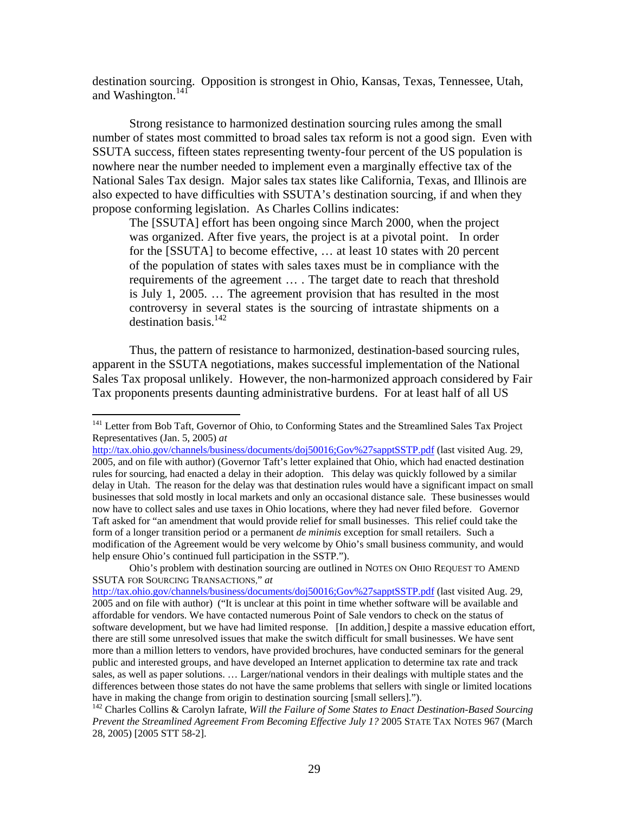destination sourcing. Opposition is strongest in Ohio, Kansas, Texas, Tennessee, Utah, and Washington.<sup>141</sup>

Strong resistance to harmonized destination sourcing rules among the small number of states most committed to broad sales tax reform is not a good sign. Even with SSUTA success, fifteen states representing twenty-four percent of the US population is nowhere near the number needed to implement even a marginally effective tax of the National Sales Tax design. Major sales tax states like California, Texas, and Illinois are also expected to have difficulties with SSUTA's destination sourcing, if and when they propose conforming legislation. As Charles Collins indicates:

The [SSUTA] effort has been ongoing since March 2000, when the project was organized. After five years, the project is at a pivotal point. In order for the [SSUTA] to become effective, … at least 10 states with 20 percent of the population of states with sales taxes must be in compliance with the requirements of the agreement … . The target date to reach that threshold is July 1, 2005. … The agreement provision that has resulted in the most controversy in several states is the sourcing of intrastate shipments on a destination basis.<sup>142</sup>

Thus, the pattern of resistance to harmonized, destination-based sourcing rules, apparent in the SSUTA negotiations, makes successful implementation of the National Sales Tax proposal unlikely. However, the non-harmonized approach considered by Fair Tax proponents presents daunting administrative burdens. For at least half of all US

<sup>&</sup>lt;sup>141</sup> Letter from Bob Taft, Governor of Ohio, to Conforming States and the Streamlined Sales Tax Project Representatives (Jan. 5, 2005) *at*

http://tax.ohio.gov/channels/business/documents/doj50016;Gov%27sapptSSTP.pdf (last visited Aug. 29, 2005, and on file with author) (Governor Taft's letter explained that Ohio, which had enacted destination rules for sourcing, had enacted a delay in their adoption. This delay was quickly followed by a similar delay in Utah. The reason for the delay was that destination rules would have a significant impact on small businesses that sold mostly in local markets and only an occasional distance sale. These businesses would now have to collect sales and use taxes in Ohio locations, where they had never filed before. Governor Taft asked for "an amendment that would provide relief for small businesses. This relief could take the form of a longer transition period or a permanent *de minimis* exception for small retailers. Such a modification of the Agreement would be very welcome by Ohio's small business community, and would help ensure Ohio's continued full participation in the SSTP.").

Ohio's problem with destination sourcing are outlined in NOTES ON OHIO REQUEST TO AMEND SSUTA FOR SOURCING TRANSACTIONS," *at*

http://tax.ohio.gov/channels/business/documents/doj50016;Gov%27sapptSSTP.pdf (last visited Aug. 29, 2005 and on file with author) ("It is unclear at this point in time whether software will be available and affordable for vendors. We have contacted numerous Point of Sale vendors to check on the status of software development, but we have had limited response. [In addition,] despite a massive education effort, there are still some unresolved issues that make the switch difficult for small businesses. We have sent more than a million letters to vendors, have provided brochures, have conducted seminars for the general public and interested groups, and have developed an Internet application to determine tax rate and track sales, as well as paper solutions. … Larger/national vendors in their dealings with multiple states and the differences between those states do not have the same problems that sellers with single or limited locations have in making the change from origin to destination sourcing [small sellers].").

<sup>&</sup>lt;sup>142</sup> Charles Collins & Carolyn Iafrate, *Will the Failure of Some States to Enact Destination-Based Sourcing Prevent the Streamlined Agreement From Becoming Effective July 1?* 2005 STATE TAX NOTES 967 (March 28, 2005) [2005 STT 58-2].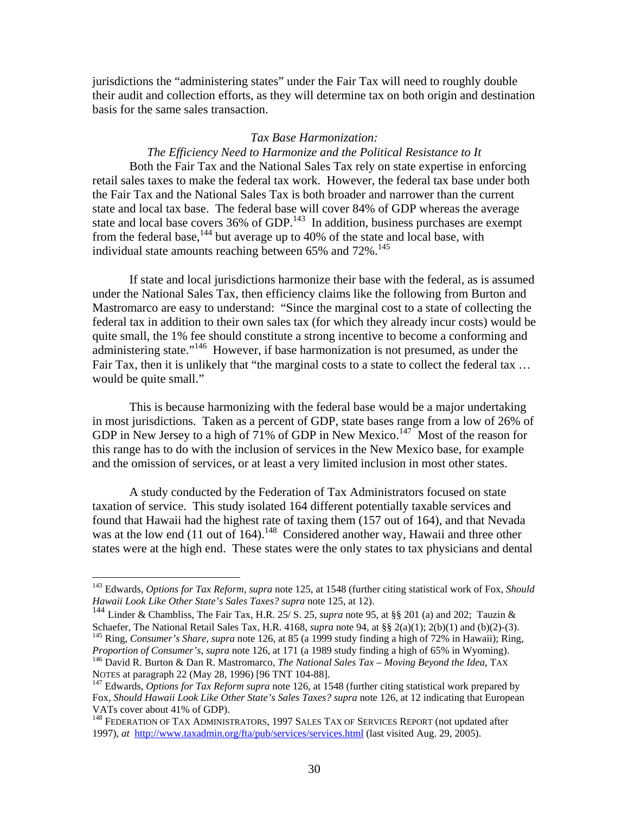jurisdictions the "administering states" under the Fair Tax will need to roughly double their audit and collection efforts, as they will determine tax on both origin and destination basis for the same sales transaction.

#### *Tax Base Harmonization:*

# *The Efficiency Need to Harmonize and the Political Resistance to It*

Both the Fair Tax and the National Sales Tax rely on state expertise in enforcing retail sales taxes to make the federal tax work. However, the federal tax base under both the Fair Tax and the National Sales Tax is both broader and narrower than the current state and local tax base. The federal base will cover 84% of GDP whereas the average state and local base covers  $36\%$  of GDP.<sup>143</sup> In addition, business purchases are exempt from the federal base,  $144$  but average up to 40% of the state and local base, with individual state amounts reaching between 65% and  $72\%$ .<sup>145</sup>

If state and local jurisdictions harmonize their base with the federal, as is assumed under the National Sales Tax, then efficiency claims like the following from Burton and Mastromarco are easy to understand: "Since the marginal cost to a state of collecting the federal tax in addition to their own sales tax (for which they already incur costs) would be quite small, the 1% fee should constitute a strong incentive to become a conforming and administering state."<sup>146</sup> However, if base harmonization is not presumed, as under the Fair Tax, then it is unlikely that "the marginal costs to a state to collect the federal tax ... would be quite small."

This is because harmonizing with the federal base would be a major undertaking in most jurisdictions. Taken as a percent of GDP, state bases range from a low of 26% of GDP in New Jersey to a high of 71% of GDP in New Mexico.<sup>147</sup> Most of the reason for this range has to do with the inclusion of services in the New Mexico base, for example and the omission of services, or at least a very limited inclusion in most other states.

A study conducted by the Federation of Tax Administrators focused on state taxation of service. This study isolated 164 different potentially taxable services and found that Hawaii had the highest rate of taxing them (157 out of 164), and that Nevada was at the low end (11 out of 164).<sup>148</sup> Considered another way, Hawaii and three other states were at the high end. These states were the only states to tax physicians and dental

<sup>143</sup> Edwards, *Options for Tax Reform, supra* note 125, at 1548 (further citing statistical work of Fox, *Should Hawaii Look Like Other State's Sales Taxes? supra* note 125, at 12).

<sup>&</sup>lt;sup>144</sup> Linder & Chambliss, The Fair Tax, H.R. 25/ S. 25, *supra* note 95, at §§ 201 (a) and 202; Tauzin & Schaefer, The National Retail Sales Tax, H.R. 4168, *supra* note 94, at §§ 2(a)(1); 2(b)(1) and (b)(2)-(3).

<sup>&</sup>lt;sup>145</sup> Ring, *Consumer's Share, supra* note 126, at 85 (a 1999 study finding a high of 72% in Hawaii); Ring,

*Proportion of Consumer's, supra* note 126, at 171 (a 1989 study finding a high of 65% in Wyoming). <sup>146</sup> David R. Burton & Dan R. Mastromarco, *The National Sales Tax – Moving Beyond the Idea*, TAX NOTES at paragraph 22 (

<sup>&</sup>lt;sup>147</sup> Edwards, *Options for Tax Reform supra* note 126, at 1548 (further citing statistical work prepared by Fox, *Should Hawaii Look Like Other State's Sales Taxes? supra* note 126, at 12 indicating that European VATs cover about 41% of GDP).

<sup>&</sup>lt;sup>148</sup> FEDERATION OF TAX ADMINISTRATORS, 1997 SALES TAX OF SERVICES REPORT (not updated after 1997), *at* http://www.taxadmin.org/fta/pub/services/services.html (last visited Aug. 29, 2005).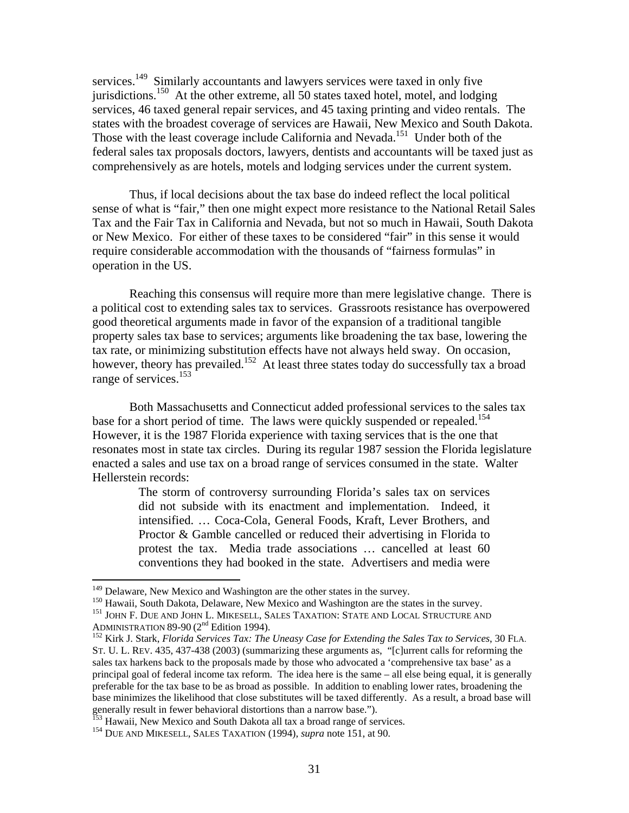services.<sup>149</sup> Similarly accountants and lawyers services were taxed in only five jurisdictions.<sup>150</sup> At the other extreme, all 50 states taxed hotel, motel, and lodging services, 46 taxed general repair services, and 45 taxing printing and video rentals. The states with the broadest coverage of services are Hawaii, New Mexico and South Dakota. Those with the least coverage include California and Nevada.<sup>151</sup> Under both of the federal sales tax proposals doctors, lawyers, dentists and accountants will be taxed just as comprehensively as are hotels, motels and lodging services under the current system.

Thus, if local decisions about the tax base do indeed reflect the local political sense of what is "fair," then one might expect more resistance to the National Retail Sales Tax and the Fair Tax in California and Nevada, but not so much in Hawaii, South Dakota or New Mexico. For either of these taxes to be considered "fair" in this sense it would require considerable accommodation with the thousands of "fairness formulas" in operation in the US.

 Reaching this consensus will require more than mere legislative change. There is a political cost to extending sales tax to services. Grassroots resistance has overpowered good theoretical arguments made in favor of the expansion of a traditional tangible property sales tax base to services; arguments like broadening the tax base, lowering the tax rate, or minimizing substitution effects have not always held sway. On occasion, however, theory has prevailed.<sup>152</sup> At least three states today do successfully tax a broad range of services.<sup>153</sup>

Both Massachusetts and Connecticut added professional services to the sales tax base for a short period of time. The laws were quickly suspended or repealed.<sup>154</sup> However, it is the 1987 Florida experience with taxing services that is the one that resonates most in state tax circles. During its regular 1987 session the Florida legislature enacted a sales and use tax on a broad range of services consumed in the state. Walter Hellerstein records:

> The storm of controversy surrounding Florida's sales tax on services did not subside with its enactment and implementation. Indeed, it intensified. … Coca-Cola, General Foods, Kraft, Lever Brothers, and Proctor & Gamble cancelled or reduced their advertising in Florida to protest the tax. Media trade associations … cancelled at least 60 conventions they had booked in the state. Advertisers and media were

<sup>&</sup>lt;sup>149</sup> Delaware, New Mexico and Washington are the other states in the survey.<br><sup>150</sup> Hawaii, South Dakota, Delaware, New Mexico and Washington are the states in the survey.<br><sup>151</sup> JOHN F. DUE AND JOHN L. MIKESELL, SALES TAX

<sup>&</sup>lt;sup>152</sup> Kirk J. Stark, *Florida Services Tax: The Uneasy Case for Extending the Sales Tax to Services*, 30 FLA. ST. U. L. REV. 435, 437-438 (2003) (summarizing these arguments as, "[c]urrent calls for reforming the sales tax harkens back to the proposals made by those who advocated a 'comprehensive tax base' as a principal goal of federal income tax reform. The idea here is the same – all else being equal, it is generally preferable for the tax base to be as broad as possible. In addition to enabling lower rates, broadening the base minimizes the likelihood that close substitutes will be taxed differently. As a result, a broad base will generally result in fewer behavioral distortions than a narrow base.").

<sup>&</sup>lt;sup>153</sup> Hawaii, New Mexico and South Dakota all tax a broad range of services.<br><sup>154</sup> DUE AND MIKESELL, SALES TAXATION (1994), *supra* note 151, at 90.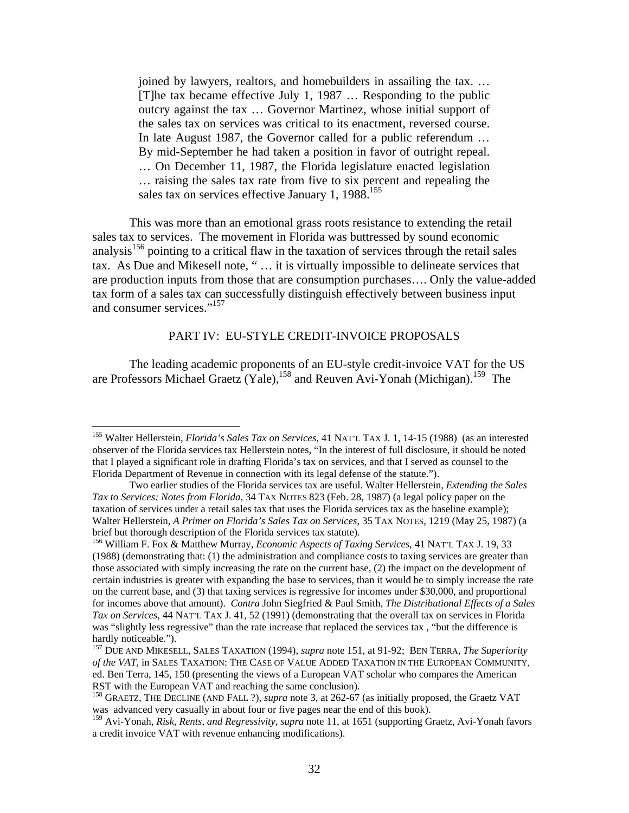joined by lawyers, realtors, and homebuilders in assailing the tax. … [T]he tax became effective July 1, 1987 … Responding to the public outcry against the tax … Governor Martinez, whose initial support of the sales tax on services was critical to its enactment, reversed course. In late August 1987, the Governor called for a public referendum … By mid-September he had taken a position in favor of outright repeal. … On December 11, 1987, the Florida legislature enacted legislation … raising the sales tax rate from five to six percent and repealing the sales tax on services effective January 1,  $1988$ <sup>155</sup>

This was more than an emotional grass roots resistance to extending the retail sales tax to services. The movement in Florida was buttressed by sound economic analysis $156$  pointing to a critical flaw in the taxation of services through the retail sales tax. As Due and Mikesell note, " … it is virtually impossible to delineate services that are production inputs from those that are consumption purchases…. Only the value-added tax form of a sales tax can successfully distinguish effectively between business input and consumer services."<sup>157</sup>

#### PART IV: EU-STYLE CREDIT-INVOICE PROPOSALS

 The leading academic proponents of an EU-style credit-invoice VAT for the US are Professors Michael Graetz (Yale),  $158$  and Reuven Avi-Yonah (Michigan).  $159$  The

<sup>155</sup> Walter Hellerstein, *Florida's Sales Tax on Services*, 41 NAT'L TAX J. 1, 14-15 (1988) (as an interested observer of the Florida services tax Hellerstein notes, "In the interest of full disclosure, it should be noted that I played a significant role in drafting Florida's tax on services, and that I served as counsel to the Florida Department of Revenue in connection with its legal defense of the statute.").

Two earlier studies of the Florida services tax are useful. Walter Hellerstein, *Extending the Sales Tax to Services: Notes from Florida*, 34 TAX NOTES 823 (Feb. 28, 1987) (a legal policy paper on the taxation of services under a retail sales tax that uses the Florida services tax as the baseline example); Walter Hellerstein, *A Primer on Florida's Sales Tax on Services*, 35 TAX NOTES*,* 1219 (May 25, 1987) (a brief but thorough description of the Florida services tax statute).

<sup>156</sup> William F. Fox & Matthew Murray, *Economic Aspects of Taxing Services*, 41 NAT'L TAX J. 19, 33 (1988) (demonstrating that: (1) the administration and compliance costs to taxing services are greater than those associated with simply increasing the rate on the current base, (2) the impact on the development of certain industries is greater with expanding the base to services, than it would be to simply increase the rate on the current base, and (3) that taxing services is regressive for incomes under \$30,000, and proportional for incomes above that amount). *Contra* John Siegfried & Paul Smith, *The Distributional Effects of a Sales Tax on Services*, 44 NAT'L TAX J. 41, 52 (1991) (demonstrating that the overall tax on services in Florida was "slightly less regressive" than the rate increase that replaced the services tax , "but the difference is hardly noticeable.").

<sup>157</sup> DUE AND MIKESELL, SALES TAXATION (1994), *supra* note 151, at 91-92; BEN TERRA, *The Superiority of the VAT*, in SALES TAXATION: THE CASE OF VALUE ADDED TAXATION IN THE EUROPEAN COMMUNITY, ed. Ben Terra, 145, 150 (presenting the views of a European VAT scholar who compares the American RST with the European VAT and reaching the same conclusion).<br><sup>158</sup> GRAETZ, THE DECLINE (AND FALL ?), *supra* note 3, at 262-67 (as initially proposed, the Graetz VAT

was advanced very casually in about four or five pages near the end of this book).

<sup>159</sup> Avi-Yonah, *Risk, Rents, and Regressivity, supra* note 11, at 1651 (supporting Graetz, Avi-Yonah favors a credit invoice VAT with revenue enhancing modifications).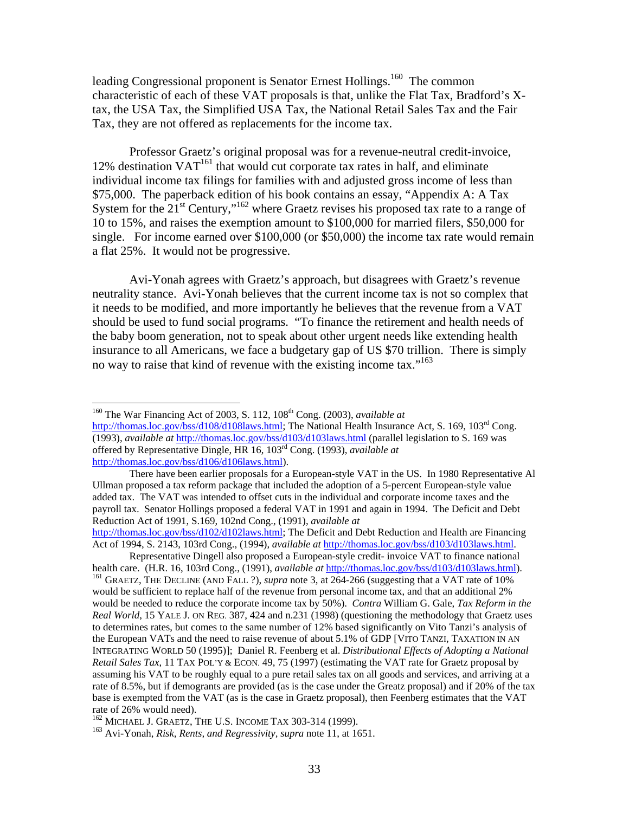leading Congressional proponent is Senator Ernest Hollings.<sup>160</sup> The common characteristic of each of these VAT proposals is that, unlike the Flat Tax, Bradford's Xtax, the USA Tax, the Simplified USA Tax, the National Retail Sales Tax and the Fair Tax, they are not offered as replacements for the income tax.

Professor Graetz's original proposal was for a revenue-neutral credit-invoice, 12% destination  $VAT^{161}$  that would cut corporate tax rates in half, and eliminate individual income tax filings for families with and adjusted gross income of less than \$75,000. The paperback edition of his book contains an essay, "Appendix A: A Tax System for the  $21^{st}$  Century,"<sup>162</sup> where Graetz revises his proposed tax rate to a range of 10 to 15%, and raises the exemption amount to \$100,000 for married filers, \$50,000 for single. For income earned over \$100,000 (or \$50,000) the income tax rate would remain a flat 25%. It would not be progressive.

Avi-Yonah agrees with Graetz's approach, but disagrees with Graetz's revenue neutrality stance. Avi-Yonah believes that the current income tax is not so complex that it needs to be modified, and more importantly he believes that the revenue from a VAT should be used to fund social programs. "To finance the retirement and health needs of the baby boom generation, not to speak about other urgent needs like extending health insurance to all Americans, we face a budgetary gap of US \$70 trillion. There is simply no way to raise that kind of revenue with the existing income tax."163

http://thomas.loc.gov/bss/d102/d102laws.html; The Deficit and Debt Reduction and Health are Financing Act of 1994, S. 2143, 103rd Cong., (1994), *available at* http://thomas.loc.gov/bss/d103/d103laws.html.

<sup>&</sup>lt;sup>160</sup> The War Financing Act of 2003, S. 112, 108<sup>th</sup> Cong. (2003), *available at* http://thomas.loc.gov/bss/d108/d108laws.html; The National Health Insurance Act, S. 169, 103<sup>rd</sup> Cong. (1993), *available at* http://thomas.loc.gov/bss/d103/d103laws.html (parallel legislation to S. 169 was offered by Representative Dingle, HR 16, 103rd Cong. (1993), *available at* http://thomas.loc.gov/bss/d106/d106laws.html).<br>There have been earlier proposals for a European-style VAT in the US. In 1980 Representative Al

Ullman proposed a tax reform package that included the adoption of a 5-percent European-style value added tax. The VAT was intended to offset cuts in the individual and corporate income taxes and the payroll tax. Senator Hollings proposed a federal VAT in 1991 and again in 1994. The Deficit and Debt Reduction Act of 1991, S.169, 102nd Cong., (1991), *available at* 

Representative Dingell also proposed a European-style credit- invoice VAT to finance national health care. (H.R. 16, 103rd Cong., (1991), *available at* http://thomas.loc.gov/bss/d103/d103laws.html). 161 GRAETZ, THE DECLINE (AND FALL ?), *supra* note 3, at 264-266 (suggesting that a VAT rate of 10% would be sufficient to replace half of the revenue from personal income tax, and that an additional 2% would be needed to reduce the corporate income tax by 50%). *Contra* William G. Gale, *Tax Reform in the Real World*, 15 YALE J. ON REG. 387, 424 and n.231 (1998) (questioning the methodology that Graetz uses to determines rates, but comes to the same number of 12% based significantly on Vito Tanzi's analysis of the European VATs and the need to raise revenue of about 5.1% of GDP [VITO TANZI, TAXATION IN AN INTEGRATING WORLD 50 (1995)]; Daniel R. Feenberg et al. *Distributional Effects of Adopting a National Retail Sales Tax*, 11 TAX POL'Y & ECON. 49, 75 (1997) (estimating the VAT rate for Graetz proposal by assuming his VAT to be roughly equal to a pure retail sales tax on all goods and services, and arriving at a rate of 8.5%, but if demogrants are provided (as is the case under the Greatz proposal) and if 20% of the tax base is exempted from the VAT (as is the case in Graetz proposal), then Feenberg estimates that the VAT rate of 26% would need).<br><sup>162</sup> MICHAEL J. GRAETZ, THE U.S. INCOME TAX 303-314 (1999).

<sup>&</sup>lt;sup>163</sup> Avi-Yonah, *Risk, Rents, and Regressivity, supra* note 11, at 1651.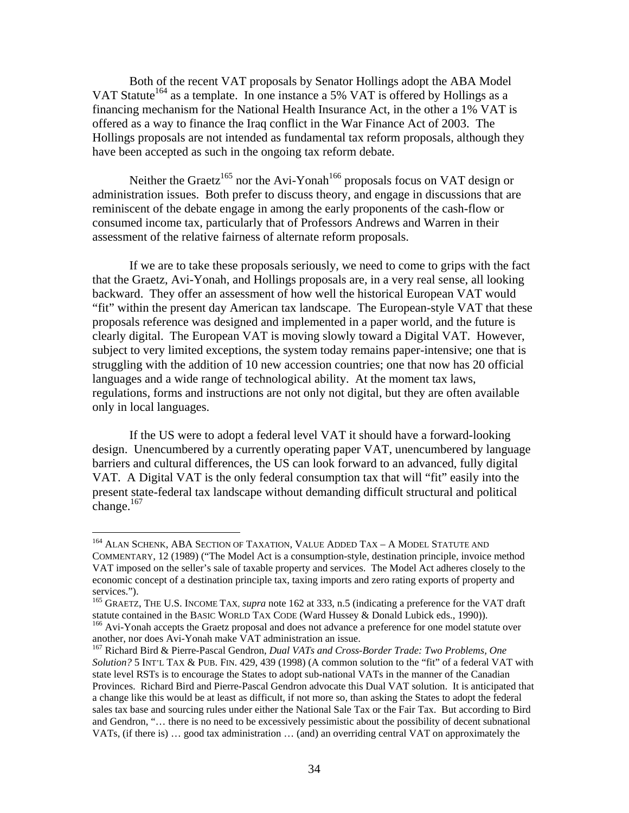Both of the recent VAT proposals by Senator Hollings adopt the ABA Model VAT Statute<sup>164</sup> as a template. In one instance a 5% VAT is offered by Hollings as a financing mechanism for the National Health Insurance Act, in the other a 1% VAT is offered as a way to finance the Iraq conflict in the War Finance Act of 2003. The Hollings proposals are not intended as fundamental tax reform proposals, although they have been accepted as such in the ongoing tax reform debate.

Neither the Graetz<sup>165</sup> nor the Avi-Yonah<sup>166</sup> proposals focus on VAT design or administration issues. Both prefer to discuss theory, and engage in discussions that are reminiscent of the debate engage in among the early proponents of the cash-flow or consumed income tax, particularly that of Professors Andrews and Warren in their assessment of the relative fairness of alternate reform proposals.

If we are to take these proposals seriously, we need to come to grips with the fact that the Graetz, Avi-Yonah, and Hollings proposals are, in a very real sense, all looking backward. They offer an assessment of how well the historical European VAT would "fit" within the present day American tax landscape. The European-style VAT that these proposals reference was designed and implemented in a paper world, and the future is clearly digital. The European VAT is moving slowly toward a Digital VAT. However, subject to very limited exceptions, the system today remains paper-intensive; one that is struggling with the addition of 10 new accession countries; one that now has 20 official languages and a wide range of technological ability. At the moment tax laws, regulations, forms and instructions are not only not digital, but they are often available only in local languages.

If the US were to adopt a federal level VAT it should have a forward-looking design. Unencumbered by a currently operating paper VAT, unencumbered by language barriers and cultural differences, the US can look forward to an advanced, fully digital VAT. A Digital VAT is the only federal consumption tax that will "fit" easily into the present state-federal tax landscape without demanding difficult structural and political change.<sup>167</sup>

<sup>&</sup>lt;sup>164</sup> ALAN SCHENK, ABA SECTION OF TAXATION, VALUE ADDED TAX - A MODEL STATUTE AND COMMENTARY, 12 (1989) ("The Model Act is a consumption-style, destination principle, invoice method VAT imposed on the seller's sale of taxable property and services. The Model Act adheres closely to the economic concept of a destination principle tax, taxing imports and zero rating exports of property and services.").

<sup>165</sup> GRAETZ, THE U.S. INCOME TAX, *supra* note 162 at 333, n.5 (indicating a preference for the VAT draft statute contained in the BASIC WORLD TAX CODE (Ward Hussey & Donald Lubick eds., 1990)).<br><sup>166</sup> Avi-Yonah accepts the Graetz proposal and does not advance a preference for one model statute over

another, nor does Avi-Yonah make VAT administration an issue.

<sup>167</sup> Richard Bird & Pierre-Pascal Gendron, *Dual VATs and Cross-Border Trade: Two Problems, One Solution?* 5 INT'L TAX & PUB. FIN. 429, 439 (1998) (A common solution to the "fit" of a federal VAT with state level RSTs is to encourage the States to adopt sub-national VATs in the manner of the Canadian Provinces. Richard Bird and Pierre-Pascal Gendron advocate this Dual VAT solution. It is anticipated that a change like this would be at least as difficult, if not more so, than asking the States to adopt the federal sales tax base and sourcing rules under either the National Sale Tax or the Fair Tax. But according to Bird and Gendron, "… there is no need to be excessively pessimistic about the possibility of decent subnational VATs, (if there is) … good tax administration … (and) an overriding central VAT on approximately the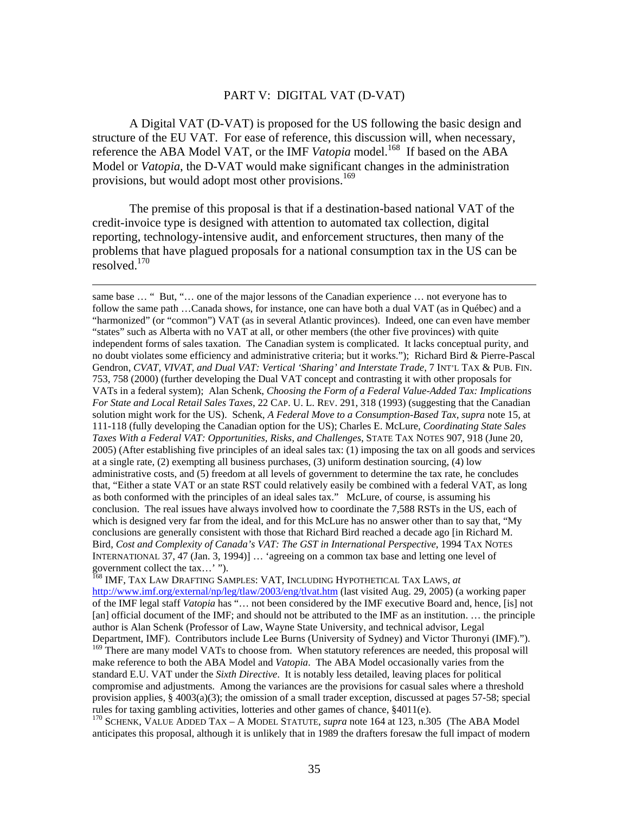#### PART V: DIGITAL VAT (D-VAT)

 A Digital VAT (D-VAT) is proposed for the US following the basic design and structure of the EU VAT. For ease of reference, this discussion will, when necessary, reference the ABA Model VAT, or the IMF *Vatopia* model.<sup>168</sup> If based on the ABA Model or *Vatopia*, the D-VAT would make significant changes in the administration provisions, but would adopt most other provisions.<sup>169</sup>

The premise of this proposal is that if a destination-based national VAT of the credit-invoice type is designed with attention to automated tax collection, digital reporting, technology-intensive audit, and enforcement structures, then many of the problems that have plagued proposals for a national consumption tax in the US can be resolved.170

 same base … " But, "… one of the major lessons of the Canadian experience … not everyone has to follow the same path …Canada shows, for instance, one can have both a dual VAT (as in Québec) and a "harmonized" (or "common") VAT (as in several Atlantic provinces). Indeed, one can even have member "states" such as Alberta with no VAT at all, or other members (the other five provinces) with quite independent forms of sales taxation. The Canadian system is complicated. It lacks conceptual purity, and no doubt violates some efficiency and administrative criteria; but it works."); Richard Bird & Pierre-Pascal Gendron, *CVAT, VIVAT, and Dual VAT: Vertical 'Sharing' and Interstate Trade*, 7 INT'L TAX & PUB. FIN. 753, 758 (2000) (further developing the Dual VAT concept and contrasting it with other proposals for VATs in a federal system); Alan Schenk, *Choosing the Form of a Federal Value-Added Tax: Implications For State and Local Retail Sales Taxes*, 22 CAP. U. L. REV. 291, 318 (1993) (suggesting that the Canadian solution might work for the US). Schenk, *A Federal Move to a Consumption-Based Tax, supra* note 15, at 111-118 (fully developing the Canadian option for the US); Charles E. McLure, *Coordinating State Sales Taxes With a Federal VAT: Opportunities, Risks, and Challenges*, STATE TAX NOTES 907, 918 (June 20, 2005) (After establishing five principles of an ideal sales tax: (1) imposing the tax on all goods and services at a single rate, (2) exempting all business purchases, (3) uniform destination sourcing, (4) low administrative costs, and (5) freedom at all levels of government to determine the tax rate, he concludes that, "Either a state VAT or an state RST could relatively easily be combined with a federal VAT, as long as both conformed with the principles of an ideal sales tax." McLure, of course, is assuming his conclusion. The real issues have always involved how to coordinate the 7,588 RSTs in the US, each of which is designed very far from the ideal, and for this McLure has no answer other than to say that, "My conclusions are generally consistent with those that Richard Bird reached a decade ago [in Richard M. Bird, *Cost and Complexity of Canada's VAT: The GST in International Perspective*, 1994 TAX NOTES INTERNATIONAL 37, 47 (Jan. 3, 1994)] … 'agreeing on a common tax base and letting one level of government collect the tax…' ").

168 IMF, TAX LAW DRAFTING SAMPLES: VAT, INCLUDING HYPOTHETICAL TAX LAWS, *at* http://www.imf.org/external/np/leg/tlaw/2003/eng/tlvat.htm (last visited Aug. 29, 2005) (a working paper of the IMF legal staff *Vatopia* has "… not been considered by the IMF executive Board and, hence, [is] not [an] official document of the IMF; and should not be attributed to the IMF as an institution. … the principle author is Alan Schenk (Professor of Law, Wayne State University, and technical advisor, Legal Department, IMF). Contributors include Lee Burns (University of Sydney) and Victor Thuronyi (IMF)."). <sup>169</sup> There are many model VATs to choose from. When statutory references are needed, this proposal will make reference to both the ABA Model and *Vatopia*. The ABA Model occasionally varies from the standard E.U. VAT under the *Sixth Directive*. It is notably less detailed, leaving places for political compromise and adjustments. Among the variances are the provisions for casual sales where a threshold provision applies, § 4003(a)(3); the omission of a small trader exception, discussed at pages 57-58; special rules for taxing gambling activities, lotteries and other games of chance, §4011(e). <sup>170</sup> SCHENK, VALUE ADDED TAX – A MODEL STATUTE, *supra* note 164 at 123, n.305 (The ABA Model

anticipates this proposal, although it is unlikely that in 1989 the drafters foresaw the full impact of modern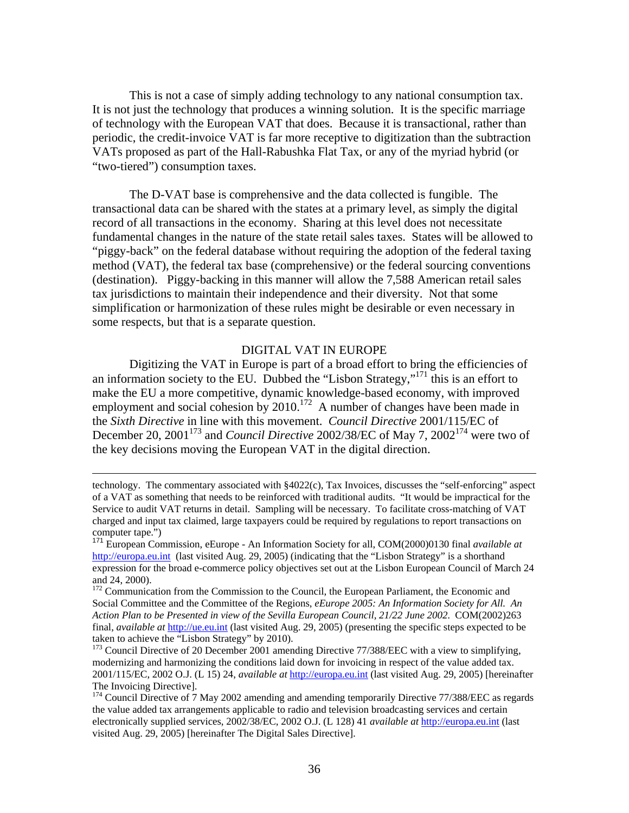This is not a case of simply adding technology to any national consumption tax. It is not just the technology that produces a winning solution. It is the specific marriage of technology with the European VAT that does. Because it is transactional, rather than periodic, the credit-invoice VAT is far more receptive to digitization than the subtraction VATs proposed as part of the Hall-Rabushka Flat Tax, or any of the myriad hybrid (or "two-tiered") consumption taxes.

The D-VAT base is comprehensive and the data collected is fungible. The transactional data can be shared with the states at a primary level, as simply the digital record of all transactions in the economy. Sharing at this level does not necessitate fundamental changes in the nature of the state retail sales taxes. States will be allowed to "piggy-back" on the federal database without requiring the adoption of the federal taxing method (VAT), the federal tax base (comprehensive) or the federal sourcing conventions (destination). Piggy-backing in this manner will allow the 7,588 American retail sales tax jurisdictions to maintain their independence and their diversity. Not that some simplification or harmonization of these rules might be desirable or even necessary in some respects, but that is a separate question.

#### DIGITAL VAT IN EUROPE

Digitizing the VAT in Europe is part of a broad effort to bring the efficiencies of an information society to the EU. Dubbed the "Lisbon Strategy,"171 this is an effort to make the EU a more competitive, dynamic knowledge-based economy, with improved employment and social cohesion by  $2010$ .<sup>172</sup> A number of changes have been made in the *Sixth Directive* in line with this movement. *Council Directive* 2001/115/EC of December 20, 2001<sup>173</sup> and *Council Directive* 2002/38/EC of May 7, 2002<sup>174</sup> were two of the key decisions moving the European VAT in the digital direction.

technology. The commentary associated with §4022(c), Tax Invoices, discusses the "self-enforcing" aspect of a VAT as something that needs to be reinforced with traditional audits. "It would be impractical for the Service to audit VAT returns in detail. Sampling will be necessary. To facilitate cross-matching of VAT charged and input tax claimed, large taxpayers could be required by regulations to report transactions on computer tape.")

<sup>171</sup> European Commission, eEurope - An Information Society for all, COM(2000)0130 final *available at* http://europa.eu.int (last visited Aug. 29, 2005) (indicating that the "Lisbon Strategy" is a shorthand expression for the broad e-commerce policy objectives set out at the Lisbon European Council of March 24 and 24, 2000).

 $172$  Communication from the Commission to the Council, the European Parliament, the Economic and Social Committee and the Committee of the Regions, *eEurope 2005: An Information Society for All. An Action Plan to be Presented in view of the Sevilla European Council, 21/22 June 2002*. COM(2002)263 final, *available at* http://ue.eu.int (last visited Aug. 29, 2005) (presenting the specific steps expected to be taken to achieve the "Lisbon Strategy" by 2010).

<sup>&</sup>lt;sup>173</sup> Council Directive of 20 December 2001 amending Directive 77/388/EEC with a view to simplifying, modernizing and harmonizing the conditions laid down for invoicing in respect of the value added tax. 2001/115/EC, 2002 O.J. (L 15) 24, *available at* http://europa.eu.int (last visited Aug. 29, 2005) [hereinafter The Invoicing Directive].

<sup>&</sup>lt;sup>174</sup> Council Directive of 7 May 2002 amending and amending temporarily Directive 77/388/EEC as regards the value added tax arrangements applicable to radio and television broadcasting services and certain electronically supplied services, 2002/38/EC, 2002 O.J. (L 128) 41 *available at* http://europa.eu.int (last visited Aug. 29, 2005) [hereinafter The Digital Sales Directive].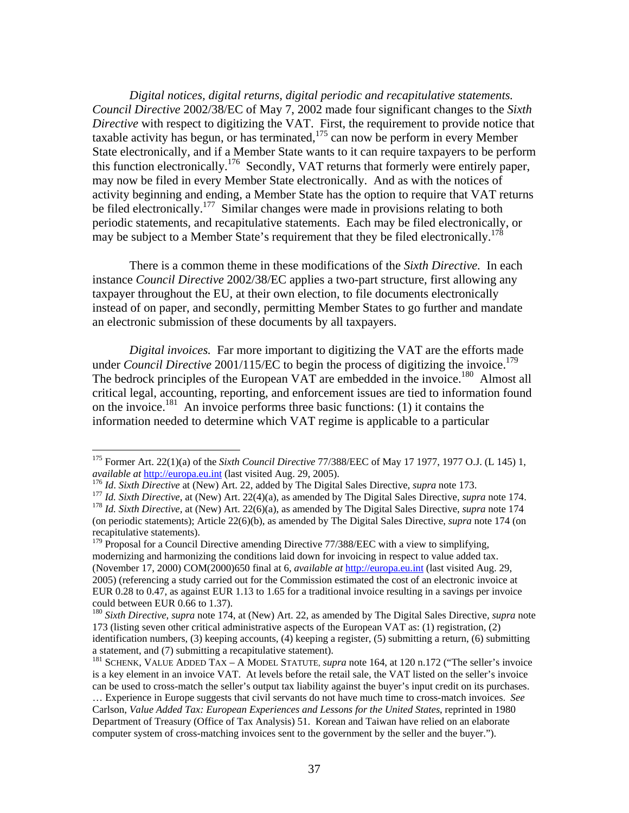*Digital notices, digital returns, digital periodic and recapitulative statements. Council Directive* 2002/38/EC of May 7, 2002 made four significant changes to the *Sixth Directive* with respect to digitizing the VAT. First, the requirement to provide notice that taxable activity has begun, or has terminated,  $175$  can now be perform in every Member State electronically, and if a Member State wants to it can require taxpayers to be perform this function electronically.176 Secondly, VAT returns that formerly were entirely paper, may now be filed in every Member State electronically. And as with the notices of activity beginning and ending, a Member State has the option to require that VAT returns be filed electronically.<sup>177</sup> Similar changes were made in provisions relating to both periodic statements, and recapitulative statements. Each may be filed electronically, or may be subject to a Member State's requirement that they be filed electronically.<sup>178</sup>

There is a common theme in these modifications of the *Sixth Directive.* In each instance *Council Directive* 2002/38/EC applies a two-part structure, first allowing any taxpayer throughout the EU, at their own election, to file documents electronically instead of on paper, and secondly, permitting Member States to go further and mandate an electronic submission of these documents by all taxpayers.

*Digital invoices.* Far more important to digitizing the VAT are the efforts made under *Council Directive* 2001/115/EC to begin the process of digitizing the invoice.<sup>179</sup> The bedrock principles of the European VAT are embedded in the invoice.<sup>180</sup> Almost all critical legal, accounting, reporting, and enforcement issues are tied to information found on the invoice.<sup>181</sup> An invoice performs three basic functions: (1) it contains the information needed to determine which VAT regime is applicable to a particular

<sup>175</sup> Former Art. 22(1)(a) of the *Sixth Council Directive* 77/388/EEC of May 17 1977, 1977 O.J. (L 145) 1,

*available at http://europa.eu.int* (last visited Aug. 29, 2005).<br><sup>176</sup> *Id. Sixth Directive* at (New) Art. 22, added by The Digital Sales Directive, *supra* note 173.<br><sup>177</sup> *Id. Sixth Directive*, at (New) Art. 22(4)(a), a (on periodic statements); Article 22(6)(b), as amended by The Digital Sales Directive, *supra* note 174 (on recapitulative statements).

<sup>&</sup>lt;sup>179</sup> Proposal for a Council Directive amending Directive  $77/388$ /EEC with a view to simplifying, modernizing and harmonizing the conditions laid down for invoicing in respect to value added tax. (November 17, 2000) COM(2000)650 final at 6, *available at* http://europa.eu.int (last visited Aug. 29, 2005) (referencing a study carried out for the Commission estimated the cost of an electronic invoice at EUR 0.28 to 0.47, as against EUR 1.13 to 1.65 for a traditional invoice resulting in a savings per invoice could between EUR 0.66 to 1.37).

<sup>180</sup> *Sixth Directive*, *supra* note 174, at (New) Art. 22, as amended by The Digital Sales Directive, *supra* note 173 (listing seven other critical administrative aspects of the European VAT as: (1) registration, (2) identification numbers, (3) keeping accounts, (4) keeping a register, (5) submitting a return, (6) submitting a statement, and (7) submitting a recapitulative statement).<br><sup>181</sup> SCHENK, VALUE ADDED TAX – A MODEL STATUTE, *supra* note 164, at 120 n.172 ("The seller's invoice

is a key element in an invoice VAT. At levels before the retail sale, the VAT listed on the seller's invoice can be used to cross-match the seller's output tax liability against the buyer's input credit on its purchases. … Experience in Europe suggests that civil servants do not have much time to cross-match invoices. *See* Carlson, *Value Added Tax: European Experiences and Lessons for the United States*, reprinted in 1980

Department of Treasury (Office of Tax Analysis) 51. Korean and Taiwan have relied on an elaborate computer system of cross-matching invoices sent to the government by the seller and the buyer.").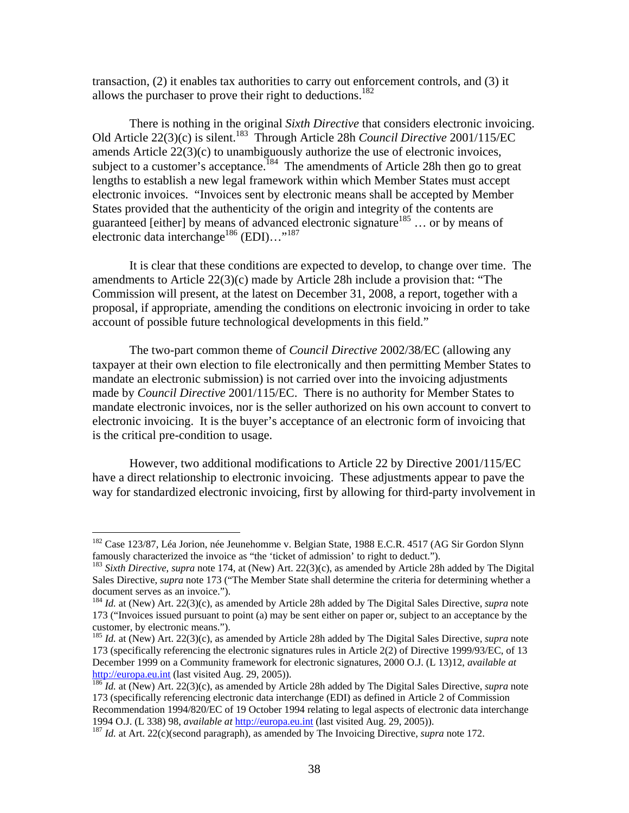transaction, (2) it enables tax authorities to carry out enforcement controls, and (3) it allows the purchaser to prove their right to deductions.<sup>182</sup>

There is nothing in the original *Sixth Directive* that considers electronic invoicing. Old Article 22(3)(c) is silent.183 Through Article 28h *Council Directive* 2001/115/EC amends Article 22(3)(c) to unambiguously authorize the use of electronic invoices, subject to a customer's acceptance.<sup>184</sup> The amendments of Article 28h then go to great lengths to establish a new legal framework within which Member States must accept electronic invoices. "Invoices sent by electronic means shall be accepted by Member States provided that the authenticity of the origin and integrity of the contents are guaranteed [either] by means of advanced electronic signature<sup>185</sup> ... or by means of electronic data interchange<sup>186</sup> (EDI)..."<sup>187</sup>

It is clear that these conditions are expected to develop, to change over time. The amendments to Article 22(3)(c) made by Article 28h include a provision that: "The Commission will present, at the latest on December 31, 2008, a report, together with a proposal, if appropriate, amending the conditions on electronic invoicing in order to take account of possible future technological developments in this field."

The two-part common theme of *Council Directive* 2002/38/EC (allowing any taxpayer at their own election to file electronically and then permitting Member States to mandate an electronic submission) is not carried over into the invoicing adjustments made by *Council Directive* 2001/115/EC. There is no authority for Member States to mandate electronic invoices, nor is the seller authorized on his own account to convert to electronic invoicing. It is the buyer's acceptance of an electronic form of invoicing that is the critical pre-condition to usage.

However, two additional modifications to Article 22 by Directive 2001/115/EC have a direct relationship to electronic invoicing. These adjustments appear to pave the way for standardized electronic invoicing, first by allowing for third-party involvement in

<sup>&</sup>lt;sup>182</sup> Case 123/87, Léa Jorion, née Jeunehomme v. Belgian State, 1988 E.C.R. 4517 (AG Sir Gordon Slynn famously characterized the invoice as "the 'ticket of admission' to right to deduct.").

<sup>&</sup>lt;sup>183</sup> Sixth Directive, *supra* note 174, at (New) Art. 22(3)(c), as amended by Article 28h added by The Digital Sales Directive, *supra* note 173 ("The Member State shall determine the criteria for determining whether a document serves as an invoice.").

<sup>184</sup> *Id.* at (New) Art. 22(3)(c), as amended by Article 28h added by The Digital Sales Directive, *supra* note 173 ("Invoices issued pursuant to point (a) may be sent either on paper or, subject to an acceptance by the customer, by electronic means.").

<sup>&</sup>lt;sup>185</sup> *Id.* at (New) Art. 22(3)(c), as amended by Article 28h added by The Digital Sales Directive, *supra* note 173 (specifically referencing the electronic signatures rules in Article 2(2) of Directive 1999/93/EC, of 13 December 1999 on a Community framework for electronic signatures, 2000 O.J. (L 13)12, *available at*

<sup>&</sup>lt;sup>186</sup> *Id.* at (New) Art. 22(3)(c), as amended by Article 28h added by The Digital Sales Directive, *supra* note 173 (specifically referencing electronic data interchange (EDI) as defined in Article 2 of Commission Recommendation 1994/820/EC of 19 October 1994 relating to legal aspects of electronic data interchange 1994 O.J. (L 338) 98, *available at* http://europa.eu.int (last visited Aug. 29, 2005)). 187 *Id.* at Art. 22(c)(second paragraph), as amended by The Invoicing Directive, *supra* note 172.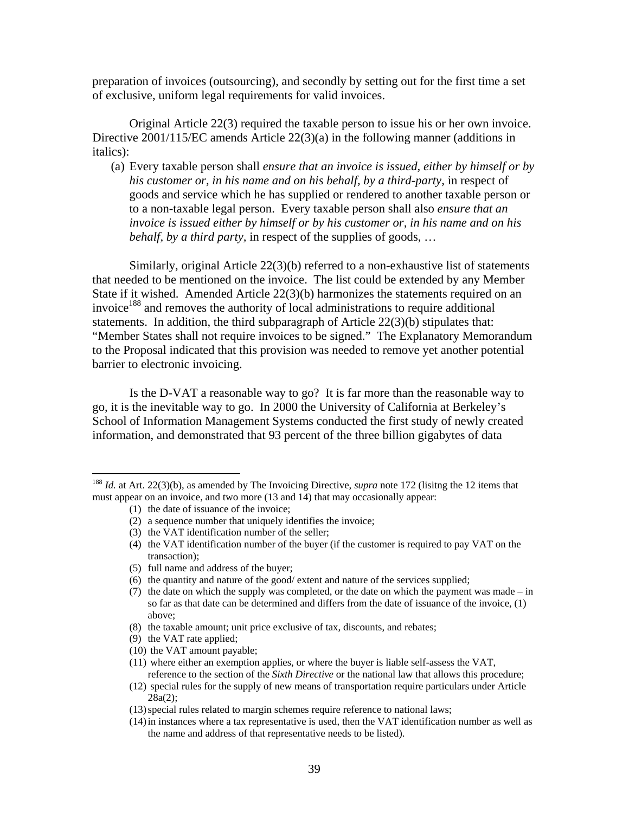preparation of invoices (outsourcing), and secondly by setting out for the first time a set of exclusive, uniform legal requirements for valid invoices.

Original Article 22(3) required the taxable person to issue his or her own invoice. Directive 2001/115/EC amends Article 22(3)(a) in the following manner (additions in italics):

(a) Every taxable person shall *ensure that an invoice is issued, either by himself or by his customer or, in his name and on his behalf, by a third-party*, in respect of goods and service which he has supplied or rendered to another taxable person or to a non-taxable legal person. Every taxable person shall also *ensure that an invoice is issued either by himself or by his customer or, in his name and on his behalf, by a third party,* in respect of the supplies of goods, …

Similarly, original Article 22(3)(b) referred to a non-exhaustive list of statements that needed to be mentioned on the invoice. The list could be extended by any Member State if it wished. Amended Article 22(3)(b) harmonizes the statements required on an invoice<sup>188</sup> and removes the authority of local administrations to require additional statements. In addition, the third subparagraph of Article 22(3)(b) stipulates that: "Member States shall not require invoices to be signed." The Explanatory Memorandum to the Proposal indicated that this provision was needed to remove yet another potential barrier to electronic invoicing.

Is the D-VAT a reasonable way to go? It is far more than the reasonable way to go, it is the inevitable way to go. In 2000 the University of California at Berkeley's School of Information Management Systems conducted the first study of newly created information, and demonstrated that 93 percent of the three billion gigabytes of data

- (2) a sequence number that uniquely identifies the invoice;
- (3) the VAT identification number of the seller;
- (4) the VAT identification number of the buyer (if the customer is required to pay VAT on the transaction);
- (5) full name and address of the buyer;
- (6) the quantity and nature of the good/ extent and nature of the services supplied;
- (7) the date on which the supply was completed, or the date on which the payment was made in so far as that date can be determined and differs from the date of issuance of the invoice, (1) above;
- (8) the taxable amount; unit price exclusive of tax, discounts, and rebates;
- (9) the VAT rate applied;

1

- (10) the VAT amount payable;
- (11) where either an exemption applies, or where the buyer is liable self-assess the VAT, reference to the section of the *Sixth Directive* or the national law that allows this procedure;
- (12) special rules for the supply of new means of transportation require particulars under Article 28a(2);
- (13)special rules related to margin schemes require reference to national laws;
- (14)in instances where a tax representative is used, then the VAT identification number as well as the name and address of that representative needs to be listed).

<sup>188</sup> *Id.* at Art. 22(3)(b), as amended by The Invoicing Directive, *supra* note 172 (lisitng the 12 items that must appear on an invoice, and two more (13 and 14) that may occasionally appear:

<sup>(1)</sup> the date of issuance of the invoice;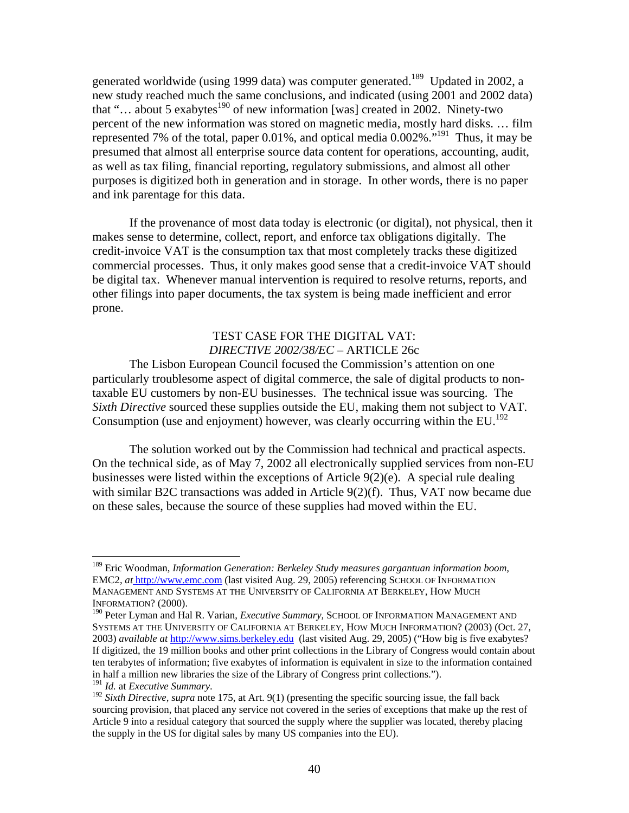generated worldwide (using 1999 data) was computer generated.<sup>189</sup> Updated in 2002, a new study reached much the same conclusions, and indicated (using 2001 and 2002 data) that "... about 5 exabytes<sup>190</sup> of new information [was] created in 2002. Ninety-two percent of the new information was stored on magnetic media, mostly hard disks. … film represented 7% of the total, paper 0.01%, and optical media  $0.002\%$ .<sup>[91</sup>] Thus, it may be presumed that almost all enterprise source data content for operations, accounting, audit, as well as tax filing, financial reporting, regulatory submissions, and almost all other purposes is digitized both in generation and in storage. In other words, there is no paper and ink parentage for this data.

If the provenance of most data today is electronic (or digital), not physical, then it makes sense to determine, collect, report, and enforce tax obligations digitally. The credit-invoice VAT is the consumption tax that most completely tracks these digitized commercial processes. Thus, it only makes good sense that a credit-invoice VAT should be digital tax. Whenever manual intervention is required to resolve returns, reports, and other filings into paper documents, the tax system is being made inefficient and error prone.

# TEST CASE FOR THE DIGITAL VAT: *DIRECTIVE 2002/38/EC* – ARTICLE 26c

The Lisbon European Council focused the Commission's attention on one particularly troublesome aspect of digital commerce, the sale of digital products to nontaxable EU customers by non-EU businesses. The technical issue was sourcing. The *Sixth Directive* sourced these supplies outside the EU, making them not subject to VAT. Consumption (use and enjoyment) however, was clearly occurring within the EU.<sup>192</sup>

The solution worked out by the Commission had technical and practical aspects. On the technical side, as of May 7, 2002 all electronically supplied services from non-EU businesses were listed within the exceptions of Article 9(2)(e). A special rule dealing with similar B2C transactions was added in Article  $9(2)(f)$ . Thus, VAT now became due on these sales, because the source of these supplies had moved within the EU.

<sup>189</sup> Eric Woodman, *Information Generation: Berkeley Study measures gargantuan information boom,* EMC2, *at* http://www.emc.com (last visited Aug. 29, 2005) referencing SCHOOL OF INFORMATION MANAGEMENT AND SYSTEMS AT THE UNIVERSITY OF CALIFORNIA AT BERKELEY, HOW MUCH INFORMATION? (2000).

<sup>&</sup>lt;sup>190</sup> Peter Lyman and Hal R. Varian, *Executive Summary*, SCHOOL OF INFORMATION MANAGEMENT AND SYSTEMS AT THE UNIVERSITY OF CALIFORNIA AT BERKELEY, HOW MUCH INFORMATION? (2003) (Oct. 27, 2003) *available at* http://www.sims.berkeley.edu (last visited Aug. 29, 2005) ("How big is five exabytes? If digitized, the 19 million books and other print collections in the Library of Congress would contain about ten terabytes of information; five exabytes of information is equivalent in size to the information contained in half a million new libraries the size of the Library of Congress print collections.").  $^{191}$  *Id.* at *Executive Summary*.

<sup>&</sup>lt;sup>192</sup> Sixth Directive, supra note 175, at Art. 9(1) (presenting the specific sourcing issue, the fall back sourcing provision, that placed any service not covered in the series of exceptions that make up the rest of Article 9 into a residual category that sourced the supply where the supplier was located, thereby placing the supply in the US for digital sales by many US companies into the EU).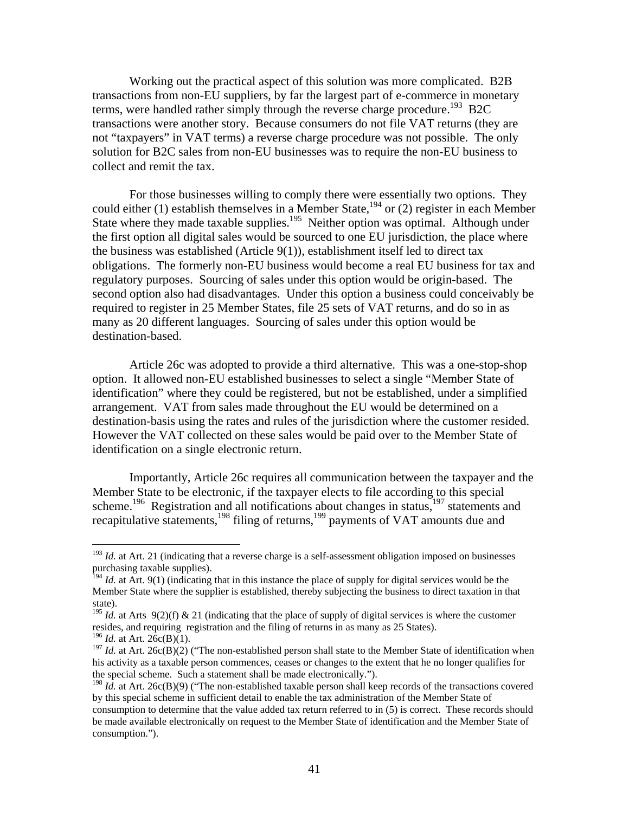Working out the practical aspect of this solution was more complicated. B2B transactions from non-EU suppliers, by far the largest part of e-commerce in monetary terms, were handled rather simply through the reverse charge procedure.<sup>193</sup> B2C transactions were another story. Because consumers do not file VAT returns (they are not "taxpayers" in VAT terms) a reverse charge procedure was not possible. The only solution for B2C sales from non-EU businesses was to require the non-EU business to collect and remit the tax.

For those businesses willing to comply there were essentially two options. They could either (1) establish themselves in a Member State,<sup>194</sup> or (2) register in each Member State where they made taxable supplies.<sup>195</sup> Neither option was optimal. Although under the first option all digital sales would be sourced to one EU jurisdiction, the place where the business was established (Article  $9(1)$ ), establishment itself led to direct tax obligations. The formerly non-EU business would become a real EU business for tax and regulatory purposes. Sourcing of sales under this option would be origin-based. The second option also had disadvantages. Under this option a business could conceivably be required to register in 25 Member States, file 25 sets of VAT returns, and do so in as many as 20 different languages. Sourcing of sales under this option would be destination-based.

Article 26c was adopted to provide a third alternative. This was a one-stop-shop option. It allowed non-EU established businesses to select a single "Member State of identification" where they could be registered, but not be established, under a simplified arrangement. VAT from sales made throughout the EU would be determined on a destination-basis using the rates and rules of the jurisdiction where the customer resided. However the VAT collected on these sales would be paid over to the Member State of identification on a single electronic return.

Importantly, Article 26c requires all communication between the taxpayer and the Member State to be electronic, if the taxpayer elects to file according to this special scheme.<sup>196</sup> Registration and all notifications about changes in status,<sup>197</sup> statements and recapitulative statements,<sup>198</sup> filing of returns,<sup>199</sup> payments of VAT amounts due and

<sup>&</sup>lt;sup>193</sup> *Id.* at Art. 21 (indicating that a reverse charge is a self-assessment obligation imposed on businesses purchasing taxable supplies).

<sup>&</sup>lt;sup>194</sup> *Id.* at Art. 9(1) (indicating that in this instance the place of supply for digital services would be the Member State where the supplier is established, thereby subjecting the business to direct taxation in that state).

<sup>&</sup>lt;sup>195</sup> *Id.* at Arts 9(2)(f) & 21 (indicating that the place of supply of digital services is where the customer resides, and requiring registration and the filing of returns in as many as 25 States). <sup>196</sup> *Id.* at Art. 26c(B)(1).

<sup>&</sup>lt;sup>197</sup> *Id.* at Art. 26c(B)(2) ("The non-established person shall state to the Member State of identification when his activity as a taxable person commences, ceases or changes to the extent that he no longer qualifies for the special scheme. Such a statement shall be made electronically.").

<sup>&</sup>lt;sup>198</sup> *Id.* at Art. 26c(B)(9) ("The non-established taxable person shall keep records of the transactions covered by this special scheme in sufficient detail to enable the tax administration of the Member State of consumption to determine that the value added tax return referred to in (5) is correct. These records should be made available electronically on request to the Member State of identification and the Member State of consumption.").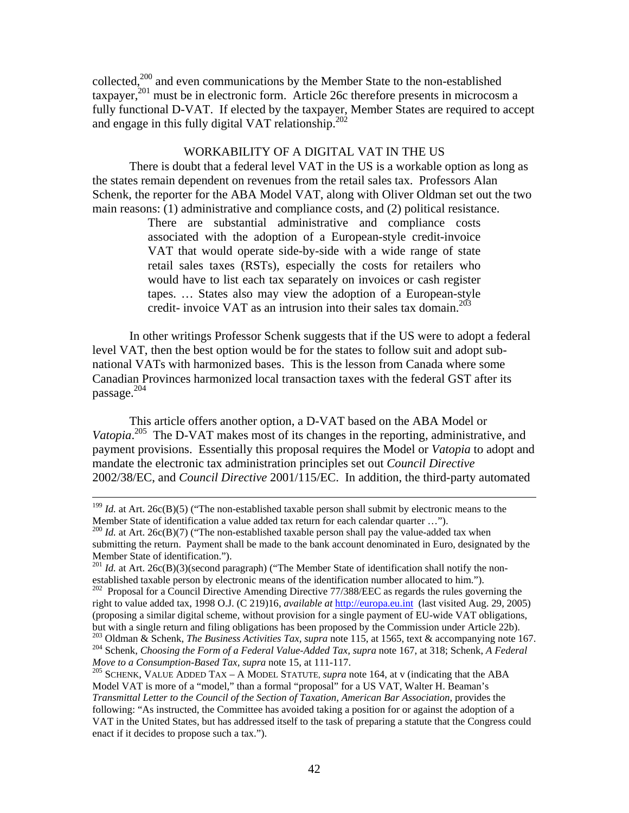collected, $200$  and even communications by the Member State to the non-established taxpayer,<sup>201</sup> must be in electronic form. Article 26c therefore presents in microcosm a fully functional D-VAT. If elected by the taxpayer, Member States are required to accept and engage in this fully digital VAT relationship. $202$ 

## WORKABILITY OF A DIGITAL VAT IN THE US

There is doubt that a federal level VAT in the US is a workable option as long as the states remain dependent on revenues from the retail sales tax. Professors Alan Schenk, the reporter for the ABA Model VAT, along with Oliver Oldman set out the two main reasons: (1) administrative and compliance costs, and (2) political resistance.

> There are substantial administrative and compliance costs associated with the adoption of a European-style credit-invoice VAT that would operate side-by-side with a wide range of state retail sales taxes (RSTs), especially the costs for retailers who would have to list each tax separately on invoices or cash register tapes. … States also may view the adoption of a European-style credit- invoice VAT as an intrusion into their sales tax domain. $^{203}$

In other writings Professor Schenk suggests that if the US were to adopt a federal level VAT, then the best option would be for the states to follow suit and adopt subnational VATs with harmonized bases. This is the lesson from Canada where some Canadian Provinces harmonized local transaction taxes with the federal GST after its passage.204

This article offers another option, a D-VAT based on the ABA Model or Vatopia.<sup>205</sup> The D-VAT makes most of its changes in the reporting, administrative, and payment provisions. Essentially this proposal requires the Model or *Vatopia* to adopt and mandate the electronic tax administration principles set out *Council Directive*  2002/38/EC, and *Council Directive* 2001/115/EC. In addition, the third-party automated

<sup>&</sup>lt;sup>199</sup> *Id.* at Art. 26c(B)(5) ("The non-established taxable person shall submit by electronic means to the Member State of identification a value added tax return for each calendar quarter ...").

<sup>&</sup>lt;sup>200</sup> Id. at Art. 26c(B)(7) ("The non-established taxable person shall pay the value-added tax when submitting the return. Payment shall be made to the bank account denominated in Euro, designated by the Member State of identification.").

<sup>&</sup>lt;sup>201</sup> *Id.* at Art. 26c(B)(3)(second paragraph) ("The Member State of identification shall notify the nonestablished taxable person by electronic means of the identification number allocated to him.").<br><sup>202</sup> Proposal for a Council Directive Amending Directive 77/388/EEC as regards the rules governing the

right to value added tax, 1998 O.J. (C 219)16, *available at* http://europa.eu.int (last visited Aug. 29, 2005) (proposing a similar digital scheme, without provision for a single payment of EU-wide VAT obligations, but with a single return and filing obligations has been proposed by the Commission under Article 22b).<br><sup>203</sup> Oldman & Schenk, *The Business Activities Tax, supra* note 115, at 1565, text & accompanying note 167. <sup>204</sup> Schenk, *Choosing the Form of a Federal Value-Added Tax, supra* note 167, at 318; Schenk, *A Federal Move to a Consumption-Based Tax, supra* note 15, at 111-117.

<sup>&</sup>lt;sup>205</sup> SCHENK, VALUE ADDED TAX – A MODEL STATUTE, *supra* note 164, at v (indicating that the ABA Model VAT is more of a "model," than a formal "proposal" for a US VAT, Walter H. Beaman's *Transmittal Letter to the Council of the Section of Taxation, American Bar Association*, provides the following: "As instructed, the Committee has avoided taking a position for or against the adoption of a VAT in the United States, but has addressed itself to the task of preparing a statute that the Congress could enact if it decides to propose such a tax.").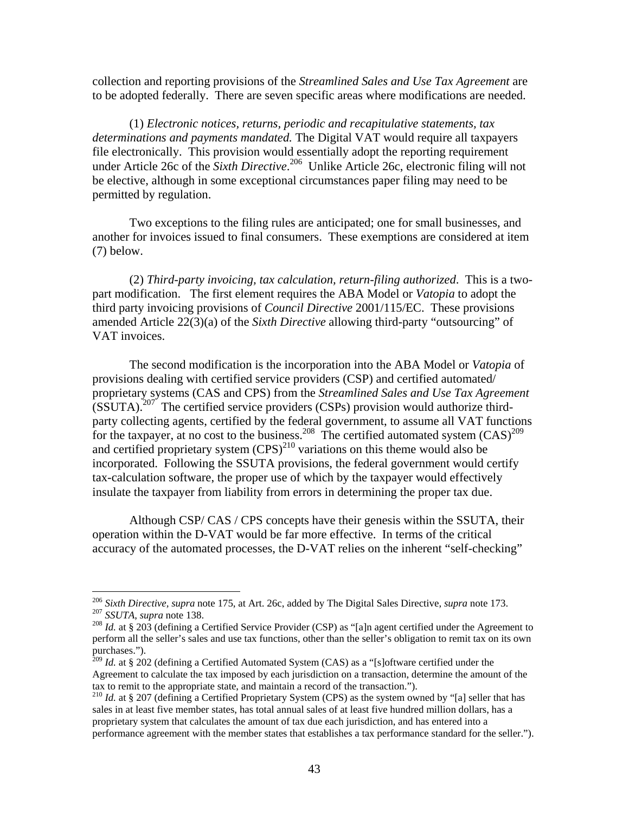collection and reporting provisions of the *Streamlined Sales and Use Tax Agreement* are to be adopted federally. There are seven specific areas where modifications are needed.

 (1) *Electronic notices, returns, periodic and recapitulative statements, tax determinations and payments mandated.* The Digital VAT would require all taxpayers file electronically. This provision would essentially adopt the reporting requirement under Article 26c of the *Sixth Directive*. 206 Unlike Article 26c, electronic filing will not be elective, although in some exceptional circumstances paper filing may need to be permitted by regulation.

Two exceptions to the filing rules are anticipated; one for small businesses, and another for invoices issued to final consumers. These exemptions are considered at item (7) below.

 (2) *Third-party invoicing, tax calculation, return-filing authorized*. This is a twopart modification. The first element requires the ABA Model or *Vatopia* to adopt the third party invoicing provisions of *Council Directive* 2001/115/EC. These provisions amended Article 22(3)(a) of the *Sixth Directive* allowing third-party "outsourcing" of VAT invoices.

 The second modification is the incorporation into the ABA Model or *Vatopia* of provisions dealing with certified service providers (CSP) and certified automated/ proprietary systems (CAS and CPS) from the *Streamlined Sales and Use Tax Agreement* (SSUTA).207 The certified service providers (CSPs) provision would authorize thirdparty collecting agents, certified by the federal government, to assume all VAT functions for the taxpayer, at no cost to the business.<sup>208</sup> The certified automated system  $(CAS)^{209}$ and certified proprietary system  $(CPS)^{210}$  variations on this theme would also be incorporated. Following the SSUTA provisions, the federal government would certify tax-calculation software, the proper use of which by the taxpayer would effectively insulate the taxpayer from liability from errors in determining the proper tax due.

 Although CSP/ CAS / CPS concepts have their genesis within the SSUTA, their operation within the D-VAT would be far more effective. In terms of the critical accuracy of the automated processes, the D-VAT relies on the inherent "self-checking"

<sup>&</sup>lt;sup>206</sup> Sixth Directive, supra note 175, at Art. 26c, added by The Digital Sales Directive, supra note 173. <sup>207</sup> SSUTA, supra note 138.<br><sup>208</sup> Id. at § 203 (defining a Certified Service Provider (CSP) as "[a]n agent certified under the Agreement to

perform all the seller's sales and use tax functions, other than the seller's obligation to remit tax on its own purchases.").

<sup>209</sup> *Id.* at § 202 (defining a Certified Automated System (CAS) as a "[s]oftware certified under the Agreement to calculate the tax imposed by each jurisdiction on a transaction, determine the amount of the tax to remit to the appropriate state, and maintain a record of the transaction.").

<sup>&</sup>lt;sup>210</sup> *Id.* at § 207 (defining a Certified Proprietary System (CPS) as the system owned by "[a] seller that has sales in at least five member states, has total annual sales of at least five hundred million dollars, has a proprietary system that calculates the amount of tax due each jurisdiction, and has entered into a performance agreement with the member states that establishes a tax performance standard for the seller.").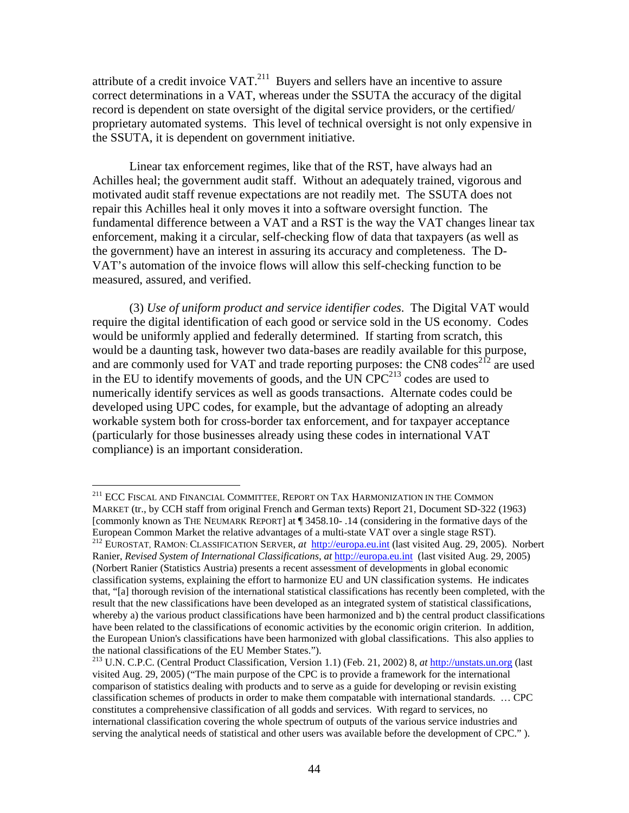attribute of a credit invoice  $VAT<sup>211</sup>$  Buyers and sellers have an incentive to assure correct determinations in a VAT, whereas under the SSUTA the accuracy of the digital record is dependent on state oversight of the digital service providers, or the certified/ proprietary automated systems. This level of technical oversight is not only expensive in the SSUTA, it is dependent on government initiative.

Linear tax enforcement regimes, like that of the RST, have always had an Achilles heal; the government audit staff. Without an adequately trained, vigorous and motivated audit staff revenue expectations are not readily met. The SSUTA does not repair this Achilles heal it only moves it into a software oversight function. The fundamental difference between a VAT and a RST is the way the VAT changes linear tax enforcement, making it a circular, self-checking flow of data that taxpayers (as well as the government) have an interest in assuring its accuracy and completeness. The D-VAT's automation of the invoice flows will allow this self-checking function to be measured, assured, and verified.

 (3) *Use of uniform product and service identifier codes*. The Digital VAT would require the digital identification of each good or service sold in the US economy. Codes would be uniformly applied and federally determined. If starting from scratch, this would be a daunting task, however two data-bases are readily available for this purpose, and are commonly used for VAT and trade reporting purposes: the CN8 codes<sup>212</sup> are used in the EU to identify movements of goods, and the UN CPC $^{213}$  codes are used to numerically identify services as well as goods transactions. Alternate codes could be developed using UPC codes, for example, but the advantage of adopting an already workable system both for cross-border tax enforcement, and for taxpayer acceptance (particularly for those businesses already using these codes in international VAT compliance) is an important consideration.

<sup>211</sup> ECC FISCAL AND FINANCIAL COMMITTEE, REPORT ON TAX HARMONIZATION IN THE COMMON MARKET (tr., by CCH staff from original French and German texts) Report 21, Document SD-322 (1963) [commonly known as THE NEUMARK REPORT] at ¶ 3458.10- .14 (considering in the formative days of the European Common Market the relative advantages of a multi-state VAT over a single stage RST). 212 EUROSTAT, RAMON: CLASSIFICATION SERVER, *at* http://europa.eu.int (last visited Aug. 29, 2005). Norbert

Ranier, *Revised System of International Classifications, at* http://europa.eu.int (last visited Aug. 29, 2005) (Norbert Ranier (Statistics Austria) presents a recent assessment of developments in global economic classification systems, explaining the effort to harmonize EU and UN classification systems. He indicates that, "[a] thorough revision of the international statistical classifications has recently been completed, with the result that the new classifications have been developed as an integrated system of statistical classifications, whereby a) the various product classifications have been harmonized and b) the central product classifications have been related to the classifications of economic activities by the economic origin criterion. In addition, the European Union's classifications have been harmonized with global classifications. This also applies to the national classifications of the EU Member States.").

<sup>213</sup> U.N. C.P.C. (Central Product Classification, Version 1.1) (Feb. 21, 2002) 8, *at* http://unstats.un.org (last visited Aug. 29, 2005) ("The main purpose of the CPC is to provide a framework for the international comparison of statistics dealing with products and to serve as a guide for developing or revisin existing classification schemes of products in order to make them compatable with international standards. … CPC constitutes a comprehensive classification of all godds and services. With regard to services, no international classification covering the whole spectrum of outputs of the various service industries and serving the analytical needs of statistical and other users was available before the development of CPC." ).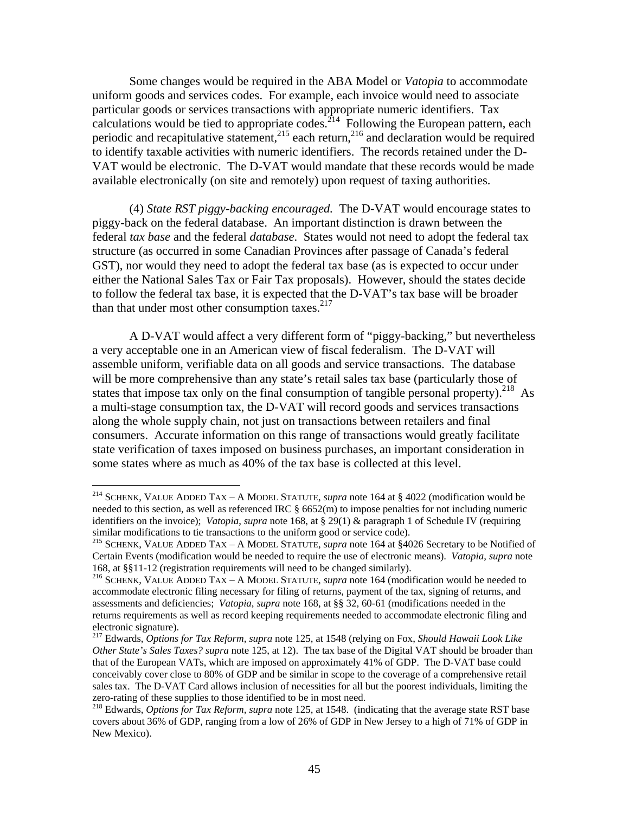Some changes would be required in the ABA Model or *Vatopia* to accommodate uniform goods and services codes. For example, each invoice would need to associate particular goods or services transactions with appropriate numeric identifiers. Tax calculations would be tied to appropriate codes.<sup>214</sup> Following the European pattern, each periodic and recapitulative statement,<sup>215</sup> each return,<sup>216</sup> and declaration would be required to identify taxable activities with numeric identifiers. The records retained under the D-VAT would be electronic. The D-VAT would mandate that these records would be made available electronically (on site and remotely) upon request of taxing authorities.

(4) *State RST piggy-backing encouraged.* The D-VAT would encourage states to piggy-back on the federal database. An important distinction is drawn between the federal *tax base* and the federal *database*. States would not need to adopt the federal tax structure (as occurred in some Canadian Provinces after passage of Canada's federal GST), nor would they need to adopt the federal tax base (as is expected to occur under either the National Sales Tax or Fair Tax proposals). However, should the states decide to follow the federal tax base, it is expected that the D-VAT's tax base will be broader than that under most other consumption taxes. $217$ 

A D-VAT would affect a very different form of "piggy-backing," but nevertheless a very acceptable one in an American view of fiscal federalism. The D-VAT will assemble uniform, verifiable data on all goods and service transactions. The database will be more comprehensive than any state's retail sales tax base (particularly those of states that impose tax only on the final consumption of tangible personal property).<sup>218</sup> As a multi-stage consumption tax, the D-VAT will record goods and services transactions along the whole supply chain, not just on transactions between retailers and final consumers. Accurate information on this range of transactions would greatly facilitate state verification of taxes imposed on business purchases, an important consideration in some states where as much as 40% of the tax base is collected at this level.

1

<sup>214</sup> SCHENK, VALUE ADDED TAX – A MODEL STATUTE, *supra* note 164 at § 4022 (modification would be needed to this section, as well as referenced IRC § 6652(m) to impose penalties for not including numeric identifiers on the invoice); *Vatopia*, *supra* note 168, at § 29(1) & paragraph 1 of Schedule IV (requiring similar modifications to tie transactions to the uniform good or service code).

<sup>215</sup> SCHENK, VALUE ADDED TAX – A MODEL STATUTE, *supra* note 164 at §4026 Secretary to be Notified of Certain Events (modification would be needed to require the use of electronic means). *Vatopia*, *supra* note 168, at §§11-12 (registration requirements will need to be changed similarly). 216 SCHENK, VALUE ADDED TAX – A MODEL STATUTE, *supra* note 164 (modification would be needed to

accommodate electronic filing necessary for filing of returns, payment of the tax, signing of returns, and assessments and deficiencies; *Vatopia*, *supra* note 168, at §§ 32, 60-61 (modifications needed in the returns requirements as well as record keeping requirements needed to accommodate electronic filing and electronic signature).

<sup>217</sup> Edwards, *Options for Tax Reform, supra* note 125, at 1548 (relying on Fox, *Should Hawaii Look Like Other State's Sales Taxes? supra* note 125, at 12). The tax base of the Digital VAT should be broader than that of the European VATs, which are imposed on approximately 41% of GDP. The D-VAT base could conceivably cover close to 80% of GDP and be similar in scope to the coverage of a comprehensive retail sales tax. The D-VAT Card allows inclusion of necessities for all but the poorest individuals, limiting the zero-rating of these supplies to those identified to be in most need.

<sup>218</sup> Edwards, *Options for Tax Reform, supra* note 125, at 1548. (indicating that the average state RST base covers about 36% of GDP, ranging from a low of 26% of GDP in New Jersey to a high of 71% of GDP in New Mexico).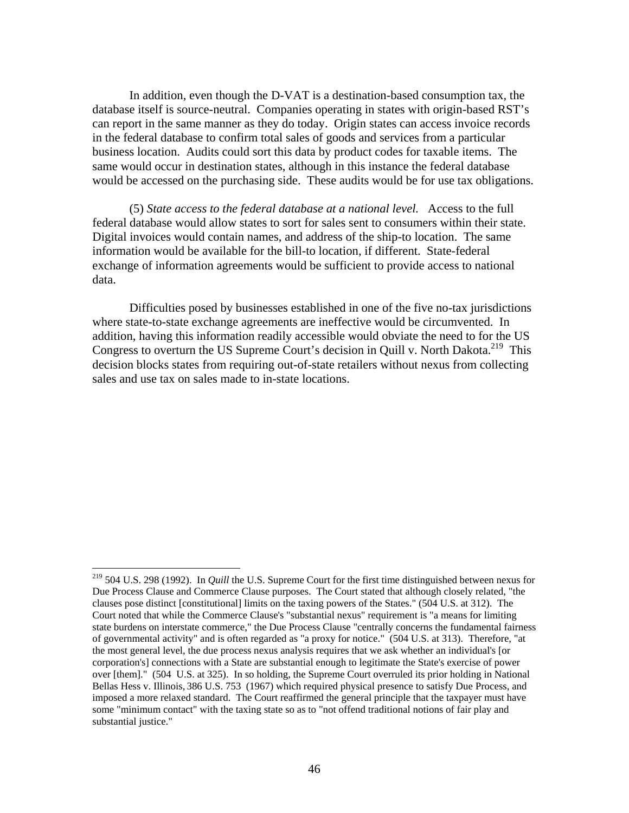In addition, even though the D-VAT is a destination-based consumption tax, the database itself is source-neutral. Companies operating in states with origin-based RST's can report in the same manner as they do today. Origin states can access invoice records in the federal database to confirm total sales of goods and services from a particular business location. Audits could sort this data by product codes for taxable items. The same would occur in destination states, although in this instance the federal database would be accessed on the purchasing side. These audits would be for use tax obligations.

(5) *State access to the federal database at a national level.* Access to the full federal database would allow states to sort for sales sent to consumers within their state. Digital invoices would contain names, and address of the ship-to location. The same information would be available for the bill-to location, if different. State-federal exchange of information agreements would be sufficient to provide access to national data.

Difficulties posed by businesses established in one of the five no-tax jurisdictions where state-to-state exchange agreements are ineffective would be circumvented. In addition, having this information readily accessible would obviate the need to for the US Congress to overturn the US Supreme Court's decision in Quill v. North Dakota.<sup>219</sup> This decision blocks states from requiring out-of-state retailers without nexus from collecting sales and use tax on sales made to in-state locations.

1

<sup>219 504</sup> U.S. 298 (1992). In *Quill* the U.S. Supreme Court for the first time distinguished between nexus for Due Process Clause and Commerce Clause purposes. The Court stated that although closely related, "the clauses pose distinct [constitutional] limits on the taxing powers of the States." (504 U.S. at 312). The Court noted that while the Commerce Clause's "substantial nexus" requirement is "a means for limiting state burdens on interstate commerce," the Due Process Clause "centrally concerns the fundamental fairness of governmental activity" and is often regarded as "a proxy for notice." (504 U.S. at 313). Therefore, "at the most general level, the due process nexus analysis requires that we ask whether an individual's [or corporation's] connections with a State are substantial enough to legitimate the State's exercise of power over [them]." (504 U.S. at 325). In so holding, the Supreme Court overruled its prior holding in National Bellas Hess v. Illinois*,* 386 U.S. 753 (1967) which required physical presence to satisfy Due Process, and imposed a more relaxed standard. The Court reaffirmed the general principle that the taxpayer must have some "minimum contact" with the taxing state so as to "not offend traditional notions of fair play and substantial justice."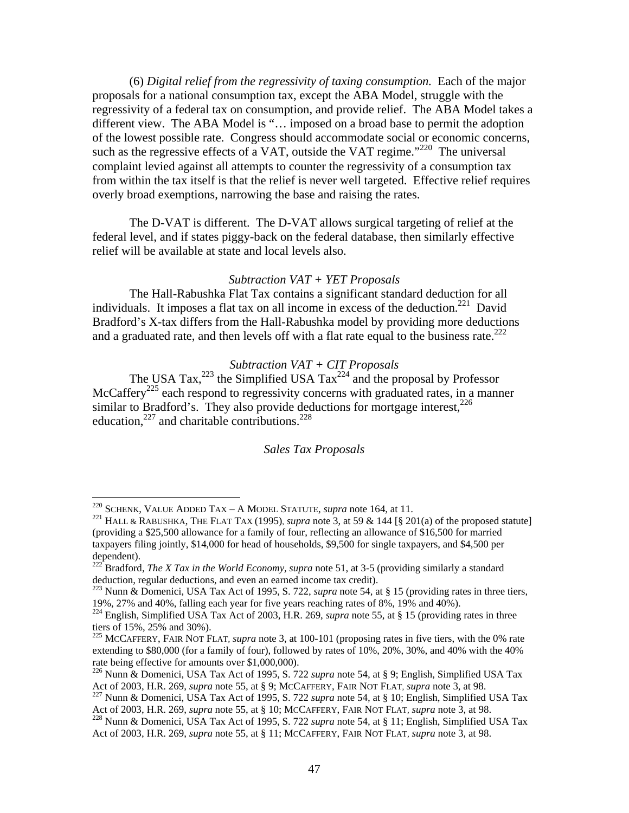(6) *Digital relief from the regressivity of taxing consumption.* Each of the major proposals for a national consumption tax, except the ABA Model, struggle with the regressivity of a federal tax on consumption, and provide relief. The ABA Model takes a different view. The ABA Model is "… imposed on a broad base to permit the adoption of the lowest possible rate. Congress should accommodate social or economic concerns, such as the regressive effects of a VAT, outside the VAT regime."<sup>220</sup> The universal complaint levied against all attempts to counter the regressivity of a consumption tax from within the tax itself is that the relief is never well targeted. Effective relief requires overly broad exemptions, narrowing the base and raising the rates.

The D-VAT is different. The D-VAT allows surgical targeting of relief at the federal level, and if states piggy-back on the federal database, then similarly effective relief will be available at state and local levels also.

#### *Subtraction VAT + YET Proposals*

The Hall-Rabushka Flat Tax contains a significant standard deduction for all individuals. It imposes a flat tax on all income in excess of the deduction.<sup>221</sup> David Bradford's X-tax differs from the Hall-Rabushka model by providing more deductions and a graduated rate, and then levels off with a flat rate equal to the business rate.<sup>222</sup>

#### *Subtraction VAT + CIT Proposals*

The USA Tax,<sup>223</sup> the Simplified USA Tax<sup>224</sup> and the proposal by Professor  $McCaffery<sup>225</sup>$  each respond to regressivity concerns with graduated rates, in a manner similar to Bradford's. They also provide deductions for mortgage interest,  $226$ education, $^{227}$  and charitable contributions. $^{228}$ 

#### *Sales Tax Proposals*

<sup>&</sup>lt;sup>220</sup> SCHENK, VALUE ADDED TAX – A MODEL STATUTE, *supra* note 164, at 11.

<sup>&</sup>lt;sup>221</sup> HALL & RABUSHKA, THE FLAT TAX (1995), *supra* note 3, at 59 & 144 [§ 201(a) of the proposed statute] (providing a \$25,500 allowance for a family of four, reflecting an allowance of \$16,500 for married taxpayers filing jointly, \$14,000 for head of households, \$9,500 for single taxpayers, and \$4,500 per dependent).

 $222^{\circ}$ Bradford, *The X Tax in the World Economy, supra* note 51, at 3-5 (providing similarly a standard deduction, regular deductions, and even an earned income tax credit).

<sup>223</sup> Nunn & Domenici, USA Tax Act of 1995, S. 722, *supra* note 54*,* at § 15 (providing rates in three tiers, 19%, 27% and 40%, falling each year for five years reaching rates of 8%, 19% and 40%). 224 English, Simplified USA Tax Act of 2003, H.R. 269, *supra* note 55, at § 15 (providing rates in three

tiers of 15%, 25% and 30%).

<sup>225</sup> MCCAFFERY, FAIR NOT FLAT, *supra* note 3, at 100-101 (proposing rates in five tiers, with the 0% rate extending to \$80,000 (for a family of four), followed by rates of 10%, 20%, 30%, and 40% with the 40% rate being effective for amounts over \$1,000,000).

<sup>226</sup> Nunn & Domenici, USA Tax Act of 1995, S. 722 *supra* note 54*,* at § 9; English, Simplified USA Tax

Act of 2003, H.R. 269, *supra* note 55, at § 9; McCAFFERY, FAIR NOT FLAT, *supra* note 3, at 98.<br><sup>227</sup> Nunn & Domenici, USA Tax Act of 1995, S. 722 *supra* note 54, at § 10; English, Simplified USA Tax<br>Act of 2003, H.R. 26

<sup>&</sup>lt;sup>228</sup> Nunn & Domenici, USA Tax Act of 1995, S. 722 *supra* note 54, at § 11; English, Simplified USA Tax Act of 2003, H.R. 269, *supra* note 55, at § 11; MCCAFFERY, FAIR NOT FLAT, *supra* note 3, at 98.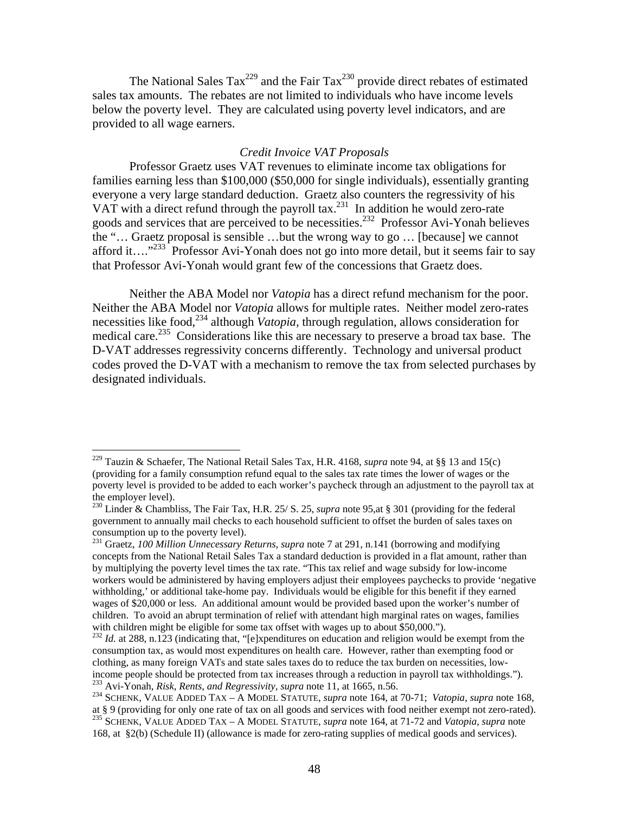The National Sales  $\text{Tax}^{229}$  and the Fair  $\text{Tax}^{230}$  provide direct rebates of estimated sales tax amounts. The rebates are not limited to individuals who have income levels below the poverty level. They are calculated using poverty level indicators, and are provided to all wage earners.

#### *Credit Invoice VAT Proposals*

Professor Graetz uses VAT revenues to eliminate income tax obligations for families earning less than \$100,000 (\$50,000 for single individuals), essentially granting everyone a very large standard deduction. Graetz also counters the regressivity of his VAT with a direct refund through the payroll tax.<sup>231</sup> In addition he would zero-rate goods and services that are perceived to be necessities.<sup>232</sup> Professor Avi-Yonah believes the "… Graetz proposal is sensible …but the wrong way to go … [because] we cannot afford it…."<sup>233</sup> Professor Avi-Yonah does not go into more detail, but it seems fair to say that Professor Avi-Yonah would grant few of the concessions that Graetz does.

Neither the ABA Model nor *Vatopia* has a direct refund mechanism for the poor. Neither the ABA Model nor *Vatopia* allows for multiple rates. Neither model zero-rates necessities like food,234 although *Vatopia,* through regulation, allows consideration for medical care.<sup>235</sup> Considerations like this are necessary to preserve a broad tax base. The D-VAT addresses regressivity concerns differently. Technology and universal product codes proved the D-VAT with a mechanism to remove the tax from selected purchases by designated individuals.

<sup>229</sup> Tauzin & Schaefer, The National Retail Sales Tax, H.R. 4168, *supra* note 94, at §§ 13 and 15(c) (providing for a family consumption refund equal to the sales tax rate times the lower of wages or the poverty level is provided to be added to each worker's paycheck through an adjustment to the payroll tax at the employer level).

<sup>230</sup> Linder & Chambliss, The Fair Tax, H.R. 25/ S. 25, *supra* note 95,at § 301 (providing for the federal government to annually mail checks to each household sufficient to offset the burden of sales taxes on consumption up to the poverty level).

<sup>231</sup> Graetz, *100 Million Unnecessary Returns, supra* note 7 at 291, n.141 (borrowing and modifying concepts from the National Retail Sales Tax a standard deduction is provided in a flat amount, rather than by multiplying the poverty level times the tax rate. "This tax relief and wage subsidy for low-income workers would be administered by having employers adjust their employees paychecks to provide 'negative withholding,' or additional take-home pay. Individuals would be eligible for this benefit if they earned wages of \$20,000 or less. An additional amount would be provided based upon the worker's number of children. To avoid an abrupt termination of relief with attendant high marginal rates on wages, families with children might be eligible for some tax offset with wages up to about \$50,000.").<br><sup>232</sup> *Id.* at 288, n.123 (indicating that, "[e]xpenditures on education and religion would be exempt from the

consumption tax, as would most expenditures on health care. However, rather than exempting food or clothing, as many foreign VATs and state sales taxes do to reduce the tax burden on necessities, lowincome people should be protected from tax increases through a reduction in payroll tax withholdings.").<br>
<sup>233</sup> Avi-Yonah, *Risk*, *Rents*, *and Regressivity*, *supra* note 11, at 1665, n.56.<br>
<sup>234</sup> SCHENK, VALUE ADDED TA

<sup>235</sup> SCHENK, VALUE ADDED TAX – A MODEL STATUTE, *supra* note 164, at 71-72 and *Vatopia*, *supra* note 168, at §2(b) (Schedule II) (allowance is made for zero-rating supplies of medical goods and services).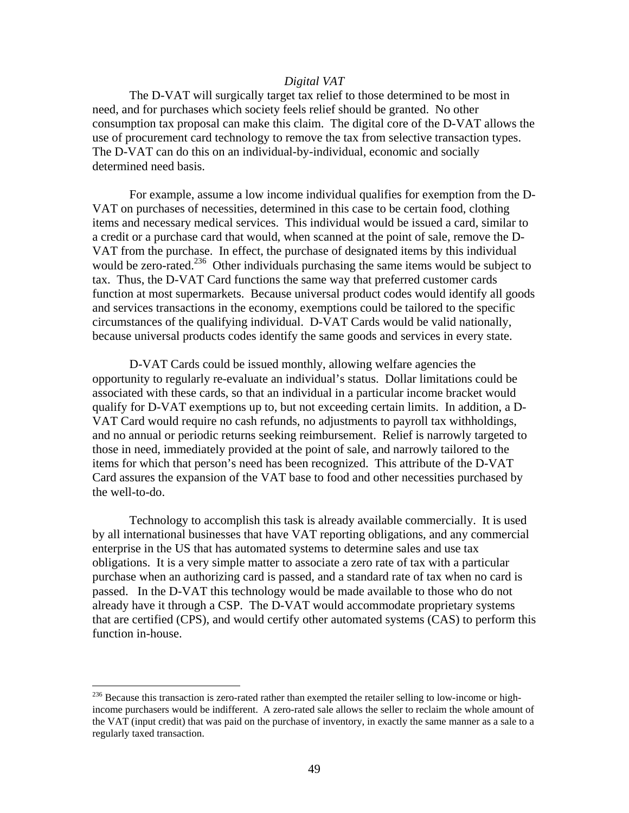#### *Digital VAT*

 The D-VAT will surgically target tax relief to those determined to be most in need, and for purchases which society feels relief should be granted. No other consumption tax proposal can make this claim. The digital core of the D-VAT allows the use of procurement card technology to remove the tax from selective transaction types. The D-VAT can do this on an individual-by-individual, economic and socially determined need basis.

For example, assume a low income individual qualifies for exemption from the D-VAT on purchases of necessities, determined in this case to be certain food, clothing items and necessary medical services. This individual would be issued a card, similar to a credit or a purchase card that would, when scanned at the point of sale, remove the D-VAT from the purchase. In effect, the purchase of designated items by this individual would be zero-rated.<sup>236</sup> Other individuals purchasing the same items would be subject to tax. Thus, the D-VAT Card functions the same way that preferred customer cards function at most supermarkets. Because universal product codes would identify all goods and services transactions in the economy, exemptions could be tailored to the specific circumstances of the qualifying individual. D-VAT Cards would be valid nationally, because universal products codes identify the same goods and services in every state.

D-VAT Cards could be issued monthly, allowing welfare agencies the opportunity to regularly re-evaluate an individual's status. Dollar limitations could be associated with these cards, so that an individual in a particular income bracket would qualify for D-VAT exemptions up to, but not exceeding certain limits. In addition, a D-VAT Card would require no cash refunds, no adjustments to payroll tax withholdings, and no annual or periodic returns seeking reimbursement. Relief is narrowly targeted to those in need, immediately provided at the point of sale, and narrowly tailored to the items for which that person's need has been recognized. This attribute of the D-VAT Card assures the expansion of the VAT base to food and other necessities purchased by the well-to-do.

Technology to accomplish this task is already available commercially. It is used by all international businesses that have VAT reporting obligations, and any commercial enterprise in the US that has automated systems to determine sales and use tax obligations. It is a very simple matter to associate a zero rate of tax with a particular purchase when an authorizing card is passed, and a standard rate of tax when no card is passed. In the D-VAT this technology would be made available to those who do not already have it through a CSP. The D-VAT would accommodate proprietary systems that are certified (CPS), and would certify other automated systems (CAS) to perform this function in-house.

 $236$  Because this transaction is zero-rated rather than exempted the retailer selling to low-income or highincome purchasers would be indifferent. A zero-rated sale allows the seller to reclaim the whole amount of the VAT (input credit) that was paid on the purchase of inventory, in exactly the same manner as a sale to a regularly taxed transaction.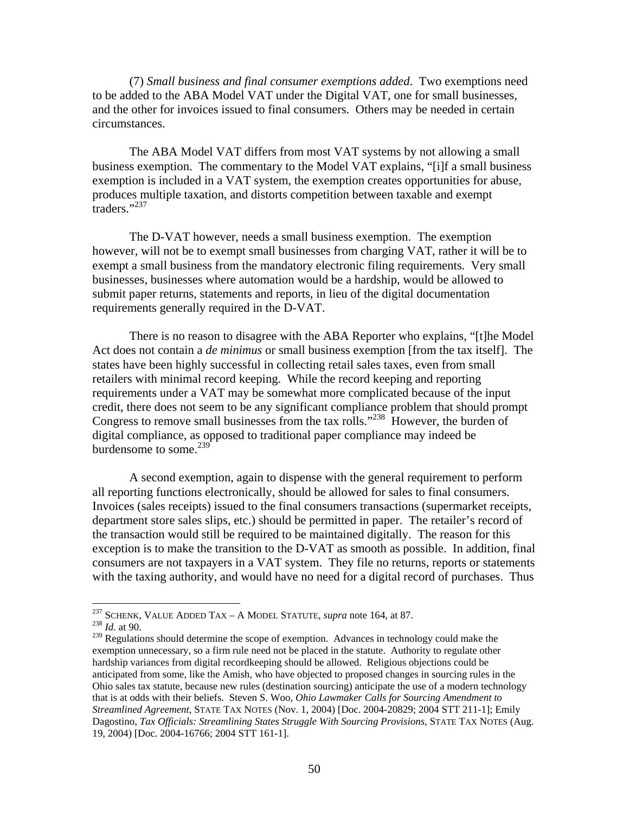(7) *Small business and final consumer exemptions added*. Two exemptions need to be added to the ABA Model VAT under the Digital VAT, one for small businesses, and the other for invoices issued to final consumers. Others may be needed in certain circumstances.

The ABA Model VAT differs from most VAT systems by not allowing a small business exemption. The commentary to the Model VAT explains, "[i]f a small business exemption is included in a VAT system, the exemption creates opportunities for abuse, produces multiple taxation, and distorts competition between taxable and exempt  $\frac{1}{1}$  traders."

The D-VAT however, needs a small business exemption. The exemption however, will not be to exempt small businesses from charging VAT, rather it will be to exempt a small business from the mandatory electronic filing requirements. Very small businesses, businesses where automation would be a hardship, would be allowed to submit paper returns, statements and reports, in lieu of the digital documentation requirements generally required in the D-VAT.

There is no reason to disagree with the ABA Reporter who explains, "[t]he Model Act does not contain a *de minimus* or small business exemption [from the tax itself]. The states have been highly successful in collecting retail sales taxes, even from small retailers with minimal record keeping. While the record keeping and reporting requirements under a VAT may be somewhat more complicated because of the input credit, there does not seem to be any significant compliance problem that should prompt Congress to remove small businesses from the tax rolls."<sup>238</sup> However, the burden of digital compliance, as opposed to traditional paper compliance may indeed be burdensome to some. $^{239}$ 

A second exemption, again to dispense with the general requirement to perform all reporting functions electronically, should be allowed for sales to final consumers. Invoices (sales receipts) issued to the final consumers transactions (supermarket receipts, department store sales slips, etc.) should be permitted in paper. The retailer's record of the transaction would still be required to be maintained digitally. The reason for this exception is to make the transition to the D-VAT as smooth as possible. In addition, final consumers are not taxpayers in a VAT system. They file no returns, reports or statements with the taxing authority, and would have no need for a digital record of purchases. Thus

<sup>237</sup> SCHENK, VALUE ADDED TAX – A MODEL STATUTE, *supra* note 164, at 87. 238 *Id.* at 90.

<sup>&</sup>lt;sup>239</sup> Regulations should determine the scope of exemption. Advances in technology could make the exemption unnecessary, so a firm rule need not be placed in the statute. Authority to regulate other hardship variances from digital recordkeeping should be allowed. Religious objections could be anticipated from some, like the Amish, who have objected to proposed changes in sourcing rules in the Ohio sales tax statute, because new rules (destination sourcing) anticipate the use of a modern technology that is at odds with their beliefs. Steven S. Woo, *Ohio Lawmaker Calls for Sourcing Amendment to Streamlined Agreement*, STATE TAX NOTES (Nov. 1, 2004) [Doc. 2004-20829; 2004 STT 211-1]; Emily Dagostino, *Tax Officials: Streamlining States Struggle With Sourcing Provisions*, STATE TAX NOTES (Aug. 19, 2004) [Doc. 2004-16766; 2004 STT 161-1].